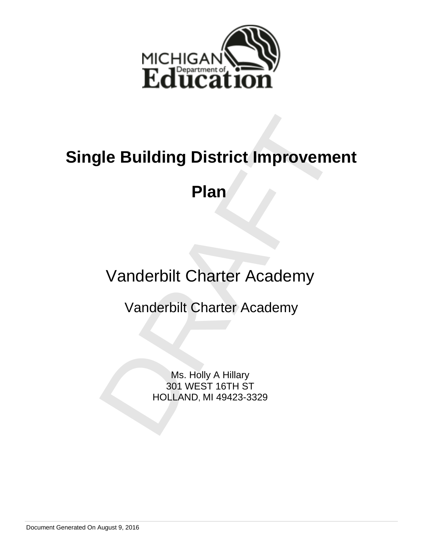

# **Plan**<br>
Manderbilt Charter Academy<br>
Vanderbilt Charter Academy<br>
Vanderbilt Charter Academy<br>
Ms. Holly A Hillary<br>
MS. Holly A Hillary<br>
HOLLAND, MI 49423-3329 **Single Building District Improvement**

**Plan** 

Vanderbilt Charter Academy

Vanderbilt Charter Academy

Ms. Holly A Hillary 301 WEST 16TH ST HOLLAND, MI 49423-3329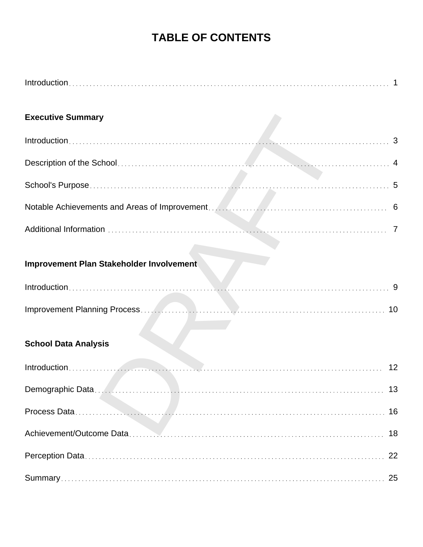# **TABLE OF CONTENTS**

| <b>Executive Summary</b>                 |
|------------------------------------------|
|                                          |
|                                          |
|                                          |
|                                          |
|                                          |
| Improvement Plan Stakeholder Involvement |
|                                          |
| 10                                       |
| <b>School Data Analysis</b>              |
| 12                                       |
| 13                                       |
| 16                                       |
| 18                                       |
| 22                                       |
|                                          |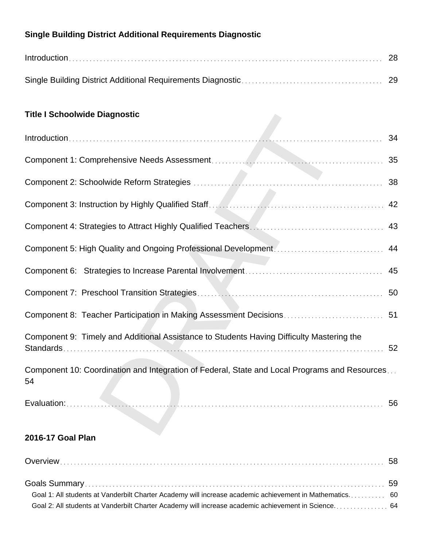# **Single Building District Additional Requirements Diagnostic**

# **Title I Schoolwide Diagnostic**

| <b>Title I Schoolwide Diagnostic</b>                                                                |    |
|-----------------------------------------------------------------------------------------------------|----|
|                                                                                                     |    |
|                                                                                                     |    |
|                                                                                                     |    |
|                                                                                                     |    |
|                                                                                                     | 43 |
|                                                                                                     |    |
|                                                                                                     | 45 |
|                                                                                                     |    |
|                                                                                                     |    |
| Component 9: Timely and Additional Assistance to Students Having Difficulty Mastering the           | 52 |
| Component 10: Coordination and Integration of Federal, State and Local Programs and Resources<br>54 |    |
|                                                                                                     |    |
|                                                                                                     |    |

# **2016-17 Goal Plan**

| Goal 1: All students at Vanderbilt Charter Academy will increase academic achievement in Mathematics 60 |  |
|---------------------------------------------------------------------------------------------------------|--|
|                                                                                                         |  |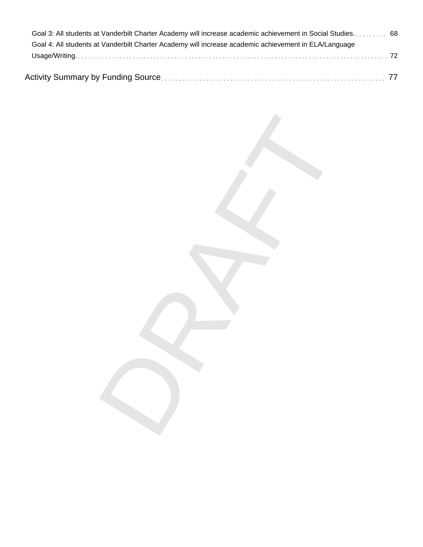| Goal 3: All students at Vanderbilt Charter Academy will increase academic achievement in Social Studies 68 |  |
|------------------------------------------------------------------------------------------------------------|--|
| Goal 4: All students at Vanderbilt Charter Academy will increase academic achievement in ELA/Language      |  |
|                                                                                                            |  |
|                                                                                                            |  |

DRAFT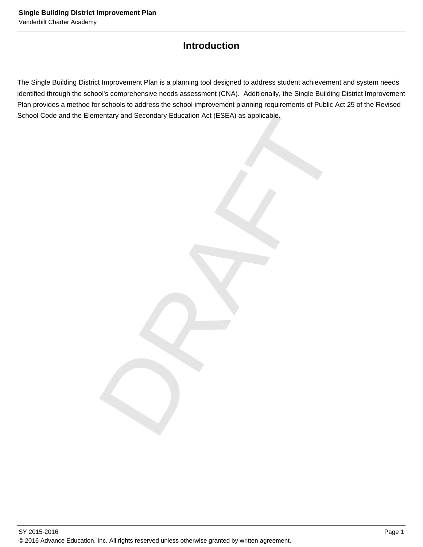# **Introduction**

Final Secondary Education Act (ESEA) as applicable.<br>
The secondary Education Act (ESEA) as applicable.<br>
The secondary Education Act (ESEA) as applicable. The Single Building District Improvement Plan is a planning tool designed to address student achievement and system needs identified through the school's comprehensive needs assessment (CNA). Additionally, the Single Building District Improvement Plan provides a method for schools to address the school improvement planning requirements of Public Act 25 of the Revised School Code and the Elementary and Secondary Education Act (ESEA) as applicable.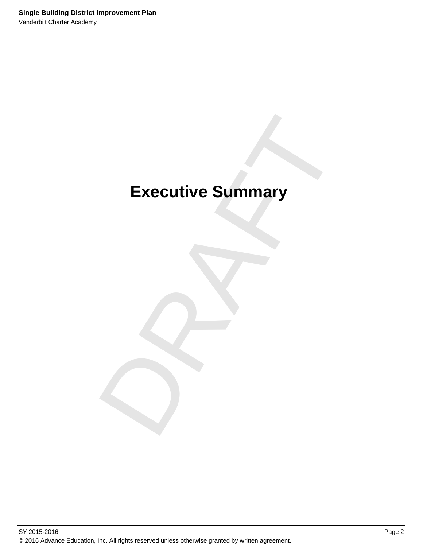# Executive Summary **Executive Summary**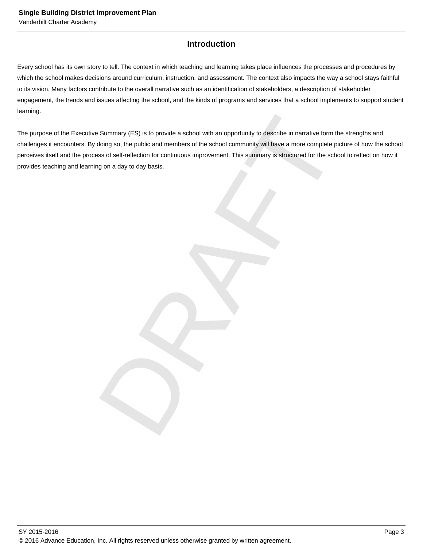# **Introduction**

Every school has its own story to tell. The context in which teaching and learning takes place influences the processes and procedures by which the school makes decisions around curriculum, instruction, and assessment. The context also impacts the way a school stays faithful to its vision. Many factors contribute to the overall narrative such as an identification of stakeholders, a description of stakeholder engagement, the trends and issues affecting the school, and the kinds of programs and services that a school implements to support student learning.

Summary (ES) is to provide a school with an opportunity to describe in narrative form the strength<br>doing so, the public and members of the school community will have a more complete picture of ht<br>iss of self-reflection for The purpose of the Executive Summary (ES) is to provide a school with an opportunity to describe in narrative form the strengths and challenges it encounters. By doing so, the public and members of the school community will have a more complete picture of how the school perceives itself and the process of self-reflection for continuous improvement. This summary is structured for the school to reflect on how it provides teaching and learning on a day to day basis.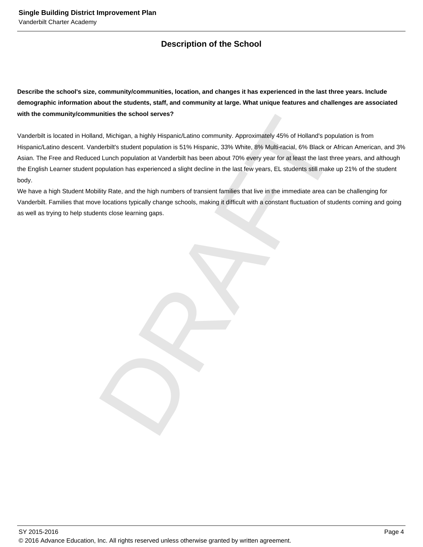# **Description of the School**

**Describe the school's size, community/communities, location, and changes it has experienced in the last three years. Include demographic information about the students, staff, and community at large. What unique features and challenges are associated with the community/communities the school serves?**

unities the school serves?<br>
Ad, Michigan, a highly Hispanic/Latino community. Approximately 45% of Holland's population is frequencies.<br>
Additional contained population is 51% Hispanic. 35% White acid, 6% Millitracial, e% Vanderbilt is located in Holland, Michigan, a highly Hispanic/Latino community. Approximately 45% of Holland's population is from Hispanic/Latino descent. Vanderbilt's student population is 51% Hispanic, 33% White, 8% Multi-racial, 6% Black or African American, and 3% Asian. The Free and Reduced Lunch population at Vanderbilt has been about 70% every year for at least the last three years, and although the English Learner student population has experienced a slight decline in the last few years, EL students still make up 21% of the student body.

We have a high Student Mobility Rate, and the high numbers of transient families that live in the immediate area can be challenging for Vanderbilt. Families that move locations typically change schools, making it difficult with a constant fluctuation of students coming and going as well as trying to help students close learning gaps.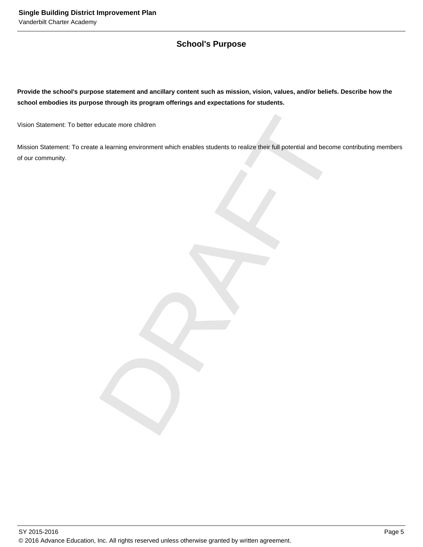# **School's Purpose**

**Provide the school's purpose statement and ancillary content such as mission, vision, values, and/or beliefs. Describe how the school embodies its purpose through its program offerings and expectations for students.**

Vision Statement: To better educate more children

ducate more children<br>a learning environment which enables students to realize their full potential and become contribut<br>and the contribution of the contribution of the contribution of the contribution of the contribution o Mission Statement: To create a learning environment which enables students to realize their full potential and become contributing members of our community.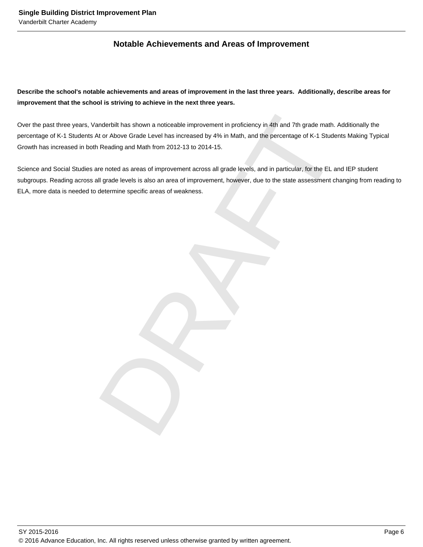# **Notable Achievements and Areas of Improvement**

**Describe the school's notable achievements and areas of improvement in the last three years. Additionally, describe areas for improvement that the school is striving to achieve in the next three years.**

anderbilt has shown a noticeable improvement in proficiency in 4th and 7th grade math. Additionally<br>At or Above Grade Level has increased by 4% in Math, and the percentage of K-1 Students Making<br>Reading and Math from 2012-Over the past three years, Vanderbilt has shown a noticeable improvement in proficiency in 4th and 7th grade math. Additionally the percentage of K-1 Students At or Above Grade Level has increased by 4% in Math, and the percentage of K-1 Students Making Typical Growth has increased in both Reading and Math from 2012-13 to 2014-15.

Science and Social Studies are noted as areas of improvement across all grade levels, and in particular, for the EL and IEP student subgroups. Reading across all grade levels is also an area of improvement, however, due to the state assessment changing from reading to ELA, more data is needed to determine specific areas of weakness.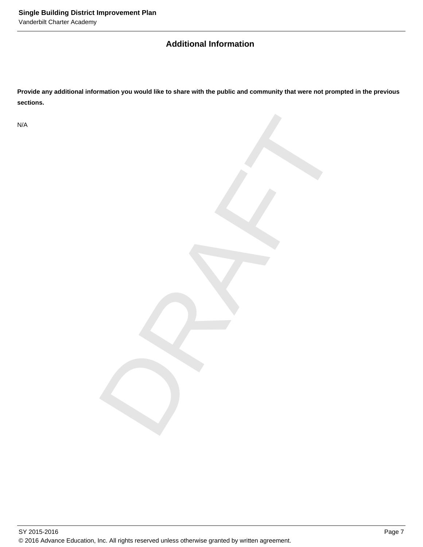# **Additional Information**

**Provide any additional information you would like to share with the public and community that were not prompted in the previous sections.**

DRAFT

N/A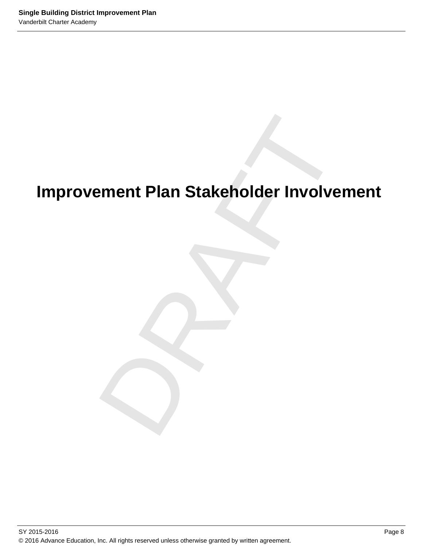# ement Plan Stakeholder Involveme<br>Drama<br>Drama<br>Drama<br>Drama<br>Drama<br>Drama<br>Drama<br>Drama<br>Drama<br>Drama<br>Drama<br>Drama<br>Drama<br>Drama<br>Drama<br>Drama<br>Drama<br>Drama<br>Drama<br>Drama<br>Drama<br>Drama<br>Drama<br>Drama<br>Drama<br>Drama<br>Drama<br>Drama<br>Drama<br>Drama<br>Drama<br>Dra **Improvement Plan Stakeholder Involvement**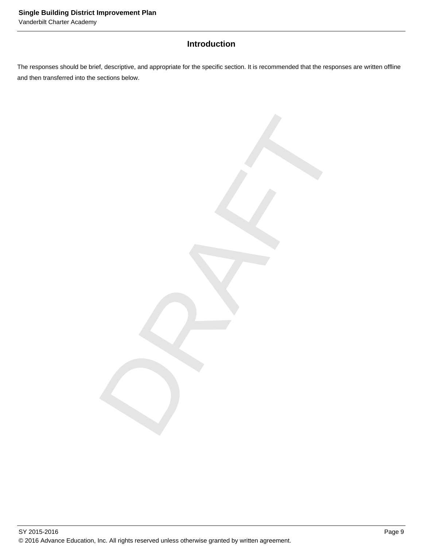# **Introduction**

The responses should be brief, descriptive, and appropriate for the specific section. It is recommended that the responses are written offline and then transferred into the sections below.

DRAFT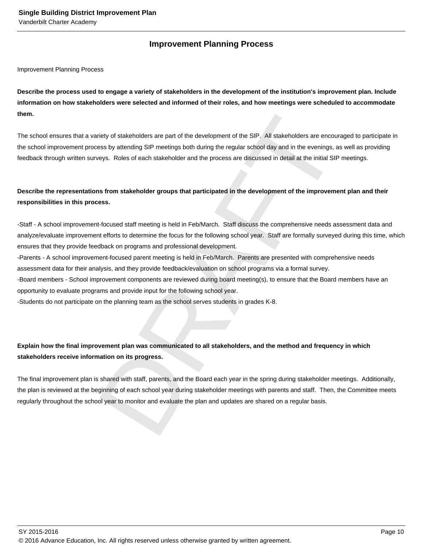# **Improvement Planning Process**

Improvement Planning Process

**Describe the process used to engage a variety of stakeholders in the development of the institution's improvement plan. Include information on how stakeholders were selected and informed of their roles, and how meetings were scheduled to accommodate them.** 

The school ensures that a variety of stakeholders are part of the development of the SIP. All stakeholders are encouraged to participate in the school improvement process by attending SIP meetings both during the regular school day and in the evenings, as well as providing feedback through written surveys. Roles of each stakeholder and the process are discussed in detail at the initial SIP meetings.

# **Describe the representations from stakeholder groups that participated in the development of the improvement plan and their responsibilities in this process.**

- Staff - A school improvement-focused staff meeting is held in Feb/March. Staff discuss the comprehensive needs assessment data and analyze/evaluate improvement efforts to determine the focus for the following school year. Staff are formally surveyed during this time, which ensures that they provide feedback on programs and professional development.

- Parents - A school improvement-focused parent meeting is held in Feb/March. Parents are presented with comprehensive needs assessment data for their analysis, and they provide feedback/evaluation on school programs via a formal survey.

- Board members - School improvement components are reviewed during board meeting(s), to ensure that the Board members have an opportunity to evaluate programs and provide input for the following school year.

- Students do not participate on the planning team as the school serves students in grades K-8.

# **Explain how the final improvement plan was communicated to all stakeholders, and the method and frequency in which stakeholders receive information on its progress.**

riety of stakeholders are part of the development of the SIP. All stakeholders are encouraged to pi<br>ses by attending SIP meetings both during the regular school day and in the everings, as well as p<br>eye. Roles of each stak The final improvement plan is shared with staff, parents, and the Board each year in the spring during stakeholder meetings. Additionally, the plan is reviewed at the beginning of each school year during stakeholder meetings with parents and staff. Then, the Committee meets regularly throughout the school year to monitor and evaluate the plan and updates are shared on a regular basis.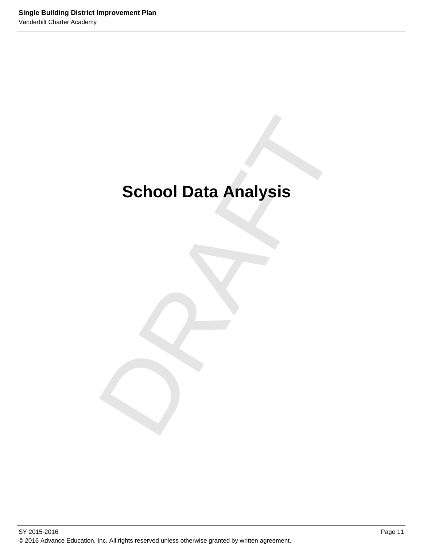# School Data Analysis<br>
Paradox<br>
Paradox<br>
Paradox<br>
Paradox<br>
Paradox<br>
Paradox<br>
Paradox<br>
Paradox<br>
Paradox<br>
Paradox<br>
Paradox<br>
Paradox<br>
Paradox<br>
Paradox<br>
Paradox<br>
Paradox<br>
Paradox<br>
Paradox<br>
Paradox<br>
Paradox<br>
Paradox<br>
Paradox<br>
Pa **School Data Analysis**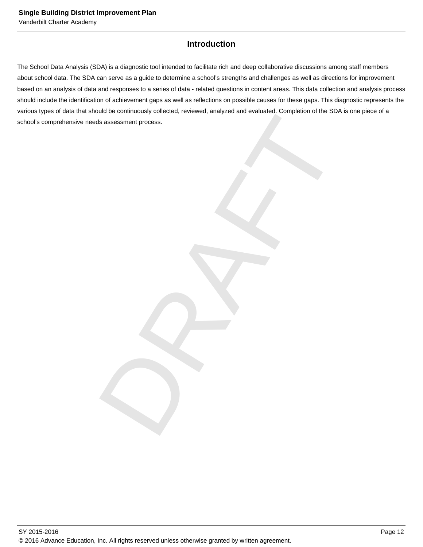# **Introduction**

DRAFT The School Data Analysis (SDA) is a diagnostic tool intended to facilitate rich and deep collaborative discussions among staff members about school data. The SDA can serve as a guide to determine a school's strengths and challenges as well as directions for improvement based on an analysis of data and responses to a series of data - related questions in content areas. This data collection and analysis process should include the identification of achievement gaps as well as reflections on possible causes for these gaps. This diagnostic represents the various types of data that should be continuously collected, reviewed, analyzed and evaluated. Completion of the SDA is one piece of a school's comprehensive needs assessment process.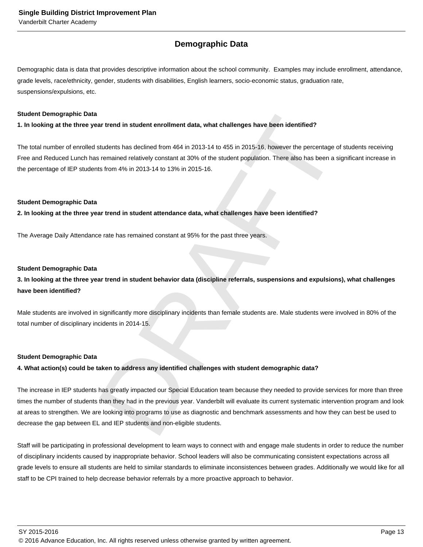# **Demographic Data**

Demographic data is data that provides descriptive information about the school community. Examples may include enrollment, attendance, grade levels, race/ethnicity, gender, students with disabilities, English learners, socio-economic status, graduation rate, suspensions/expulsions, etc.

#### **Student Demographic Data**

**1. In looking at the three year trend in student enrollment data, what challenges have been identified?**

The total number of enrolled students has declined from 464 in 2013-14 to 455 in 2015-16, however the percentage of students receiving Free and Reduced Lunch has remained relatively constant at 30% of the student population. There also has been a significant increase in the percentage of IEP students from 4% in 2013-14 to 13% in 2015-16.

#### **Student Demographic Data**

**2. In looking at the three year trend in student attendance data, what challenges have been identified?**

The Average Daily Attendance rate has remained constant at 95% for the past three years.

#### **Student Demographic Data**

### **3. In looking at the three year trend in student behavior data (discipline referrals, suspensions and expulsions), what challenges have been identified?**

Male students are involved in significantly more disciplinary incidents than female students are. Male students were involved in 80% of the total number of disciplinary incidents in 2014-15.

#### **Student Demographic Data**

#### **4. What action(s) could be taken to address any identified challenges with student demographic data?**

ar trend in student enrollment data, what challenges have been identified?<br>Students has declined from 464 in 2013-14 to 455 in 2015-16, however the percentage of students<br>is remained relatively constant at 30% of the stude The increase in IEP students has greatly impacted our Special Education team because they needed to provide services for more than three times the number of students than they had in the previous year. Vanderbilt will evaluate its current systematic intervention program and look at areas to strengthen. We are looking into programs to use as diagnostic and benchmark assessments and how they can best be used to decrease the gap between EL and IEP students and non-eligible students.

Staff will be participating in professional development to learn ways to connect with and engage male students in order to reduce the number of disciplinary incidents caused by inappropriate behavior. School leaders will also be communicating consistent expectations across all grade levels to ensure all students are held to similar standards to eliminate inconsistences between grades. Additionally we would like for all staff to be CPI trained to help decrease behavior referrals by a more proactive approach to behavior.

SY 2015-2016 Page 13

© 2016 Advance Education, Inc. All rights reserved unless otherwise granted by written agreement.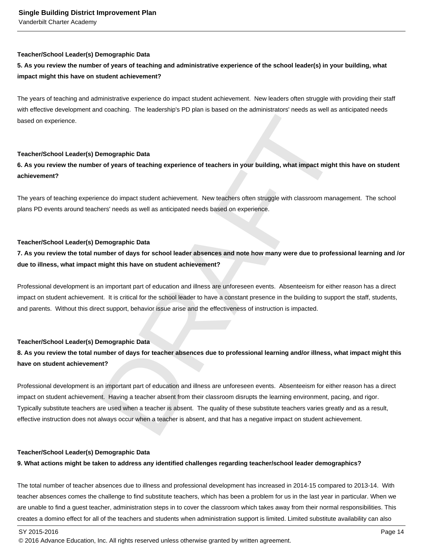#### **Teacher/School Leader(s) Demographic Data**

# **5. As you review the number of years of teaching and administrative experience of the school leader(s) in your building, what impact might this have on student achievement?**

The years of teaching and administrative experience do impact student achievement. New leaders often struggle with providing their staff with effective development and coaching. The leadership's PD plan is based on the administrators' needs as well as anticipated needs based on experience.

#### **Teacher/School Leader(s) Demographic Data**

### **6. As you review the number of years of teaching experience of teachers in your building, what impact might this have on student achievement?**

The years of teaching experience do impact student achievement. New teachers often struggle with classroom management. The school plans PD events around teachers' needs as well as anticipated needs based on experience.

#### **Teacher/School Leader(s) Demographic Data**

# **7. As you review the total number of days for school leader absences and note how many were due to professional learning and /or due to illness, what impact might this have on student achievement?**

Professional development is an important part of education and illness are unforeseen events. Absenteeism for either reason has a direct impact on student achievement. It is critical for the school leader to have a constant presence in the building to support the staff, students, and parents. Without this direct support, behavior issue arise and the effectiveness of instruction is impacted.

#### **Teacher/School Leader(s) Demographic Data**

# **8. As you review the total number of days for teacher absences due to professional learning and/or illness, what impact might this have on student achievement?**

Demographic Data<br>
are of years of teaching experience of teachers in your building, what impact might this have<br>
ence do impact student achievement. New teachers often struggle with classroom management.<br>
Then's needs as w Professional development is an important part of education and illness are unforeseen events. Absenteeism for either reason has a direct impact on student achievement. Having a teacher absent from their classroom disrupts the learning environment, pacing, and rigor. Typically substitute teachers are used when a teacher is absent. The quality of these substitute teachers varies greatly and as a result, effective instruction does not always occur when a teacher is absent, and that has a negative impact on student achievement.

#### **Teacher/School Leader(s) Demographic Data**

#### **9. What actions might be taken to address any identified challenges regarding teacher/school leader demographics?**

The total number of teacher absences due to illness and professional development has increased in 2014-15 compared to 2013-14. With teacher absences comes the challenge to find substitute teachers, which has been a problem for us in the last year in particular. When we are unable to find a guest teacher, administration steps in to cover the classroom which takes away from their normal responsibilities. This creates a domino effect for all of the teachers and students when administration support is limited. Limited substitute availability can also

<sup>© 2016</sup> Advance Education, Inc. All rights reserved unless otherwise granted by written agreement.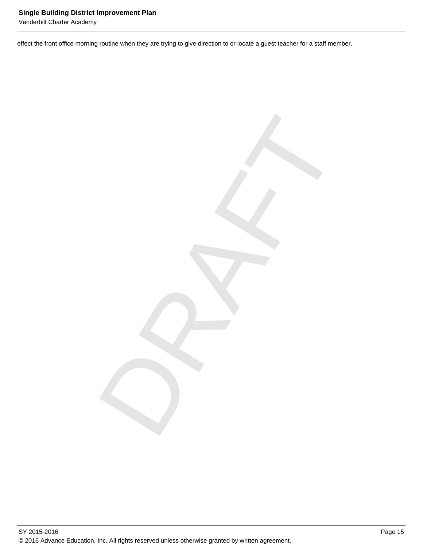Vanderbilt Charter Academy

effect the front office morning routine when they are trying to give direction to or locate a guest teacher for a staff member.

DRAFT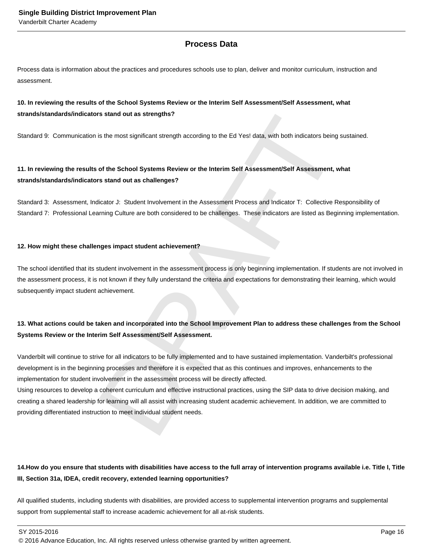# **Process Data**

Process data is information about the practices and procedures schools use to plan, deliver and monitor curriculum, instruction and assessment.

### **10. In reviewing the results of the School Systems Review or the Interim Self Assessment/Self Assessment, what strands/standards/indicators stand out as strengths?**

Standard 9: Communication is the most significant strength according to the Ed Yes! data, with both indicators being sustained.

# **11. In reviewing the results of the School Systems Review or the Interim Self Assessment/Self Assessment, what strands/standards/indicators stand out as challenges?**

Standard 3: Assessment, Indicator J: Student Involvement in the Assessment Process and Indicator T: Collective Responsibility of Standard 7: Professional Learning Culture are both considered to be challenges. These indicators are listed as Beginning implementation.

#### **12. How might these challenges impact student achievement?**

The school identified that its student involvement in the assessment process is only beginning implementation. If students are not involved in the assessment process, it is not known if they fully understand the criteria and expectations for demonstrating their learning, which would subsequently impact student achievement.

# **13. What actions could be taken and incorporated into the School Improvement Plan to address these challenges from the School Systems Review or the Interim Self Assessment/Self Assessment.**

rs stand out as strengths?<br>
is the most significant strength according to the Ed Yes! data, with both indicators being sustained<br>
of the School Systems Review or the Interim Self Assessment/Self Assessment, what<br>
is than o Vanderbilt will continue to strive for all indicators to be fully implemented and to have sustained implementation. Vanderbilt's professional development is in the beginning processes and therefore it is expected that as this continues and improves, enhancements to the implementation for student involvement in the assessment process will be directly affected.

Using resources to develop a coherent curriculum and effective instructional practices, using the SIP data to drive decision making, and creating a shared leadership for learning will all assist with increasing student academic achievement. In addition, we are committed to providing differentiated instruction to meet individual student needs.

# 14. How do you ensure that students with disabilities have access to the full array of intervention programs available i.e. Title I, Title **III, Section 31a, IDEA, credit recovery, extended learning opportunities?**

All qualified students, including students with disabilities, are provided access to supplemental intervention programs and supplemental support from supplemental staff to increase academic achievement for all at-risk students.

 $\,$  SY 2015-2016  $\,$  Page 16  $\,$  Page 16  $\,$  Page 16  $\,$  Page 16  $\,$  Page 16  $\,$  Page 16  $\,$  Page 16  $\,$  Page 16  $\,$  Page 16  $\,$  Page 16  $\,$  Page 16  $\,$  Page 16  $\,$  Page 16  $\,$  Page 16  $\,$  Page 16  $\,$  Pag

<sup>© 2016</sup> Advance Education, Inc. All rights reserved unless otherwise granted by written agreement.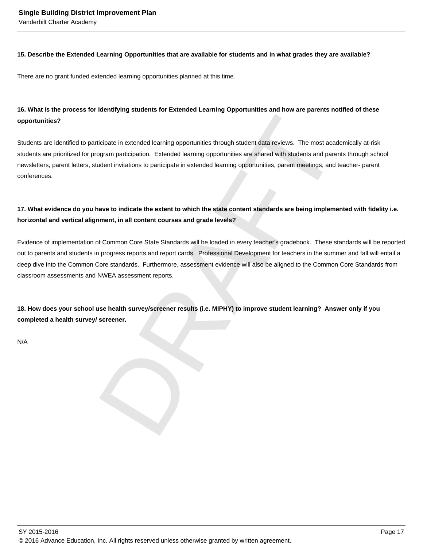#### **15. Describe the Extended Learning Opportunities that are available for students and in what grades they are available?**

There are no grant funded extended learning opportunities planned at this time.

### **16. What is the process for identifying students for Extended Learning Opportunities and how are parents notified of these opportunities?**

Students are identified to participate in extended learning opportunities through student data reviews. The most academically at-risk students are prioritized for program participation. Extended learning opportunities are shared with students and parents through school newsletters, parent letters, student invitations to participate in extended learning opportunities, parent meetings, and teacher- parent conferences.

# **17. What evidence do you have to indicate the extent to which the state content standards are being implemented with fidelity i.e. horizontal and vertical alignment, in all content courses and grade levels?**

ticipate in extended learning opportunities through student data reviews. The most academically appropriate in extended learning opportunities are shared with students and parents through dent invitations to participate in Evidence of implementation of Common Core State Standards will be loaded in every teacher's gradebook. These standards will be reported out to parents and students in progress reports and report cards. Professional Development for teachers in the summer and fall will entail a deep dive into the Common Core standards. Furthermore, assessment evidence will also be aligned to the Common Core Standards from classroom assessments and NWEA assessment reports.

**18. How does your school use health survey/screener results (i.e. MIPHY) to improve student learning? Answer only if you completed a health survey/ screener.**

N/A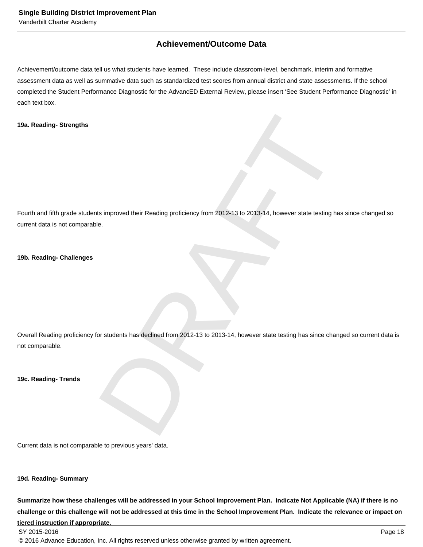# **Achievement/Outcome Data**

Achievement/outcome data tell us what students have learned. These include classroom-level, benchmark, interim and formative assessment data as well as summative data such as standardized test scores from annual district and state assessments. If the school completed the Student Performance Diagnostic for the AdvancED External Review, please insert 'See Student Performance Diagnostic' in each text box.

#### **19a. Reading- Strengths**

Is improved their Reading proficiency from 2012-13 to 2013-14, however state testing has since che<br>
E.<br>
Or students has declined from 2012-13 to 2013-14, however state testing has since changed so cu Fourth and fifth grade students improved their Reading proficiency from 2012-13 to 2013-14, however state testing has since changed so current data is not comparable.

#### **19b. Reading- Challenges**

Overall Reading proficiency for students has declined from 2012-13 to 2013-14, however state testing has since changed so current data is not comparable.

**19c. Reading- Trends**

Current data is not comparable to previous years' data.

**19d. Reading- Summary**

**Summarize how these challenges will be addressed in your School Improvement Plan. Indicate Not Applicable (NA) if there is no challenge or this challenge will not be addressed at this time in the School Improvement Plan. Indicate the relevance or impact on tiered instruction if appropriate.**

© 2016 Advance Education, Inc. All rights reserved unless otherwise granted by written agreement.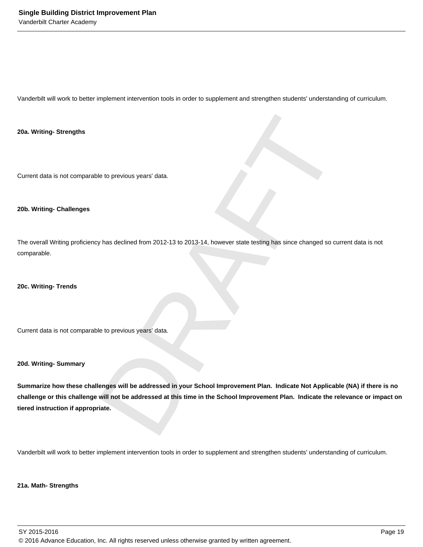Vanderbilt will work to better implement intervention tools in order to supplement and strengthen students' understanding of curriculum.

**20a. Writing- Strengths**

Current data is not comparable to previous years' data.

#### **20b. Writing- Challenges**

The overall Writing proficiency has declined from 2012-13 to 2013-14, however state testing has since changed so current data is not comparable.

**20c. Writing- Trends**

Current data is not comparable to previous years' data.

#### **20d. Writing- Summary**

Ne to previous years' data.<br>Next declined from 2012-13 to 2013-14, however state testing has since changed so current data<br>Deta previous years' data.<br>Next declines will be addressed at this time in the School Improvement P **Summarize how these challenges will be addressed in your School Improvement Plan. Indicate Not Applicable (NA) if there is no challenge or this challenge will not be addressed at this time in the School Improvement Plan. Indicate the relevance or impact on tiered instruction if appropriate.**

Vanderbilt will work to better implement intervention tools in order to supplement and strengthen students' understanding of curriculum.

#### **21a. Math- Strengths**

SY 2015-2016 Page 19 © 2016 Advance Education, Inc. All rights reserved unless otherwise granted by written agreement.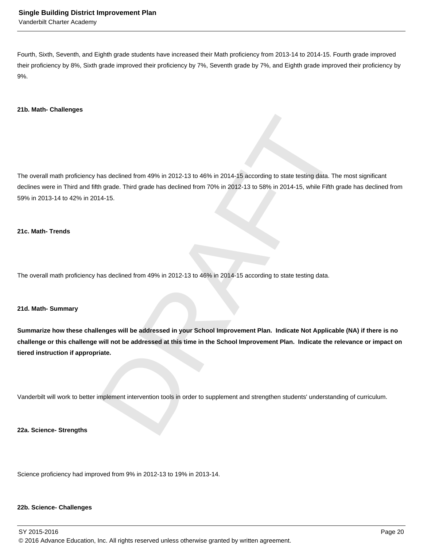Fourth, Sixth, Seventh, and Eighth grade students have increased their Math proficiency from 2013-14 to 2014-15. Fourth grade improved their proficiency by 8%, Sixth grade improved their proficiency by 7%, Seventh grade by 7%, and Eighth grade improved their proficiency by 9%.

#### **21b. Math- Challenges**

thas declined from 49% in 2012-13 to 46% in 2014-15 according to state testing data. The most sig<br>th grade. Third grade has declined from 70% in 2012-13 to 58% in 2014-15, while Fifth grade has c<br>14-15.<br><br>has declined from The overall math proficiency has declined from 49% in 2012-13 to 46% in 2014-15 according to state testing data. The most significant declines were in Third and fifth grade. Third grade has declined from 70% in 2012-13 to 58% in 2014-15, while Fifth grade has declined from 59% in 2013-14 to 42% in 2014-15.

#### **21c. Math- Trends**

The overall math proficiency has declined from 49% in 2012-13 to 46% in 2014-15 according to state testing data.

#### **21d. Math- Summary**

**Summarize how these challenges will be addressed in your School Improvement Plan. Indicate Not Applicable (NA) if there is no challenge or this challenge will not be addressed at this time in the School Improvement Plan. Indicate the relevance or impact on tiered instruction if appropriate.**

Vanderbilt will work to better implement intervention tools in order to supplement and strengthen students' understanding of curriculum.

**22a. Science- Strengths**

Science proficiency had improved from 9% in 2012-13 to 19% in 2013-14.

#### **22b. Science- Challenges**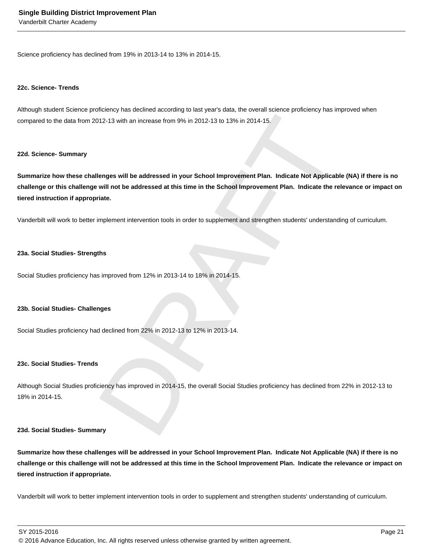Vanderbilt Charter Academy

Science proficiency has declined from 19% in 2013-14 to 13% in 2014-15.

#### **22c. Science- Trends**

Although student Science proficiency has declined according to last year's data, the overall science proficiency has improved when compared to the data from 2012-13 with an increase from 9% in 2012-13 to 13% in 2014-15.

#### **22d. Science- Summary**

(12-13 with an increase from 9% in 2012-13 to 13% in 2014-15.<br>
Menges will be addressed in your School Improvement Plan. Indicate Not Applicable (NA) if<br>
will not be addressed at this time in the School Improvement Plan. I **Summarize how these challenges will be addressed in your School Improvement Plan. Indicate Not Applicable (NA) if there is no challenge or this challenge will not be addressed at this time in the School Improvement Plan. Indicate the relevance or impact on tiered instruction if appropriate.**

Vanderbilt will work to better implement intervention tools in order to supplement and strengthen students' understanding of curriculum.

#### **23a. Social Studies- Strengths**

Social Studies proficiency has improved from 12% in 2013-14 to 18% in 2014-15.

#### **23b. Social Studies- Challenges**

Social Studies proficiency had declined from 22% in 2012-13 to 12% in 2013-14.

#### **23c. Social Studies- Trends**

Although Social Studies proficiency has improved in 2014-15, the overall Social Studies proficiency has declined from 22% in 2012-13 to 18% in 2014-15.

#### **23d. Social Studies- Summary**

**Summarize how these challenges will be addressed in your School Improvement Plan. Indicate Not Applicable (NA) if there is no challenge or this challenge will not be addressed at this time in the School Improvement Plan. Indicate the relevance or impact on tiered instruction if appropriate.**

Vanderbilt will work to better implement intervention tools in order to supplement and strengthen students' understanding of curriculum.

SY 2015-2016 Page 21

© 2016 Advance Education, Inc. All rights reserved unless otherwise granted by written agreement.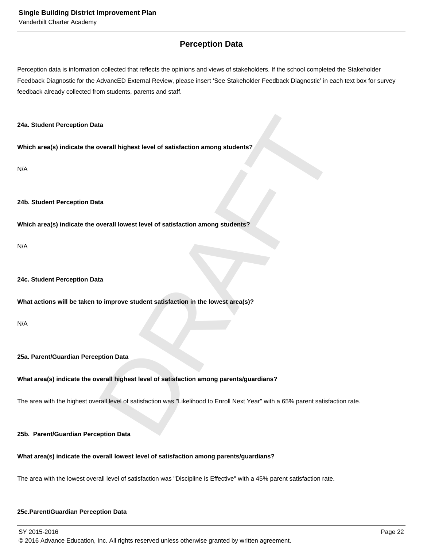# **Perception Data**

Perception data is information collected that reflects the opinions and views of stakeholders. If the school completed the Stakeholder Feedback Diagnostic for the AdvancED External Review, please insert 'See Stakeholder Feedback Diagnostic' in each text box for survey feedback already collected from students, parents and staff.

#### **24a. Student Perception Data**

**Which area(s) indicate the overall highest level of satisfaction among students?**

N/A

#### **24b. Student Perception Data**

**Which area(s) indicate the overall lowest level of satisfaction among students?**

N/A

#### **24c. Student Perception Data**

**What actions will be taken to improve student satisfaction in the lowest area(s)?**

N/A

#### **25a. Parent/Guardian Perception Data**

#### **What area(s) indicate the overall highest level of satisfaction among parents/guardians?**

DRAFT The area with the highest overall level of satisfaction was "Likelihood to Enroll Next Year" with a 65% parent satisfaction rate.

#### **25b. Parent/Guardian Perception Data**

#### **What area(s) indicate the overall lowest level of satisfaction among parents/guardians?**

The area with the lowest overall level of satisfaction was "Discipline is Effective" with a 45% parent satisfaction rate.

#### **25c. Parent/Guardian Perception Data**

SY 2015-2016 Page 22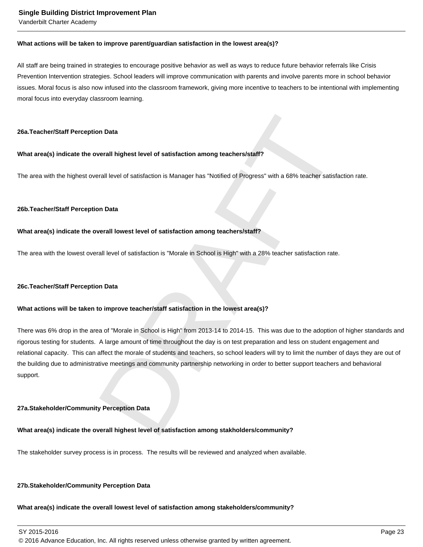Vanderbilt Charter Academy

#### **What actions will be taken to improve parent/guardian satisfaction in the lowest area(s)?**

All staff are being trained in strategies to encourage positive behavior as well as ways to reduce future behavior referrals like Crisis Prevention Intervention strategies. School leaders will improve communication with parents and involve parents more in school behavior issues. Moral focus is also now infused into the classroom framework, giving more incentive to teachers to be intentional with implementing moral focus into everyday classroom learning.

#### **26a. Teacher/Staff Perception Data**

#### **What area(s) indicate the overall highest level of satisfaction among teachers/staff?**

The area with the highest overall level of satisfaction is Manager has "Notified of Progress" with a 68% teacher satisfaction rate.

#### **26b. Teacher/Staff Perception Data**

#### **What area(s) indicate the overall lowest level of satisfaction among teachers/staff?**

The area with the lowest overall level of satisfaction is "Morale in School is High" with a 28% teacher satisfaction rate.

#### **26c. Teacher/Staff Perception Data**

#### **What actions will be taken to improve teacher/staff satisfaction in the lowest area(s)?**

orall level of satisfaction among teachers/staff?<br>
Strall level of satisfaction is Manager has "Notified of Progress" with a 68% teacher satisfaction rate.<br>
On Data<br>
On Data<br>
Morall level of satisfaction is "Morale in Scho There was 6% drop in the area of "Morale in School is High" from 2013-14 to 2014-15. This was due to the adoption of higher standards and rigorous testing for students. A large amount of time throughout the day is on test preparation and less on student engagement and relational capacity. This can affect the morale of students and teachers, so school leaders will try to limit the number of days they are out of the building due to administrative meetings and community partnership networking in order to better support teachers and behavioral support.

#### **27a. Stakeholder/Community Perception Data**

#### **What area(s) indicate the overall highest level of satisfaction among stakholders/community?**

The stakeholder survey process is in process. The results will be reviewed and analyzed when available.

#### **27b. Stakeholder/Community Perception Data**

#### **What area(s) indicate the overall lowest level of satisfaction among stakeholders/community?**

SY 2015-2016 Page 23

© 2016 Advance Education, Inc. All rights reserved unless otherwise granted by written agreement.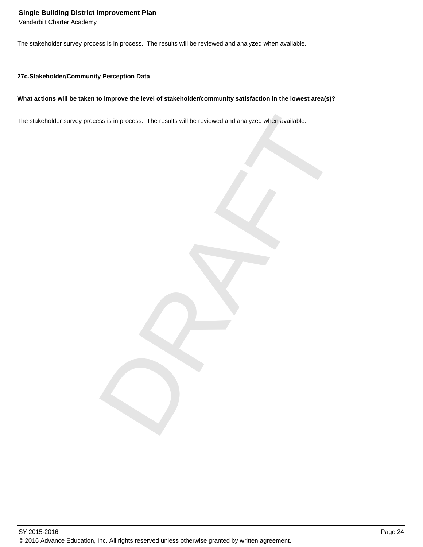Vanderbilt Charter Academy

The stakeholder survey process is in process. The results will be reviewed and analyzed when available.

#### **27c. Stakeholder/Community Perception Data**

#### **What actions will be taken to improve the level of stakeholder/community satisfaction in the lowest area(s)?**

ss is in process. The results will be reviewed and analyzed when available.<br>
<br>
and the control of the control of the control of the control of the control of the control of the control of<br>
and the control of the control of The stakeholder survey process is in process. The results will be reviewed and analyzed when available.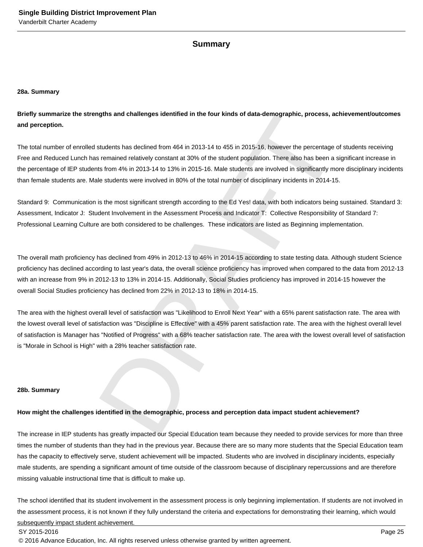#### **Summary**

#### **28a. Summary**

**Briefly summarize the strengths and challenges identified in the four kinds of data-demographic, process, achievement/outcomes and perception.**

ngths and challenges identified in the four kinds of data-demographic, process, achievement<br>students has declined from 464 in 2013-14 to 455 in 2015-16. however the percentage of students<br>is remained relatively constant at The total number of enrolled students has declined from 464 in 2013-14 to 455 in 2015-16, however the percentage of students receiving Free and Reduced Lunch has remained relatively constant at 30% of the student population. There also has been a significant increase in the percentage of IEP students from 4% in 2013-14 to 13% in 2015-16. Male students are involved in significantly more disciplinary incidents than female students are. Male students were involved in 80% of the total number of disciplinary incidents in 2014-15.

Standard 9: Communication is the most significant strength according to the Ed Yes! data, with both indicators being sustained. Standard 3: Assessment, Indicator J: Student Involvement in the Assessment Process and Indicator T: Collective Responsibility of Standard 7: Professional Learning Culture are both considered to be challenges. These indicators are listed as Beginning implementation.

The overall math proficiency has declined from 49% in 2012-13 to 46% in 2014-15 according to state testing data. Although student Science proficiency has declined according to last year's data, the overall science proficiency has improved when compared to the data from 2012-13 with an increase from 9% in 2012-13 to 13% in 2014-15. Additionally, Social Studies proficiency has improved in 2014-15 however the overall Social Studies proficiency has declined from 22% in 2012-13 to 18% in 2014-15.

The area with the highest overall level of satisfaction was "Likelihood to Enroll Next Year" with a 65% parent satisfaction rate. The area with the lowest overall level of satisfaction was "Discipline is Effective" with a 45% parent satisfaction rate. The area with the highest overall level of satisfaction is Manager has "Notified of Progress" with a 68% teacher satisfaction rate. The area with the lowest overall level of satisfaction is "Morale in School is High" with a 28% teacher satisfaction rate.

#### **28b. Summary**

#### **How might the challenges identified in the demographic, process and perception data impact student achievement?**

The increase in IEP students has greatly impacted our Special Education team because they needed to provide services for more than three times the number of students than they had in the previous year. Because there are so many more students that the Special Education team has the capacity to effectively serve, student achievement will be impacted. Students who are involved in disciplinary incidents, especially male students, are spending a significant amount of time outside of the classroom because of disciplinary repercussions and are therefore missing valuable instructional time that is difficult to make up.

The school identified that its student involvement in the assessment process is only beginning implementation. If students are not involved in the assessment process, it is not known if they fully understand the criteria and expectations for demonstrating their learning, which would subsequently impact student achievement.

#### SY 2015-2016 Page 25

© 2016 Advance Education, Inc. All rights reserved unless otherwise granted by written agreement.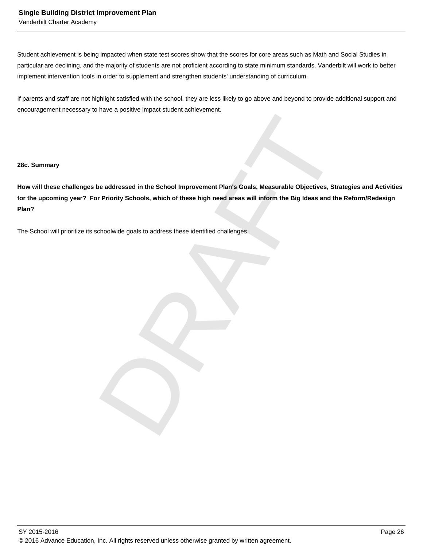Vanderbilt Charter Academy

Student achievement is being impacted when state test scores show that the scores for core areas such as Math and Social Studies in particular are declining, and the majority of students are not proficient according to state minimum standards. Vanderbilt will work to better implement intervention tools in order to supplement and strengthen students' understanding of curriculum.

If parents and staff are not highlight satisfied with the school, they are less likely to go above and beyond to provide additional support and encouragement necessary to have a positive impact student achievement.

#### **28c. Summary**

be addressed in the School Improvement Plan's Goals, Measurable Objectives, Strategies and the Reformation of the School Improvement Plan's Goals, Measurable Objectives, Strategies and the Reformation of the School and the **How will these challenges be addressed in the School Improvement Plan's Goals, Measurable Objectives, Strategies and Activities for the upcoming year? For Priority Schools, which of these high need areas will inform the Big Ideas and the Reform/Redesign Plan?**

The School will prioritize its schoolwide goals to address these identified challenges.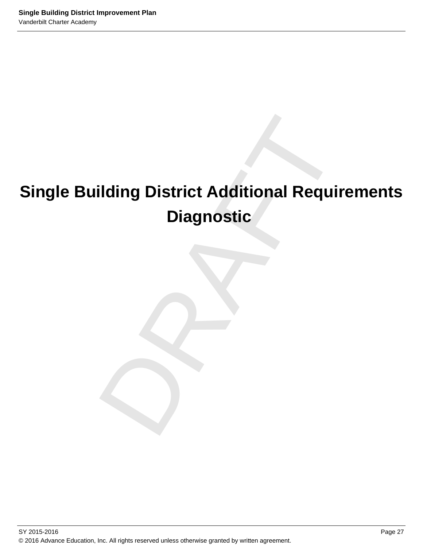# ilding District Additional Requirem<br>Diagnostic<br>Andrew Chapter of Section 1<br>Andrew Chapter of Section 1<br>Andrew Chapter of Section 1<br>Andrew Chapter of Section 1<br>Andrew Chapter of Section 1<br>Andrew Chapter of Section 1<br>Andrew **Single Building District Additional Requirements Diagnostic**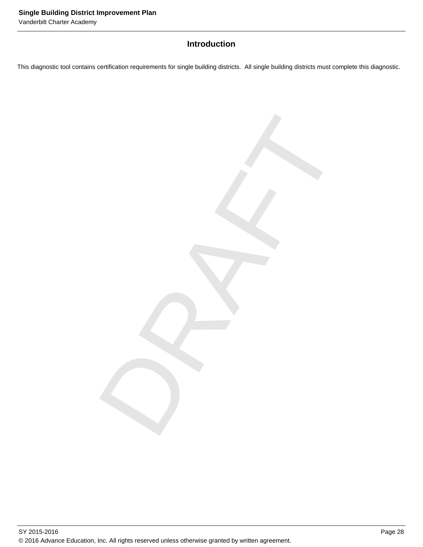# **Introduction**

This diagnostic tool contains certification requirements for single building districts. All single building districts must complete this diagnostic.

DRAFT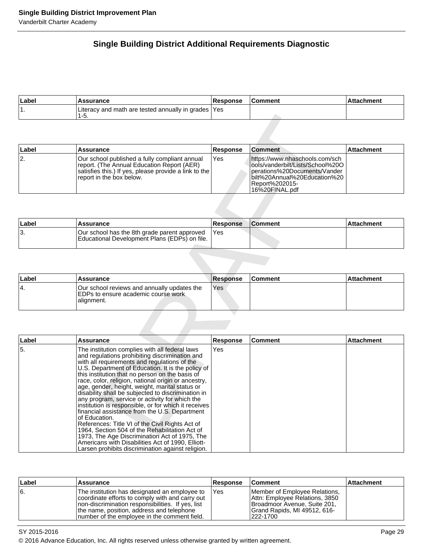# **Single Building District Additional Requirements Diagnostic**

| ∣Label | <b>Assurance</b>                                             | <b>Response</b> | Comment | Attachment |
|--------|--------------------------------------------------------------|-----------------|---------|------------|
|        | Literacy and math are tested annually in grades   Yes<br>ט-י |                 |         |            |

| Label | Assurance                                                                                                                                                                         | <b>Response</b> | <b>Comment</b>                                                                                                                                                            | Attachment |
|-------|-----------------------------------------------------------------------------------------------------------------------------------------------------------------------------------|-----------------|---------------------------------------------------------------------------------------------------------------------------------------------------------------------------|------------|
| 12.   | IOur school published a fully compliant annual<br>report. (The Annual Education Report (AER)<br>satisfies this.) If yes, please provide a link to the<br>report in the box below. | <b>Yes</b>      | https://www.nhaschools.com/sch<br>lools/vanderbilt/Lists/School%20O<br>lperations%20Documents/Vander<br>lbilt%20Annual%20Education%20<br>Report%202015-<br>16%20FINAL.pdf |            |

| ∣Label | Assurance                                                                                     | <b>Response</b> | <b>Comment</b> | l Attachment |
|--------|-----------------------------------------------------------------------------------------------|-----------------|----------------|--------------|
| . ت    | Our school has the 8th grade parent approved<br>Educational Development Plans (EDPs) on file. | <b>IYes</b>     |                |              |

| ∣Label | <b>Assurance</b>                                                                                   | <b>Response</b> | <b>Comment</b> | ∣Attachment |
|--------|----------------------------------------------------------------------------------------------------|-----------------|----------------|-------------|
| '4.    | Our school reviews and annually updates the<br>IEDPs to ensure academic course work<br>lalignment. | Yes             |                |             |

| 1-5.                                                                                                                                                                             |                                                                  |                                                                                                                                                                        |                   |
|----------------------------------------------------------------------------------------------------------------------------------------------------------------------------------|------------------------------------------------------------------|------------------------------------------------------------------------------------------------------------------------------------------------------------------------|-------------------|
|                                                                                                                                                                                  |                                                                  |                                                                                                                                                                        |                   |
|                                                                                                                                                                                  |                                                                  |                                                                                                                                                                        |                   |
| Assurance                                                                                                                                                                        |                                                                  | Comment                                                                                                                                                                | Attachment        |
| Our school published a fully compliant annual<br>report. (The Annual Education Report (AER)<br>satisfies this.) If yes, please provide a link to the<br>report in the box below. | Yes                                                              | https://www.nhaschools.com/sch<br>ools/vanderbilt/Lists/School%20O<br>perations%20Documents/Vander<br>bilt%20Annual%20Education%20<br>Report%202015-<br>16%20FINAL.pdf |                   |
|                                                                                                                                                                                  |                                                                  |                                                                                                                                                                        | Attachment        |
|                                                                                                                                                                                  |                                                                  |                                                                                                                                                                        |                   |
| Educational Development Plans (EDPs) on file.                                                                                                                                    |                                                                  |                                                                                                                                                                        |                   |
|                                                                                                                                                                                  |                                                                  |                                                                                                                                                                        |                   |
|                                                                                                                                                                                  |                                                                  |                                                                                                                                                                        |                   |
| <b>Assurance</b>                                                                                                                                                                 |                                                                  | Comment                                                                                                                                                                | Attachment        |
| Our school reviews and annually updates the<br>EDPs to ensure academic course work<br>alignment.                                                                                 | <b>Yes</b>                                                       |                                                                                                                                                                        |                   |
|                                                                                                                                                                                  |                                                                  |                                                                                                                                                                        |                   |
| <b>Assurance</b>                                                                                                                                                                 | Response                                                         | <b>Comment</b>                                                                                                                                                         | <b>Attachment</b> |
|                                                                                                                                                                                  | <b>Assurance</b><br>Our school has the 8th grade parent approved | <b>Response</b><br><b>Response</b><br>Yes<br><b>Response</b>                                                                                                           | <b>Comment</b>    |

| Label | Assurance                                                                                                                                                                                                                                           | <b>Response</b> | <b>Comment</b>                                                                                                                              | <b>Attachment</b> |
|-------|-----------------------------------------------------------------------------------------------------------------------------------------------------------------------------------------------------------------------------------------------------|-----------------|---------------------------------------------------------------------------------------------------------------------------------------------|-------------------|
| 6.    | The institution has designated an employee to<br>coordinate efforts to comply with and carry out<br>non-discrimination responsibilities. If yes, list<br>the name, position, address and telephone<br>Inumber of the employee in the comment field. | 'Yes            | Member of Employee Relations,<br>Attn: Employee Relations, 3850<br>Broadmoor Avenue, Suite 201,<br>Grand Rapids, MI 49512, 616-<br>222-1700 |                   |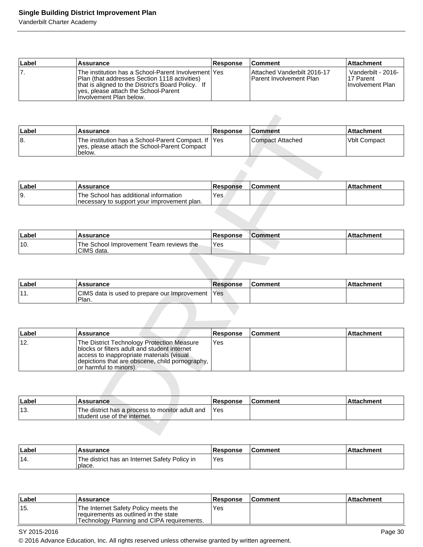# **Single Building District Improvement Plan**

Vanderbilt Charter Academy

| ∣Label | Assurance                                                                                                                                                                                                                            | <b>Response</b> | <b>Comment</b>                                                  | <b>Attachment</b>                                    |
|--------|--------------------------------------------------------------------------------------------------------------------------------------------------------------------------------------------------------------------------------------|-----------------|-----------------------------------------------------------------|------------------------------------------------------|
|        | <b>The institution has a School-Parent Involvement Yes</b><br>Plan (that addresses Section 1118 activities)<br>that is aligned to the District's Board Policy. If<br>yes, please attach the School-Parent<br>Involvement Plan below. |                 | IAttached Vanderbilt 2016-17<br><b>IParent Involvement Plan</b> | Vanderbilt - 2016-<br>117 Parent<br>Hnvolvement Plan |

| ∣Label | <b>Assurance</b>                                                                                               | <b>Response</b> | <b>Comment</b>     | ⊺Attachment    |
|--------|----------------------------------------------------------------------------------------------------------------|-----------------|--------------------|----------------|
| 18.    | The institution has a School-Parent Compact. If  Yes<br>ves, please attach the School-Parent Compact<br>below. |                 | l Compact Attached | l Vblt Compact |

| ⊺Labe⊦ | Assurance                                                                             | Response | <b>Comment</b> | ∖hment |
|--------|---------------------------------------------------------------------------------------|----------|----------------|--------|
| 19.    | The School has additional information<br>Inecessary to support your improvement plan. | Yes      |                |        |

| Labe  | <b>Assurance</b>                                         | <b>Response</b> | <b>Comment</b> | <b>Attachment</b> |
|-------|----------------------------------------------------------|-----------------|----------------|-------------------|
| ່ 10. | Team reviews the<br>The School Improvement<br>CIMS data. | Yes             |                |                   |

| Label               | Assurance                                               | Response         | ∖Comment | <b>Attachment</b> |
|---------------------|---------------------------------------------------------|------------------|----------|-------------------|
| $\overline{A}$<br>. | CIMS data is used to prepare our Improvement "<br>Plan. | <sup>1</sup> Yes |          |                   |

| Label        | <b>Assurance</b>                                                                                                                                                                                                     | Response        | <b>Comment</b>          | <b>Attachment</b>   |
|--------------|----------------------------------------------------------------------------------------------------------------------------------------------------------------------------------------------------------------------|-----------------|-------------------------|---------------------|
| 8.           | The institution has a School-Parent Compact. If<br>yes, please attach the School-Parent Compact<br>below.                                                                                                            | Yes             | <b>Compact Attached</b> | <b>Vblt Compact</b> |
|              |                                                                                                                                                                                                                      |                 |                         |                     |
| Label        | <b>Assurance</b>                                                                                                                                                                                                     | <b>Response</b> | <b>Comment</b>          | <b>Attachment</b>   |
| 9.           | The School has additional information<br>necessary to support your improvement plan.                                                                                                                                 | Yes             |                         |                     |
|              |                                                                                                                                                                                                                      |                 |                         |                     |
| Label        | <b>Assurance</b>                                                                                                                                                                                                     | Response        | <b>Comment</b>          | <b>Attachment</b>   |
| 10.          | The School Improvement Team reviews the<br>CIMS data.                                                                                                                                                                | Yes             |                         |                     |
|              |                                                                                                                                                                                                                      |                 |                         |                     |
|              |                                                                                                                                                                                                                      |                 |                         |                     |
|              | <b>Assurance</b>                                                                                                                                                                                                     | <b>Response</b> | <b>Comment</b>          | <b>Attachment</b>   |
| Label<br>11. | CIMS data is used to prepare our Improvement<br>Plan.                                                                                                                                                                | Yes             |                         |                     |
|              | <b>Assurance</b>                                                                                                                                                                                                     | <b>Response</b> | <b>Comment</b>          | <b>Attachment</b>   |
| Label<br>12. | The District Technology Protection Measure<br>blocks or filters adult and student internet<br>access to inappropriate materials (visual<br>depictions that are obscene, child pornography,<br>or harmful to minors). | Yes             |                         |                     |
|              |                                                                                                                                                                                                                      |                 |                         |                     |
| Label        | <b>Assurance</b>                                                                                                                                                                                                     | Response        | <b>Comment</b>          | <b>Attachment</b>   |

| Label | <b>Assurance</b>                                                                | <b>Response</b> | <b>Comment</b> | Attachment |
|-------|---------------------------------------------------------------------------------|-----------------|----------------|------------|
| '13.  | The district has a process to monitor adult and<br>student use of the internet. | 'Yes            |                |            |

| ∣Label | Assurance                                               | <b>Response</b> | ⊺Comment | ∣Attachment |
|--------|---------------------------------------------------------|-----------------|----------|-------------|
| '14.   | The district has an Internet Safety Policy in<br>place. | Yes             |          |             |

| ∣Label | Assurance                                                                                                                    | <b>Response</b> | l Comment | ∣Attachment∶ |
|--------|------------------------------------------------------------------------------------------------------------------------------|-----------------|-----------|--------------|
| '15.   | The Internet Safety Policy meets the<br>requirements as outlined in the state<br>'Technology Planning and CIPA requirements. | Yes             |           |              |

SY 2015-2016 **Page 30** 

© 2016 Advance Education, Inc. All rights reserved unless otherwise granted by written agreement.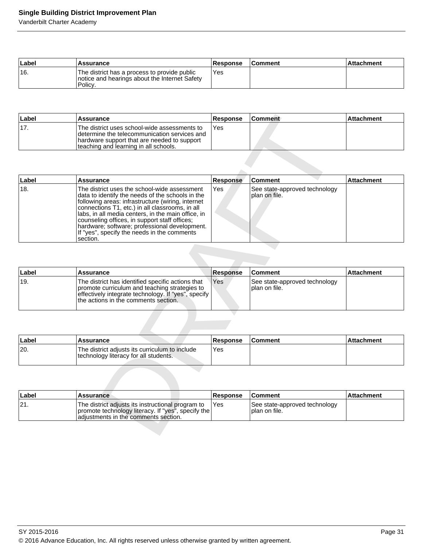# **Single Building District Improvement Plan**

Vanderbilt Charter Academy

| Label | <b>Assurance</b>                                                                                        | <b>Response</b> | <b>Comment</b> | Attachment |
|-------|---------------------------------------------------------------------------------------------------------|-----------------|----------------|------------|
| 16.   | The district has a process to provide public<br>notice and hearings about the Internet Safety<br>Policy | Yes             |                |            |

| ∣Label | Assurance                                                                                                                                                                             | <b>Response</b> | <b>Comment</b> | ∣Attachment |
|--------|---------------------------------------------------------------------------------------------------------------------------------------------------------------------------------------|-----------------|----------------|-------------|
| '17.   | The district uses school-wide assessments to<br>Idetermine the telecommunication services and<br>hardware support that are needed to support<br>teaching and learning in all schools. | Yes             |                |             |

| 17.   | <b>Assurance</b>                                                                                                                                                                                                                                                                                                                                                                                                            | <b>Response</b> | <b>Comment</b>                                 | <b>Attachment</b> |
|-------|-----------------------------------------------------------------------------------------------------------------------------------------------------------------------------------------------------------------------------------------------------------------------------------------------------------------------------------------------------------------------------------------------------------------------------|-----------------|------------------------------------------------|-------------------|
|       | The district uses school-wide assessments to<br>determine the telecommunication services and<br>hardware support that are needed to support<br>teaching and learning in all schools.                                                                                                                                                                                                                                        | Yes             |                                                |                   |
|       |                                                                                                                                                                                                                                                                                                                                                                                                                             |                 |                                                |                   |
| Label | <b>Assurance</b>                                                                                                                                                                                                                                                                                                                                                                                                            | <b>Response</b> | <b>Comment</b>                                 | <b>Attachment</b> |
| 18.   | The district uses the school-wide assessment<br>data to identify the needs of the schools in the<br>following areas: infrastructure (wiring, internet<br>connections T1, etc.) in all classrooms, in all<br>labs, in all media centers, in the main office, in<br>counseling offices, in support staff offices;<br>hardware; software; professional development.<br>If "yes", specify the needs in the comments<br>section. | Yes.            | See state-approved technology<br>plan on file. |                   |
|       |                                                                                                                                                                                                                                                                                                                                                                                                                             |                 |                                                |                   |
| Label | Assurance                                                                                                                                                                                                                                                                                                                                                                                                                   | <b>Response</b> | <b>Comment</b>                                 | <b>Attachment</b> |
| 19.   | The district has identified specific actions that<br>promote curriculum and teaching strategies to<br>effectively integrate technology. If "yes", specify<br>the actions in the comments section.                                                                                                                                                                                                                           | Yes             | See state-approved technology<br>plan on file. |                   |
|       |                                                                                                                                                                                                                                                                                                                                                                                                                             |                 |                                                |                   |
| Label | Assurance                                                                                                                                                                                                                                                                                                                                                                                                                   | <b>Response</b> | <b>Comment</b>                                 | <b>Attachment</b> |
| 20.   | The district adjusts its curriculum to include<br>technology literacy for all students.                                                                                                                                                                                                                                                                                                                                     | Yes             |                                                |                   |
|       |                                                                                                                                                                                                                                                                                                                                                                                                                             |                 |                                                |                   |
|       | <b>Assurance</b>                                                                                                                                                                                                                                                                                                                                                                                                            | <b>Response</b> | <b>Comment</b>                                 | <b>Attachment</b> |
| Label |                                                                                                                                                                                                                                                                                                                                                                                                                             |                 | See state-approved technology                  |                   |

| ∣Label | <b>Assurance</b>                                                                                                                                                                                  | Response | <b>Comment</b>                                  | <b>Attachment</b> |
|--------|---------------------------------------------------------------------------------------------------------------------------------------------------------------------------------------------------|----------|-------------------------------------------------|-------------------|
| ±19.   | The district has identified specific actions that<br>promote curriculum and teaching strategies to<br>effectively integrate technology. If "yes", specify<br>the actions in the comments section. | l Yes    | See state-approved technology<br>Iplan on file. |                   |

| ∣Label | Assurance                                                                               | <b>Response</b> | <b>∣Comment</b> | l Attachment |
|--------|-----------------------------------------------------------------------------------------|-----------------|-----------------|--------------|
| 20.    | The district adjusts its curriculum to include<br>technology literacy for all students. | 'Yes            |                 |              |

|     | Label | <b>Assurance</b>                                                                                                                                | <b>Response</b> | <b>Comment</b>                                  | ⊺Attachment |
|-----|-------|-------------------------------------------------------------------------------------------------------------------------------------------------|-----------------|-------------------------------------------------|-------------|
| 21. |       | The district adjusts its instructional program to<br>promote technology literacy. If "yes", specify the<br>adiustments in the comments section. | 'Yes            | See state-approved technology<br>Iplan on file. |             |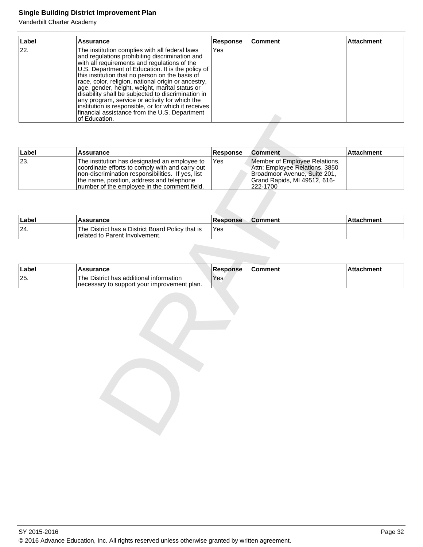# **Single Building District Improvement Plan**

Vanderbilt Charter Academy

| Label | <b>Assurance</b>                                                                                                                                                                                                                                                                                                                                                                                                                                                                                                                                                                                     | <b>Response</b> | Comment | <b>Attachment</b> |
|-------|------------------------------------------------------------------------------------------------------------------------------------------------------------------------------------------------------------------------------------------------------------------------------------------------------------------------------------------------------------------------------------------------------------------------------------------------------------------------------------------------------------------------------------------------------------------------------------------------------|-----------------|---------|-------------------|
| 22.   | The institution complies with all federal laws<br>and regulations prohibiting discrimination and<br>with all requirements and regulations of the<br>U.S. Department of Education. It is the policy of<br>this institution that no person on the basis of<br>race, color, religion, national origin or ancestry,<br>age, gender, height, weight, marital status or<br>disability shall be subjected to discrimination in<br>any program, service or activity for which the<br>institution is responsible, or for which it receives<br>financial assistance from the U.S. Department<br>lof Education. | lYes            |         |                   |

|              | rinancial assistance from the U.S. Department<br>of Education.                                                                                                                                                                                     |                        |                                                                                                                                             |                   |
|--------------|----------------------------------------------------------------------------------------------------------------------------------------------------------------------------------------------------------------------------------------------------|------------------------|---------------------------------------------------------------------------------------------------------------------------------------------|-------------------|
|              |                                                                                                                                                                                                                                                    |                        |                                                                                                                                             |                   |
| Label        | <b>Assurance</b>                                                                                                                                                                                                                                   | Response               | <b>Comment</b>                                                                                                                              | <b>Attachment</b> |
| 23.          | The institution has designated an employee to<br>coordinate efforts to comply with and carry out<br>non-discrimination responsibilities. If yes, list<br>the name, position, address and telephone<br>number of the employee in the comment field. | Yes                    | Member of Employee Relations,<br>Attn: Employee Relations, 3850<br>Broadmoor Avenue, Suite 201,<br>Grand Rapids, MI 49512, 616-<br>222-1700 |                   |
|              |                                                                                                                                                                                                                                                    |                        |                                                                                                                                             |                   |
| Label        | <b>Assurance</b>                                                                                                                                                                                                                                   | <b>Response</b>        | <b>Comment</b>                                                                                                                              | <b>Attachment</b> |
| 24.          | The District has a District Board Policy that is<br>related to Parent Involvement.                                                                                                                                                                 | Yes                    |                                                                                                                                             |                   |
| Label<br>25. | <b>Assurance</b><br>The District has additional information<br>necessary to support your improvement plan.                                                                                                                                         | <b>Response</b><br>Yes | <b>Comment</b>                                                                                                                              | <b>Attachment</b> |
|              |                                                                                                                                                                                                                                                    |                        |                                                                                                                                             |                   |
|              |                                                                                                                                                                                                                                                    |                        |                                                                                                                                             |                   |

| Label | Assurance                                                                          | <b>Response</b> | <b>Comment</b> | ⊺Attachment |
|-------|------------------------------------------------------------------------------------|-----------------|----------------|-------------|
| 24.   | The District has a District Board Policy that is<br>related to Parent Involvement. | 'Yes            |                |             |

| ∣Labe | Assurance                                                                                | <b>Response</b> | <b>Comment</b> | <b>Attachment</b> |
|-------|------------------------------------------------------------------------------------------|-----------------|----------------|-------------------|
| 25.   | 'The District has additional information<br>Inecessary to support your improvement plan. | 'Yes            |                |                   |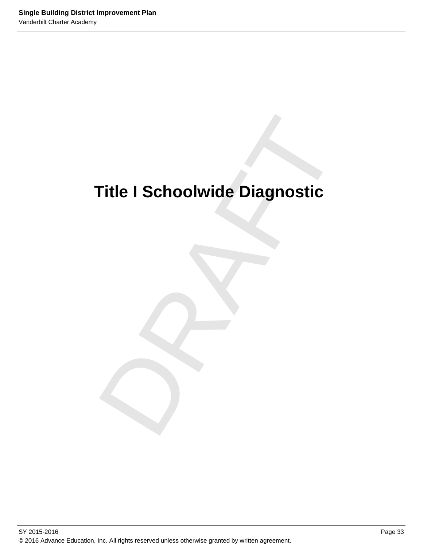# Title I Schoolwide Diagnostic<br>
Dragonaldich<br>
Dragonaldich<br>
Dragonaldich<br>
Dragonaldich<br>
Dragonaldich<br>
Dragonaldich<br>
Dragonaldich<br>
Dragonaldich<br>
Dragonaldich<br>
Dragonaldich<br>
Dragonaldich<br>
Dragonaldich<br>
Dragonaldich<br>
Dragonald **Title I Schoolwide Diagnostic**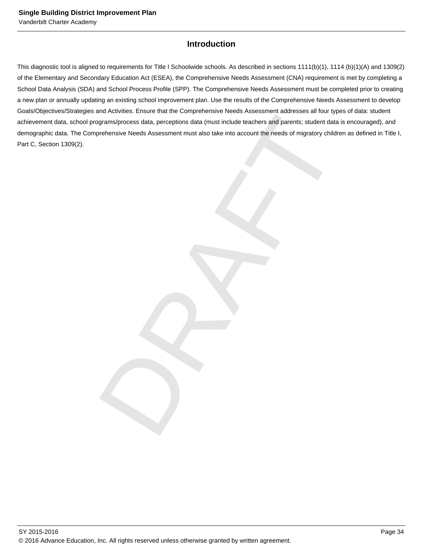# **Introduction**

and workers. Each was not completed by the control of the control of the control of the control of the control of the control of the control of the control of the control of the control of the control of the control of the This diagnostic tool is aligned to requirements for Title I Schoolwide schools. As described in sections 1111(b)(1), 1114 (b)(1)(A) and 1309(2) of the Elementary and Secondary Education Act (ESEA), the Comprehensive Needs Assessment (CNA) requirement is met by completing a School Data Analysis (SDA) and School Process Profile (SPP). The Comprehensive Needs Assessment must be completed prior to creating a new plan or annually updating an existing school improvement plan. Use the results of the Comprehensive Needs Assessment to develop Goals/Objectives/Strategies and Activities. Ensure that the Comprehensive Needs Assessment addresses all four types of data: student achievement data, school programs/process data, perceptions data (must include teachers and parents; student data is encouraged), and demographic data. The Comprehensive Needs Assessment must also take into account the needs of migratory children as defined in Title I, Part C, Section 1309(2).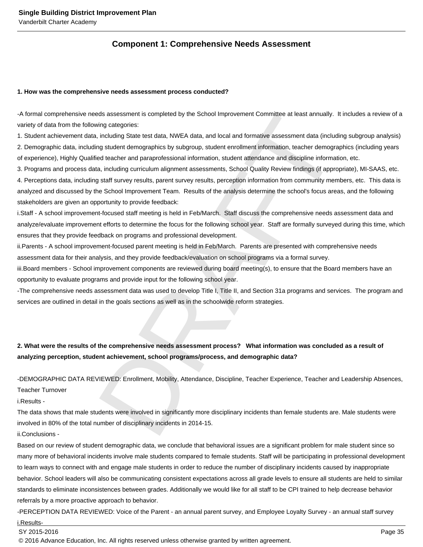# **Component 1: Comprehensive Needs Assessment**

#### **1. How was the comprehensive needs assessment process conducted?**

- A formal comprehensive needs assessment is completed by the School Improvement Committee at least annually. It includes a review of a variety of data from the following categories:

1. Student achievement data, including State test data, NWEA data, and local and formative assessment data (including subgroup analysis) 2. Demographic data, including student demographics by subgroup, student enrollment information, teacher demographics (including years of experience), Highly Qualified teacher and paraprofessional information, student attendance and discipline information, etc.

eds assessment is completed by the School Improvement Committee at least annually. It includes<br>the stessment is completed by the School Improvement Committee at least annually. It including subgroap, studing State test dat 3. Programs and process data, including curriculum alignment assessments, School Quality Review findings (if appropriate), MI-SAAS, etc. 4. Perceptions data, including staff survey results, parent survey results, perception information from community members, etc. This data is analyzed and discussed by the School Improvement Team. Results of the analysis determine the school's focus areas, and the following stakeholders are given an opportunity to provide feedback:

i. Staff - A school improvement-focused staff meeting is held in Feb/March. Staff discuss the comprehensive needs assessment data and analyze/evaluate improvement efforts to determine the focus for the following school year. Staff are formally surveyed during this time, which ensures that they provide feedback on programs and professional development.

ii. Parents - A school improvement-focused parent meeting is held in Feb/March. Parents are presented with comprehensive needs assessment data for their analysis, and they provide feedback/evaluation on school programs via a formal survey.

iii. Board members - School improvement components are reviewed during board meeting(s), to ensure that the Board members have an opportunity to evaluate programs and provide input for the following school year.

- The comprehensive needs assessment data was used to develop Title I, Title II, and Section 31a programs and services. The program and services are outlined in detail in the goals sections as well as in the schoolwide reform strategies.

# **2. What were the results of the comprehensive needs assessment process? What information was concluded as a result of analyzing perception, student achievement, school programs/process, and demographic data?**

- DEMOGRAPHIC DATA REVIEWED: Enrollment, Mobility, Attendance, Discipline, Teacher Experience, Teacher and Leadership Absences,

Teacher Turnover

i. Results -

The data shows that male students were involved in significantly more disciplinary incidents than female students are. Male students were involved in 80% of the total number of disciplinary incidents in 2014-15.

ii. Conclusions -

Based on our review of student demographic data, we conclude that behavioral issues are a significant problem for male student since so many more of behavioral incidents involve male students compared to female students. Staff will be participating in professional development to learn ways to connect with and engage male students in order to reduce the number of disciplinary incidents caused by inappropriate behavior. School leaders will also be communicating consistent expectations across all grade levels to ensure all students are held to similar standards to eliminate inconsistences between grades. Additionally we would like for all staff to be CPI trained to help decrease behavior referrals by a more proactive approach to behavior.

- PERCEPTION DATA REVIEWED: Voice of the Parent - an annual parent survey, and Employee Loyalty Survey - an annual staff survey

i. Results-

SY 2015-2016 Page 35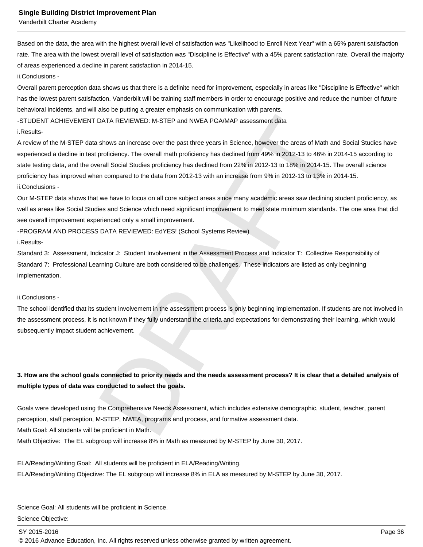Vanderbilt Charter Academy

Based on the data, the area with the highest overall level of satisfaction was "Likelihood to Enroll Next Year" with a 65% parent satisfaction rate. The area with the lowest overall level of satisfaction was "Discipline is Effective" with a 45% parent satisfaction rate. Overall the majority of areas experienced a decline in parent satisfaction in 2014-15.

ii. Conclusions -

Overall parent perception data shows us that there is a definite need for improvement, especially in areas like "Discipline is Effective" which has the lowest parent satisfaction. Vanderbilt will be training staff members in order to encourage positive and reduce the number of future behavioral incidents, and will also be putting a greater emphasis on communication with parents.

- STUDENT ACHIEVEMENT DATA REVIEWED: M-STEP and NWEA PGA/MAP assessment data

i. Results-

DATA REVIEWED: M-STEP and NWEA PGA/MAP assessment data<br>
shows an increase over the past three years in Science, however the areas of Math and Social St<br>
shows an increase over the past three years in Science, however the a A review of the M-STEP data shows an increase over the past three years in Science, however the areas of Math and Social Studies have experienced a decline in test proficiency. The overall math proficiency has declined from 49% in 2012-13 to 46% in 2014-15 according to state testing data, and the overall Social Studies proficiency has declined from 22% in 2012-13 to 18% in 2014-15. The overall science proficiency has improved when compared to the data from 2012-13 with an increase from 9% in 2012-13 to 13% in 2014-15.

ii. Conclusions -

Our M-STEP data shows that we have to focus on all core subject areas since many academic areas saw declining student proficiency, as well as areas like Social Studies and Science which need significant improvement to meet state minimum standards. The one area that did see overall improvement experienced only a small improvement.

- PROGRAM AND PROCESS DATA REVIEWED: EdYES! (School Systems Review)

i. Results-

Standard 3: Assessment, Indicator J: Student Involvement in the Assessment Process and Indicator T: Collective Responsibility of Standard 7: Professional Learning Culture are both considered to be challenges. These indicators are listed as only beginning implementation.

#### ii. Conclusions -

The school identified that its student involvement in the assessment process is only beginning implementation. If students are not involved in the assessment process, it is not known if they fully understand the criteria and expectations for demonstrating their learning, which would subsequently impact student achievement.

# **3. How are the school goals connected to priority needs and the needs assessment process? It is clear that a detailed analysis of multiple types of data was conducted to select the goals.**

Goals were developed using the Comprehensive Needs Assessment, which includes extensive demographic, student, teacher, parent perception, staff perception, M-STEP, NWEA, programs and process, and formative assessment data.

Math Goal: All students will be proficient in Math.

Math Objective: The EL subgroup will increase 8% in Math as measured by M-STEP by June 30, 2017.

ELA/Reading/Writing Goal: All students will be proficient in ELA/Reading/Writing. ELA/Reading/Writing Objective: The EL subgroup will increase 8% in ELA as measured by M-STEP by June 30, 2017.

Science Goal: All students will be proficient in Science. Science Objective:

SY 2015-2016 Page 36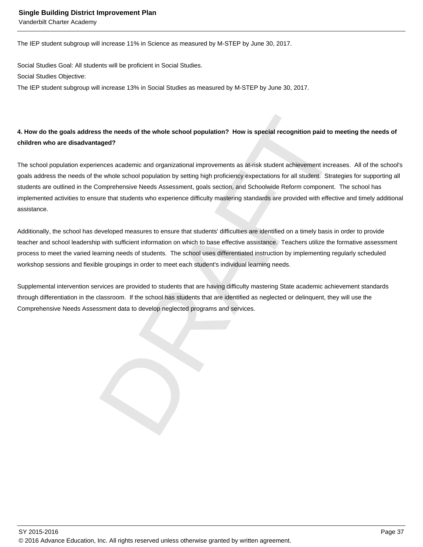Vanderbilt Charter Academy

The IEP student subgroup will increase 11% in Science as measured by M-STEP by June 30, 2017.

Social Studies Goal: All students will be proficient in Social Studies. Social Studies Objective:

The IEP student subgroup will increase 13% in Social Studies as measured by M-STEP by June 30, 2017.

# **4. How do the goals address the needs of the whole school population? How is special recognition paid to meeting the needs of children who are disadvantaged?**

s the needs of the whole school population? How is special recognition paid to meeting the<br>aged?<br>Renoes academic and organizational improvements as at-risk student achievement increases. All or<br>exhole school population by The school population experiences academic and organizational improvements as at-risk student achievement increases. All of the school's goals address the needs of the whole school population by setting high proficiency expectations for all student. Strategies for supporting all students are outlined in the Comprehensive Needs Assessment, goals section, and Schoolwide Reform component. The school has implemented activities to ensure that students who experience difficulty mastering standards are provided with effective and timely additional assistance.

Additionally, the school has developed measures to ensure that students' difficulties are identified on a timely basis in order to provide teacher and school leadership with sufficient information on which to base effective assistance. Teachers utilize the formative assessment process to meet the varied learning needs of students. The school uses differentiated instruction by implementing regularly scheduled workshop sessions and flexible groupings in order to meet each student's individual learning needs.

Supplemental intervention services are provided to students that are having difficulty mastering State academic achievement standards through differentiation in the classroom. If the school has students that are identified as neglected or delinquent, they will use the Comprehensive Needs Assessment data to develop neglected programs and services.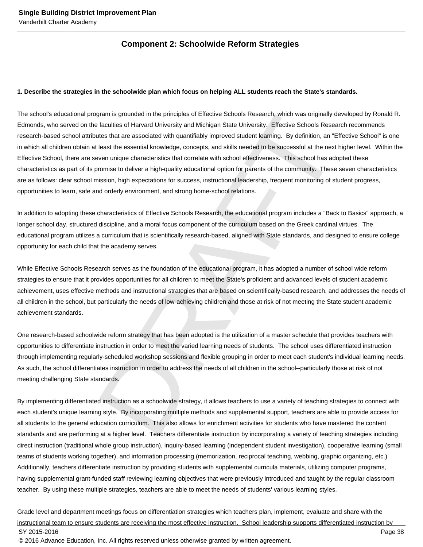# **Component 2: Schoolwide Reform Strategies**

#### **1. Describe the strategies in the schoolwide plan which focus on helping ALL students reach the State's standards.**

gram is grounded in the principles of Effective Schools Research, which was originally developed in<br>faculties of Harvard University and Michigan State University. Effective Schools Research recom-<br>ates that are associated The school's educational program is grounded in the principles of Effective Schools Research, which was originally developed by Ronald R. Edmonds, who served on the faculties of Harvard University and Michigan State University. Effective Schools Research recommends research-based school attributes that are associated with quantifiably improved student learning. By definition, an "Effective School" is one in which all children obtain at least the essential knowledge, concepts, and skills needed to be successful at the next higher level. Within the Effective School, there are seven unique characteristics that correlate with school effectiveness. This school has adopted these characteristics as part of its promise to deliver a high-quality educational option for parents of the community. These seven characteristics are as follows: clear school mission, high expectations for success, instructional leadership, frequent monitoring of student progress, opportunities to learn, safe and orderly environment, and strong home-school relations.

In addition to adopting these characteristics of Effective Schools Research, the educational program includes a "Back to Basics" approach, a longer school day, structured discipline, and a moral focus component of the curriculum based on the Greek cardinal virtues. The educational program utilizes a curriculum that is scientifically research-based, aligned with State standards, and designed to ensure college opportunity for each child that the academy serves.

While Effective Schools Research serves as the foundation of the educational program, it has adopted a number of school wide reform strategies to ensure that it provides opportunities for all children to meet the State's proficient and advanced levels of student academic achievement, uses effective methods and instructional strategies that are based on scientifically-based research, and addresses the needs of all children in the school, but particularly the needs of low-achieving children and those at risk of not meeting the State student academic achievement standards.

One research-based schoolwide reform strategy that has been adopted is the utilization of a master schedule that provides teachers with opportunities to differentiate instruction in order to meet the varied learning needs of students. The school uses differentiated instruction through implementing regularly-scheduled workshop sessions and flexible grouping in order to meet each student's individual learning needs. As such, the school differentiates instruction in order to address the needs of all children in the school--particularly those at risk of not meeting challenging State standards.

By implementing differentiated instruction as a schoolwide strategy, it allows teachers to use a variety of teaching strategies to connect with each student's unique learning style. By incorporating multiple methods and supplemental support, teachers are able to provide access for all students to the general education curriculum. This also allows for enrichment activities for students who have mastered the content standards and are performing at a higher level. Teachers differentiate instruction by incorporating a variety of teaching strategies including direct instruction (traditional whole group instruction), inquiry-based learning (independent student investigation), cooperative learning (small teams of students working together), and information processing (memorization, reciprocal teaching, webbing, graphic organizing, etc.) Additionally, teachers differentiate instruction by providing students with supplemental curricula materials, utilizing computer programs, having supplemental grant-funded staff reviewing learning objectives that were previously introduced and taught by the regular classroom teacher. By using these multiple strategies, teachers are able to meet the needs of students' various learning styles.

Grade level and department meetings focus on differentiation strategies which teachers plan, implement, evaluate and share with the instructional team to ensure students are receiving the most effective instruction. School leadership supports differentiated instruction by SY 2015-2016 Page 38 © 2016 Advance Education, Inc. All rights reserved unless otherwise granted by written agreement.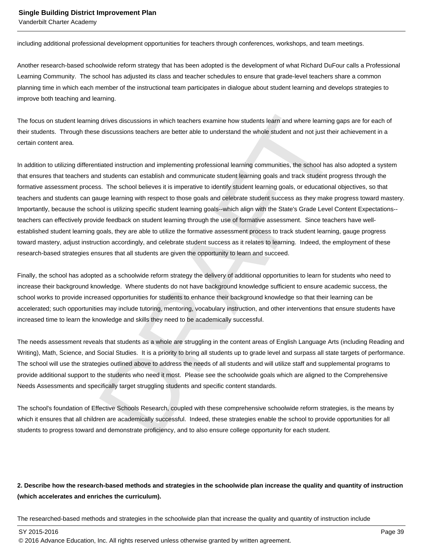Vanderbilt Charter Academy

including additional professional development opportunities for teachers through conferences, workshops, and team meetings.

Another research-based schoolwide reform strategy that has been adopted is the development of what Richard DuFour calls a Professional Learning Community. The school has adjusted its class and teacher schedules to ensure that grade-level teachers share a common planning time in which each member of the instructional team participates in dialogue about student learning and develops strategies to improve both teaching and learning.

The focus on student learning drives discussions in which teachers examine how students learn and where learning gaps are for each of their students. Through these discussions teachers are better able to understand the whole student and not just their achievement in a certain content area.

d drives discussions in which teachers examine how students learn and where learning gaps are for<br>discussions teachers are better able to understand the whole student and not just their achievem<br>titated instruction and imp In addition to utilizing differentiated instruction and implementing professional learning communities, the school has also adopted a system that ensures that teachers and students can establish and communicate student learning goals and track student progress through the formative assessment process. The school believes it is imperative to identify student learning goals, or educational objectives, so that teachers and students can gauge learning with respect to those goals and celebrate student success as they make progress toward mastery. Importantly, because the school is utilizing specific student learning goals--which align with the State's Grade Level Content Expectations- teachers can effectively provide feedback on student learning through the use of formative assessment. Since teachers have wellestablished student learning goals, they are able to utilize the formative assessment process to track student learning, gauge progress toward mastery, adjust instruction accordingly, and celebrate student success as it relates to learning. Indeed, the employment of these research-based strategies ensures that all students are given the opportunity to learn and succeed.

Finally, the school has adopted as a schoolwide reform strategy the delivery of additional opportunities to learn for students who need to increase their background knowledge. Where students do not have background knowledge sufficient to ensure academic success, the school works to provide increased opportunities for students to enhance their background knowledge so that their learning can be accelerated; such opportunities may include tutoring, mentoring, vocabulary instruction, and other interventions that ensure students have increased time to learn the knowledge and skills they need to be academically successful.

The needs assessment reveals that students as a whole are struggling in the content areas of English Language Arts (including Reading and Writing), Math, Science, and Social Studies. It is a priority to bring all students up to grade level and surpass all state targets of performance. The school will use the strategies outlined above to address the needs of all students and will utilize staff and supplemental programs to provide additional support to the students who need it most. Please see the schoolwide goals which are aligned to the Comprehensive Needs Assessments and specifically target struggling students and specific content standards.

The school's foundation of Effective Schools Research, coupled with these comprehensive schoolwide reform strategies, is the means by which it ensures that all children are academically successful. Indeed, these strategies enable the school to provide opportunities for all students to progress toward and demonstrate proficiency, and to also ensure college opportunity for each student.

# **2. Describe how the research-based methods and strategies in the schoolwide plan increase the quality and quantity of instruction (which accelerates and enriches the curriculum).**

The researched-based methods and strategies in the schoolwide plan that increase the quality and quantity of instruction include

SY 2015-2016 Page 39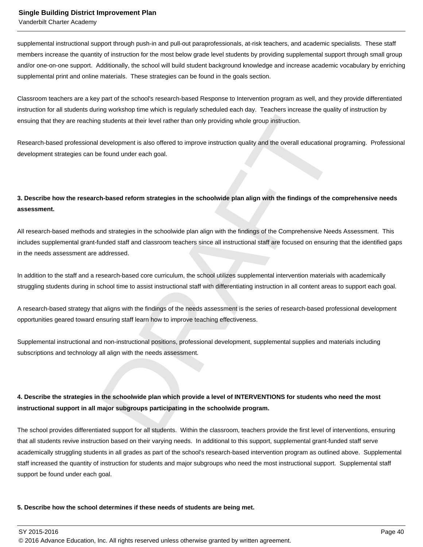Vanderbilt Charter Academy

supplemental instructional support through push-in and pull-out paraprofessionals, at-risk teachers, and academic specialists. These staff members increase the quantity of instruction for the most below grade level students by providing supplemental support through small group and/or one-on-one support. Additionally, the school will build student background knowledge and increase academic vocabulary by enriching supplemental print and online materials. These strategies can be found in the goals section.

Classroom teachers are a key part of the school's research-based Response to Intervention program as well, and they provide differentiated instruction for all students during workshop time which is regularly scheduled each day. Teachers increase the quality of instruction by ensuing that they are reaching students at their level rather than only providing whole group instruction.

Research-based professional development is also offered to improve instruction quality and the overall educational programing. Professional development strategies can be found under each goal.

# **3. Describe how the research-based reform strategies in the schoolwide plan align with the findings of the comprehensive needs assessment.**

of students at their level rather than only providing whole group instruction.<br>
In development is also offered to improve instruction quality and the overall educational programing.<br>
In development is also offered to impro All research-based methods and strategies in the schoolwide plan align with the findings of the Comprehensive Needs Assessment. This includes supplemental grant-funded staff and classroom teachers since all instructional staff are focused on ensuring that the identified gaps in the needs assessment are addressed.

In addition to the staff and a research-based core curriculum, the school utilizes supplemental intervention materials with academically struggling students during in school time to assist instructional staff with differentiating instruction in all content areas to support each goal.

A research-based strategy that aligns with the findings of the needs assessment is the series of research-based professional development opportunities geared toward ensuring staff learn how to improve teaching effectiveness.

Supplemental instructional and non-instructional positions, professional development, supplemental supplies and materials including subscriptions and technology all align with the needs assessment.

# **4. Describe the strategies in the schoolwide plan which provide a level of INTERVENTIONS for students who need the most instructional support in all major subgroups participating in the schoolwide program.**

The school provides differentiated support for all students. Within the classroom, teachers provide the first level of interventions, ensuring that all students revive instruction based on their varying needs. In additional to this support, supplemental grant-funded staff serve academically struggling students in all grades as part of the school's research-based intervention program as outlined above. Supplemental staff increased the quantity of instruction for students and major subgroups who need the most instructional support. Supplemental staff support be found under each goal.

#### **5. Describe how the school determines if these needs of students are being met.**

SY 2015-2016 Page 40

<sup>© 2016</sup> Advance Education, Inc. All rights reserved unless otherwise granted by written agreement.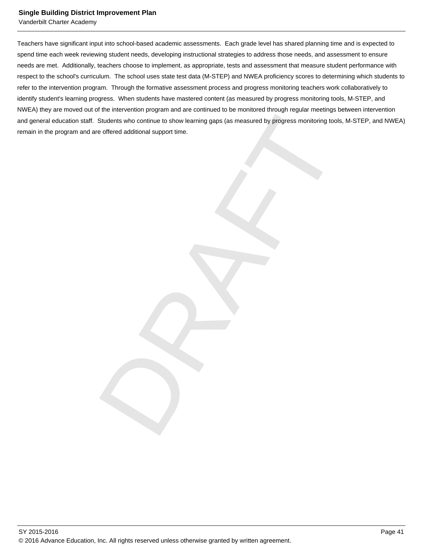Vanderbilt Charter Academy

Students who continue to show learning gaps (as measured by progress monitoring tools, M-STEF<br>e offered additional support time. Teachers have significant input into school-based academic assessments. Each grade level has shared planning time and is expected to spend time each week reviewing student needs, developing instructional strategies to address those needs, and assessment to ensure needs are met. Additionally, teachers choose to implement, as appropriate, tests and assessment that measure student performance with respect to the school's curriculum. The school uses state test data (M-STEP) and NWEA proficiency scores to determining which students to refer to the intervention program. Through the formative assessment process and progress monitoring teachers work collaboratively to identify student's learning progress. When students have mastered content (as measured by progress monitoring tools, M-STEP, and NWEA) they are moved out of the intervention program and are continued to be monitored through regular meetings between intervention and general education staff. Students who continue to show learning gaps (as measured by progress monitoring tools, M-STEP, and NWEA) remain in the program and are offered additional support time.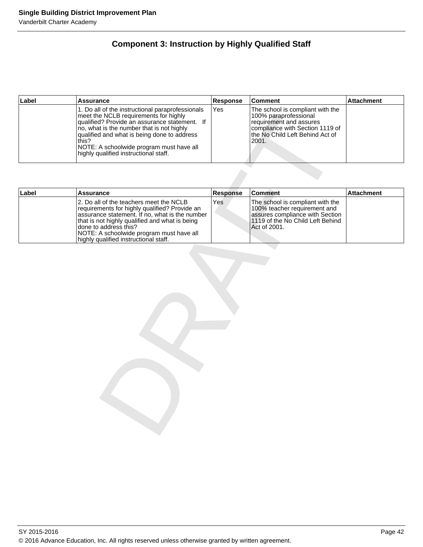# **Component 3: Instruction by Highly Qualified Staff**

| Label | <b>Assurance</b>                                                                                                                                                                                                                                                                                                                     | Response | ∣Comment                                                                                                                                                             | <b>Attachment</b> |
|-------|--------------------------------------------------------------------------------------------------------------------------------------------------------------------------------------------------------------------------------------------------------------------------------------------------------------------------------------|----------|----------------------------------------------------------------------------------------------------------------------------------------------------------------------|-------------------|
|       | 1. Do all of the instructional paraprofessionals<br>meet the NCLB requirements for highly<br>qualified? Provide an assurance statement. If<br>no, what is the number that is not highly<br>qualified and what is being done to address<br>this?<br>NOTE: A schoolwide program must have all<br>highly qualified instructional staff. | Yes      | The school is compliant with the<br>100% paraprofessional<br>requirement and assures<br>compliance with Section 1119 of<br>Ithe No Child Left Behind Act of<br>2001. |                   |

|       | meet the NCLB requirements for highly<br>qualified? Provide an assurance statement. If<br>no, what is the number that is not highly<br>qualified and what is being done to address<br>this?<br>NOTE: A schoolwide program must have all<br>highly qualified instructional staff.                           |                 | 100% paraprofessional<br>requirement and assures<br>compliance with Section 1119 of<br>the No Child Left Behind Act of<br>2001.                         |                   |
|-------|------------------------------------------------------------------------------------------------------------------------------------------------------------------------------------------------------------------------------------------------------------------------------------------------------------|-----------------|---------------------------------------------------------------------------------------------------------------------------------------------------------|-------------------|
|       |                                                                                                                                                                                                                                                                                                            |                 |                                                                                                                                                         |                   |
| Label | <b>Assurance</b>                                                                                                                                                                                                                                                                                           | <b>Response</b> | <b>Comment</b>                                                                                                                                          | <b>Attachment</b> |
|       | 2. Do all of the teachers meet the NCLB<br>requirements for highly qualified? Provide an<br>assurance statement. If no, what is the number<br>that is not highly qualified and what is being<br>done to address this?<br>NOTE: A schoolwide program must have all<br>highly qualified instructional staff. | Yes             | The school is compliant with the<br>100% teacher requirement and<br>assures compliance with Section<br>1119 of the No Child Left Behind<br>Act of 2001. |                   |
|       |                                                                                                                                                                                                                                                                                                            |                 |                                                                                                                                                         |                   |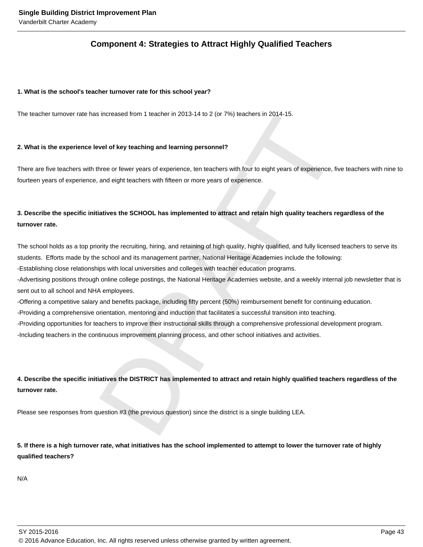# **Component 4: Strategies to Attract Highly Qualified Teachers**

#### **1. What is the school's teacher turnover rate for this school year?**

The teacher turnover rate has increased from 1 teacher in 2013-14 to 2 (or 7%) teachers in 2014-15.

### **2. What is the experience level of key teaching and learning personnel?**

There are five teachers with three or fewer years of experience, ten teachers with four to eight years of experience, five teachers with nine to fourteen years of experience, and eight teachers with fifteen or more years of experience.

# **3. Describe the specific initiatives the SCHOOL has implemented to attract and retain high quality teachers regardless of the turnover rate.**

The school holds as a top priority the recruiting, hiring, and retaining of high quality, highly qualified, and fully licensed teachers to serve its students. Efforts made by the school and its management partner, National Heritage Academies include the following:

- Establishing close relationships with local universities and colleges with teacher education programs.

- Advertising positions through online college postings, the National Heritage Academies website, and a weekly internal job newsletter that is sent out to all school and NHA employees.

- Offering a competitive salary and benefits package, including fifty percent (50%) reimbursement benefit for continuing education.

- Providing a comprehensive orientation, mentoring and induction that facilitates a successful transition into teaching.

- Providing opportunities for teachers to improve their instructional skills through a comprehensive professional development program.

- Including teachers in the continuous improvement planning process, and other school initiatives and activities.

sincreased from 1 teacher in 2013-14 to 2 (or 7%) teachers in 2014-15.<br>
sincreased from 1 teacher in 2013-14 to 2 (or 7%) teachers in 2014-15.<br>
since of tweir veaching and learning personnel?<br>
three or fewer years of exper **4. Describe the specific initiatives the DISTRICT has implemented to attract and retain highly qualified teachers regardless of the turnover rate.** 

Please see responses from question #3 (the previous question) since the district is a single building LEA.

# **5. If there is a high turnover rate, what initiatives has the school implemented to attempt to lower the turnover rate of highly qualified teachers?**

N/A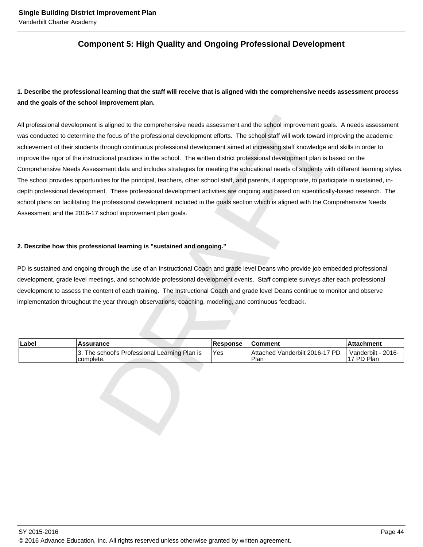# **Component 5: High Quality and Ongoing Professional Development**

# **1. Describe the professional learning that the staff will receive that is aligned with the comprehensive needs assessment process and the goals of the school improvement plan.**

is aligned to the comprehensive needs assessment and the school improvement goals. A needs<br>the focus of the professional development efforts. The school staff will work toward improving the<br>s through confining the school. All professional development is aligned to the comprehensive needs assessment and the school improvement goals. A needs assessment was conducted to determine the focus of the professional development efforts. The school staff will work toward improving the academic achievement of their students through continuous professional development aimed at increasing staff knowledge and skills in order to improve the rigor of the instructional practices in the school. The written district professional development plan is based on the Comprehensive Needs Assessment data and includes strategies for meeting the educational needs of students with different learning styles. The school provides opportunities for the principal, teachers, other school staff, and parents, if appropriate, to participate in sustained, indepth professional development. These professional development activities are ongoing and based on scientifically-based research. The school plans on facilitating the professional development included in the goals section which is aligned with the Comprehensive Needs Assessment and the 2016-17 school improvement plan goals.

## **2. Describe how this professional learning is "sustained and ongoing."**

PD is sustained and ongoing through the use of an Instructional Coach and grade level Deans who provide job embedded professional development, grade level meetings, and schoolwide professional development events. Staff complete surveys after each professional development to assess the content of each training. The Instructional Coach and grade level Deans continue to monitor and observe implementation throughout the year through observations, coaching, modeling, and continuous feedback.

| Label | <b>Assurance</b>                                            | <b>Response</b> | <b>Comment</b>                         | ∣Attachment                      |
|-------|-------------------------------------------------------------|-----------------|----------------------------------------|----------------------------------|
|       | 13. The school's Professional Learning Plan is<br>complete. | Yes             | Attached Vanderbilt 2016-17 PD<br>Plan | Vanderbilt - 2016-<br>17 PD Plan |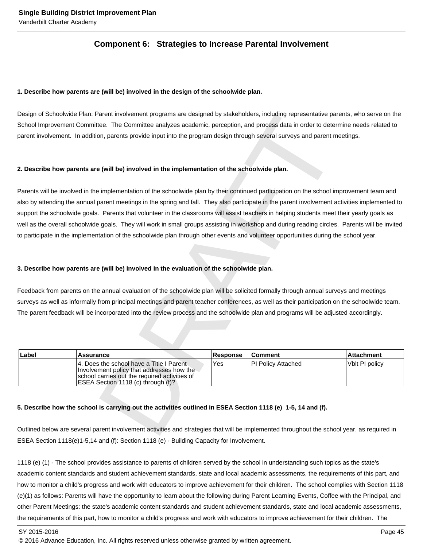# **Component 6: Strategies to Increase Parental Involvement**

#### **1. Describe how parents are (will be) involved in the design of the schoolwide plan.**

Design of Schoolwide Plan: Parent involvement programs are designed by stakeholders, including representative parents, who serve on the School Improvement Committee. The Committee analyzes academic, perception, and process data in order to determine needs related to parent involvement. In addition, parents provide input into the program design through several surveys and parent meetings.

#### **2. Describe how parents are (will be) involved in the implementation of the schoolwide plan.**

Terms involvement programs are designed by stateholders, including representative parents, who<br>are. The Committee analyzes academic, perception, and process data in order to determine need<br>on, parents provide input into th Parents will be involved in the implementation of the schoolwide plan by their continued participation on the school improvement team and also by attending the annual parent meetings in the spring and fall. They also participate in the parent involvement activities implemented to support the schoolwide goals. Parents that volunteer in the classrooms will assist teachers in helping students meet their yearly goals as well as the overall schoolwide goals. They will work in small groups assisting in workshop and during reading circles. Parents will be invited to participate in the implementation of the schoolwide plan through other events and volunteer opportunities during the school year.

#### **3. Describe how parents are (will be) involved in the evaluation of the schoolwide plan.**

Feedback from parents on the annual evaluation of the schoolwide plan will be solicited formally through annual surveys and meetings surveys as well as informally from principal meetings and parent teacher conferences, as well as their participation on the schoolwide team. The parent feedback will be incorporated into the review process and the schoolwide plan and programs will be adjusted accordingly.

| Label | <b>Assurance</b>                                                                                                                                                               | <b>Response</b> | <b>Comment</b>      | ∣Attachment    |
|-------|--------------------------------------------------------------------------------------------------------------------------------------------------------------------------------|-----------------|---------------------|----------------|
|       | 14. Does the school have a Title I Parent<br>Involvement policy that addresses how the<br>Ischool carries out the required activities of<br>ESEA Section 1118 (c) through (f)? | Yes             | IPI Policv Attached | Vblt PI policy |

#### **5. Describe how the school is carrying out the activities outlined in ESEA Section 1118 (e) 1-5, 14 and (f).**

Outlined below are several parent involvement activities and strategies that will be implemented throughout the school year, as required in ESEA Section 1118(e)1-5,14 and (f): Section 1118 (e) - Building Capacity for Involvement.

1118 (e) (1) - The school provides assistance to parents of children served by the school in understanding such topics as the state's academic content standards and student achievement standards, state and local academic assessments, the requirements of this part, and how to monitor a child's progress and work with educators to improve achievement for their children. The school complies with Section 1118 (e)(1) as follows: Parents will have the opportunity to learn about the following during Parent Learning Events, Coffee with the Principal, and other Parent Meetings: the state's academic content standards and student achievement standards, state and local academic assessments, the requirements of this part, how to monitor a child's progress and work with educators to improve achievement for their children. The

SY 2015-2016 Page 45

<sup>© 2016</sup> Advance Education, Inc. All rights reserved unless otherwise granted by written agreement.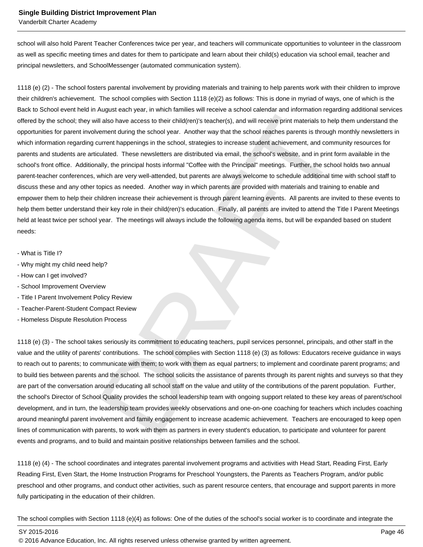Vanderbilt Charter Academy

school will also hold Parent Teacher Conferences twice per year, and teachers will communicate opportunities to volunteer in the classroom as well as specific meeting times and dates for them to participate and learn about their child(s) education via school email, teacher and principal newsletters, and SchoolMessenger (automated communication system).

Ill also have access to their child(ren)'s teacher(s), and will receive print materials to help them underner<br>Il also have access to their child(ren)'s teacher(s), and will receive print materials to help them underner<br>int 1118 (e) (2) - The school fosters parental involvement by providing materials and training to help parents work with their children to improve their children's achievement. The school complies with Section 1118 (e)(2) as follows: This is done in myriad of ways, one of which is the Back to School event held in August each year, in which families will receive a school calendar and information regarding additional services offered by the school; they will also have access to their child(ren)'s teacher(s), and will receive print materials to help them understand the opportunities for parent involvement during the school year. Another way that the school reaches parents is through monthly newsletters in which information regarding current happenings in the school, strategies to increase student achievement, and community resources for parents and students are articulated. These newsletters are distributed via email, the school's website, and in print form available in the school's front office. Additionally, the principal hosts informal "Coffee with the Principal" meetings. Further, the school holds two annual parent-teacher conferences, which are very well-attended, but parents are always welcome to schedule additional time with school staff to discuss these and any other topics as needed. Another way in which parents are provided with materials and training to enable and empower them to help their children increase their achievement is through parent learning events. All parents are invited to these events to help them better understand their key role in their child(ren)'s education. Finally, all parents are invited to attend the Title I Parent Meetings held at least twice per school year. The meetings will always include the following agenda items, but will be expanded based on student needs:

- What is Title I?
- Why might my child need help?
- How can I get involved?
- School Improvement Overview
- Title I Parent Involvement Policy Review
- Teacher-Parent-Student Compact Review
- Homeless Dispute Resolution Process

1118 (e) (3) - The school takes seriously its commitment to educating teachers, pupil services personnel, principals, and other staff in the value and the utility of parents' contributions. The school complies with Section 1118 (e) (3) as follows: Educators receive guidance in ways to reach out to parents; to communicate with them; to work with them as equal partners; to implement and coordinate parent programs; and to build ties between parents and the school. The school solicits the assistance of parents through its parent nights and surveys so that they are part of the conversation around educating all school staff on the value and utility of the contributions of the parent population. Further, the school's Director of School Quality provides the school leadership team with ongoing support related to these key areas of parent/school development, and in turn, the leadership team provides weekly observations and one-on-one coaching for teachers which includes coaching around meaningful parent involvement and family engagement to increase academic achievement. Teachers are encouraged to keep open lines of communication with parents, to work with them as partners in every student's education, to participate and volunteer for parent events and programs, and to build and maintain positive relationships between families and the school.

1118 (e) (4) - The school coordinates and integrates parental involvement programs and activities with Head Start, Reading First, Early Reading First, Even Start, the Home Instruction Programs for Preschool Youngsters, the Parents as Teachers Program, and/or public preschool and other programs, and conduct other activities, such as parent resource centers, that encourage and support parents in more fully participating in the education of their children.

The school complies with Section 1118 (e)(4) as follows: One of the duties of the school's social worker is to coordinate and integrate the

SY 2015-2016 Page 46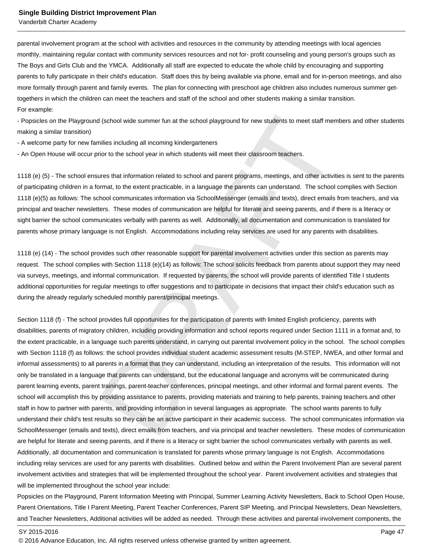Vanderbilt Charter Academy

parental involvement program at the school with activities and resources in the community by attending meetings with local agencies monthly, maintaining regular contact with community services resources and not for- profit counseling and young person's groups such as The Boys and Girls Club and the YMCA. Additionally all staff are expected to educate the whole child by encouraging and supporting parents to fully participate in their child's education. Staff does this by being available via phone, email and for in-person meetings, and also more formally through parent and family events. The plan for connecting with preschool age children also includes numerous summer gettogethers in which the children can meet the teachers and staff of the school and other students making a similar transition. For example:

- Popsicles on the Playground (school wide summer fun at the school playground for new students to meet staff members and other students making a similar transition)

- A welcome party for new families including all incoming kindergarteners

- An Open House will occur prior to the school year in which students will meet their classroom teachers.

1118 (e) (5) - The school ensures that information related to school and parent programs, meetings, and other activities is sent to the parents of participating children in a format, to the extent practicable, in a language the parents can understand. The school complies with Section 1118 (e)(5) as follows: The school communicates information via SchoolMessenger (emails and texts), direct emails from teachers, and via principal and teacher newsletters. These modes of communication are helpful for literate and seeing parents, and if there is a literacy or sight barrier the school communicates verbally with parents as well. Additionally, all documentation and communication is translated for parents whose primary language is not English. Accommodations including relay services are used for any parents with disabilities.

1118 (e) (14) - The school provides such other reasonable support for parental involvement activities under this section as parents may request. The school complies with Section 1118 (e)(14) as follows: The school solicits feedback from parents about support they may need via surveys, meetings, and informal communication. If requested by parents, the school will provide parents of identified Title I students additional opportunities for regular meetings to offer suggestions and to participate in decisions that impact their child's education such as during the already regularly scheduled monthly parent/principal meetings.

d (school wide summer fun at the school playground for new students to meet staff members and c<br>milles including all incoming kindergarteners<br>finite including all incoming kindergarteners<br>finite to the school year in which Section 1118 (f) - The school provides full opportunities for the participation of parents with limited English proficiency, parents with disabilities, parents of migratory children, including providing information and school reports required under Section 1111 in a format and, to the extent practicable, in a language such parents understand, in carrying out parental involvement policy in the school. The school complies with Section 1118 (f) as follows: the school provides individual student academic assessment results (M-STEP, NWEA, and other formal and informal assessments) to all parents in a format that they can understand, including an interpretation of the results. This information will not only be translated in a language that parents can understand, but the educational language and acronyms will be communicated during parent learning events, parent trainings, parent-teacher conferences, principal meetings, and other informal and formal parent events. The school will accomplish this by providing assistance to parents, providing materials and training to help parents, training teachers and other staff in how to partner with parents, and providing information in several languages as appropriate. The school wants parents to fully understand their child's test results so they can be an active participant in their academic success. The school communicates information via SchoolMessenger (emails and texts), direct emails from teachers, and via principal and teacher newsletters. These modes of communication are helpful for literate and seeing parents, and if there is a literacy or sight barrier the school communicates verbally with parents as well. Additionally, all documentation and communication is translated for parents whose primary language is not English. Accommodations including relay services are used for any parents with disabilities. Outlined below and within the Parent Involvement Plan are several parent involvement activities and strategies that will be implemented throughout the school year. Parent involvement activities and strategies that will be implemented throughout the school year include:

Popsicles on the Playground, Parent Information Meeting with Principal, Summer Learning Activity Newsletters, Back to School Open House, Parent Orientations, Title I Parent Meeting, Parent Teacher Conferences, Parent SIP Meeting, and Principal Newsletters, Dean Newsletters, and Teacher Newsletters, Additional activities will be added as needed. Through these activities and parental involvement components, the

<sup>© 2016</sup> Advance Education, Inc. All rights reserved unless otherwise granted by written agreement.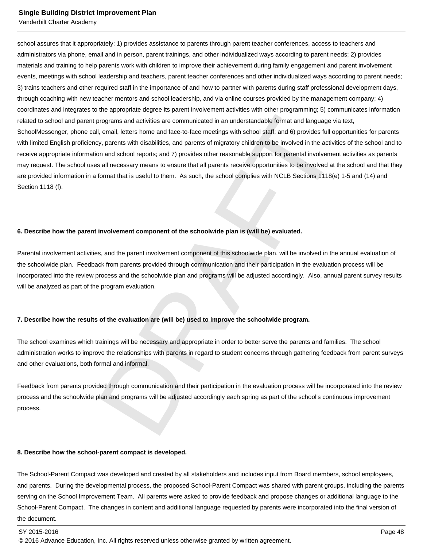Vanderbilt Charter Academy

programs and activities are communicated in an understandable format and language via text,<br>the mail, letters home and face-to-face meetings with school staff; and 6) provides full opportunities<br>are, email, letters home an school assures that it appropriately: 1) provides assistance to parents through parent teacher conferences, access to teachers and administrators via phone, email and in person, parent trainings, and other individualized ways according to parent needs; 2) provides materials and training to help parents work with children to improve their achievement during family engagement and parent involvement events, meetings with school leadership and teachers, parent teacher conferences and other individualized ways according to parent needs; 3) trains teachers and other required staff in the importance of and how to partner with parents during staff professional development days, through coaching with new teacher mentors and school leadership, and via online courses provided by the management company; 4) coordinates and integrates to the appropriate degree its parent involvement activities with other programming; 5) communicates information related to school and parent programs and activities are communicated in an understandable format and language via text, SchoolMessenger, phone call, email, letters home and face-to-face meetings with school staff; and 6) provides full opportunities for parents with limited English proficiency, parents with disabilities, and parents of migratory children to be involved in the activities of the school and to receive appropriate information and school reports; and 7) provides other reasonable support for parental involvement activities as parents may request. The school uses all necessary means to ensure that all parents receive opportunities to be involved at the school and that they are provided information in a format that is useful to them. As such, the school complies with NCLB Sections 1118(e) 1-5 and (14) and Section 1118 (f).

#### **6. Describe how the parent involvement component of the schoolwide plan is (will be) evaluated.**

Parental involvement activities, and the parent involvement component of this schoolwide plan, will be involved in the annual evaluation of the schoolwide plan. Feedback from parents provided through communication and their participation in the evaluation process will be incorporated into the review process and the schoolwide plan and programs will be adjusted accordingly. Also, annual parent survey results will be analyzed as part of the program evaluation.

#### **7. Describe how the results of the evaluation are (will be) used to improve the schoolwide program.**

The school examines which trainings will be necessary and appropriate in order to better serve the parents and families. The school administration works to improve the relationships with parents in regard to student concerns through gathering feedback from parent surveys and other evaluations, both formal and informal.

Feedback from parents provided through communication and their participation in the evaluation process will be incorporated into the review process and the schoolwide plan and programs will be adjusted accordingly each spring as part of the school's continuous improvement process.

#### **8. Describe how the school-parent compact is developed.**

The School-Parent Compact was developed and created by all stakeholders and includes input from Board members, school employees, and parents. During the developmental process, the proposed School-Parent Compact was shared with parent groups, including the parents serving on the School Improvement Team. All parents were asked to provide feedback and propose changes or additional language to the School-Parent Compact. The changes in content and additional language requested by parents were incorporated into the final version of the document.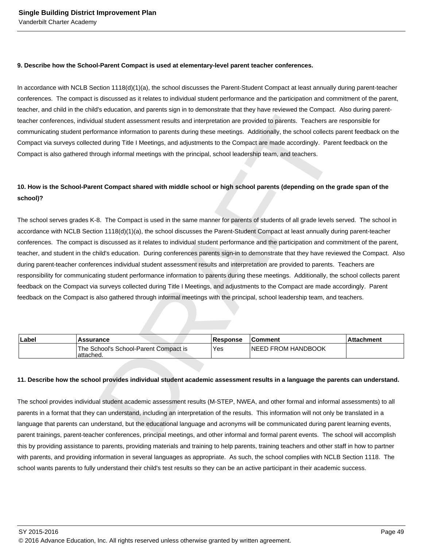#### **9. Describe how the School-Parent Compact is used at elementary-level parent teacher conferences.**

In accordance with NCLB Section 1118(d)(1)(a), the school discusses the Parent-Student Compact at least annually during parent-teacher conferences. The compact is discussed as it relates to individual student performance and the participation and commitment of the parent, teacher, and child in the child's education, and parents sign in to demonstrate that they have reviewed the Compact. Also during parentteacher conferences, individual student assessment results and interpretation are provided to parents. Teachers are responsible for communicating student performance information to parents during these meetings. Additionally, the school collects parent feedback on the Compact via surveys collected during Title I Meetings, and adjustments to the Compact are made accordingly. Parent feedback on the Compact is also gathered through informal meetings with the principal, school leadership team, and teachers.

# **10. How is the School-Parent Compact shared with middle school or high school parents (depending on the grade span of the school)?**

In all student assessment results and interpretation are provided to parents. Teachers are responsible<br>mance information to parents during these meetings. Additionally, the school collects parent feed<br>of during Title I Mee The school serves grades K-8. The Compact is used in the same manner for parents of students of all grade levels served. The school in accordance with NCLB Section 1118(d)(1)(a), the school discusses the Parent-Student Compact at least annually during parent-teacher conferences. The compact is discussed as it relates to individual student performance and the participation and commitment of the parent, teacher, and student in the child's education. During conferences parents sign-in to demonstrate that they have reviewed the Compact. Also during parent-teacher conferences individual student assessment results and interpretation are provided to parents. Teachers are responsibility for communicating student performance information to parents during these meetings. Additionally, the school collects parent feedback on the Compact via surveys collected during Title I Meetings, and adjustments to the Compact are made accordingly. Parent feedback on the Compact is also gathered through informal meetings with the principal, school leadership team, and teachers.

| Label | <b>Assurance</b>                                   | Response | <b>Comment</b>             | l Attachment |
|-------|----------------------------------------------------|----------|----------------------------|--------------|
|       | The School's School-Parent Compact is<br>attached. | Yes      | <b>INEED FROM HANDBOOK</b> |              |

### **11. Describe how the school provides individual student academic assessment results in a language the parents can understand.**

The school provides individual student academic assessment results (M-STEP, NWEA, and other formal and informal assessments) to all parents in a format that they can understand, including an interpretation of the results. This information will not only be translated in a language that parents can understand, but the educational language and acronyms will be communicated during parent learning events, parent trainings, parent-teacher conferences, principal meetings, and other informal and formal parent events. The school will accomplish this by providing assistance to parents, providing materials and training to help parents, training teachers and other staff in how to partner with parents, and providing information in several languages as appropriate. As such, the school complies with NCLB Section 1118. The school wants parents to fully understand their child's test results so they can be an active participant in their academic success.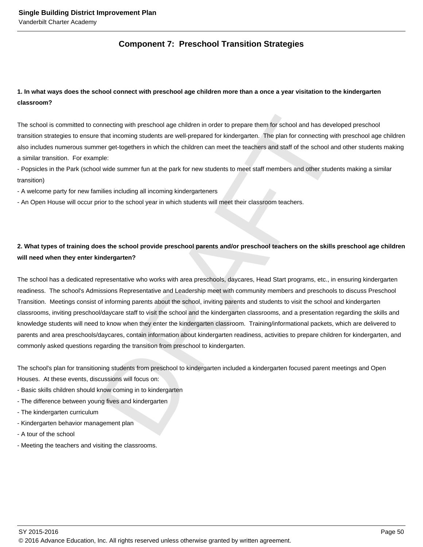# **Component 7: Preschool Transition Strategies**

# **1. In what ways does the school connect with preschool age children more than a once a year visitation to the kindergarten classroom?**

The school is committed to connecting with preschool age children in order to prepare them for school and has developed preschool transition strategies to ensure that incoming students are well-prepared for kindergarten. The plan for connecting with preschool age children also includes numerous summer get-togethers in which the children can meet the teachers and staff of the school and other students making a similar transition. For example:

- Popsicles in the Park (school wide summer fun at the park for new students to meet staff members and other students making a similar transition)

- A welcome party for new families including all incoming kindergarteners

- An Open House will occur prior to the school year in which students will meet their classroom teachers.

# **2. What types of training does the school provide preschool parents and/or preschool teachers on the skills preschool age children will need when they enter kindergarten?**

onnecting with preschool age children in order to prepare them for school and has developed press<br>that incoming students are well-prepared for kindergarten. The plan for connecting with preschool<br>mere get-togethers in whic The school has a dedicated representative who works with area preschools, daycares, Head Start programs, etc., in ensuring kindergarten readiness. The school's Admissions Representative and Leadership meet with community members and preschools to discuss Preschool Transition. Meetings consist of informing parents about the school, inviting parents and students to visit the school and kindergarten classrooms, inviting preschool/daycare staff to visit the school and the kindergarten classrooms, and a presentation regarding the skills and knowledge students will need to know when they enter the kindergarten classroom. Training/informational packets, which are delivered to parents and area preschools/daycares, contain information about kindergarten readiness, activities to prepare children for kindergarten, and commonly asked questions regarding the transition from preschool to kindergarten.

The school's plan for transitioning students from preschool to kindergarten included a kindergarten focused parent meetings and Open Houses. At these events, discussions will focus on:

- Basic skills children should know coming in to kindergarten
- The difference between young fives and kindergarten
- The kindergarten curriculum
- Kindergarten behavior management plan
- A tour of the school
- Meeting the teachers and visiting the classrooms.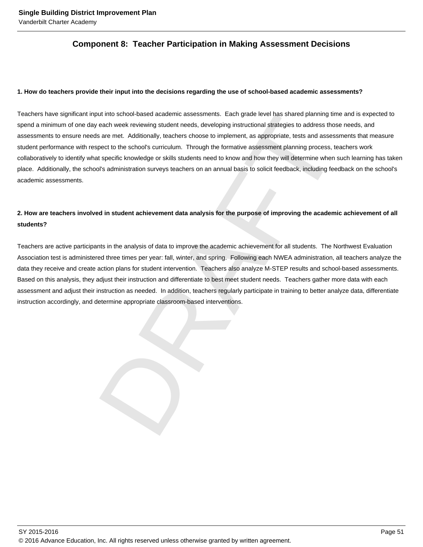# **Component 8: Teacher Participation in Making Assessment Decisions**

#### **1. How do teachers provide their input into the decisions regarding the use of school-based academic assessments?**

within school-based academic assessments. Each grade level has shared planning inne and is exact by a cach weak reviewing student needs, developing instructional strategies to address those needs, as are met. Additionally, Teachers have significant input into school-based academic assessments. Each grade level has shared planning time and is expected to spend a minimum of one day each week reviewing student needs, developing instructional strategies to address those needs, and assessments to ensure needs are met. Additionally, teachers choose to implement, as appropriate, tests and assessments that measure student performance with respect to the school's curriculum. Through the formative assessment planning process, teachers work collaboratively to identify what specific knowledge or skills students need to know and how they will determine when such learning has taken place. Additionally, the school's administration surveys teachers on an annual basis to solicit feedback, including feedback on the school's academic assessments.

# **2. How are teachers involved in student achievement data analysis for the purpose of improving the academic achievement of all students?**

Teachers are active participants in the analysis of data to improve the academic achievement for all students. The Northwest Evaluation Association test is administered three times per year: fall, winter, and spring. Following each NWEA administration, all teachers analyze the data they receive and create action plans for student intervention. Teachers also analyze M-STEP results and school-based assessments. Based on this analysis, they adjust their instruction and differentiate to best meet student needs. Teachers gather more data with each assessment and adjust their instruction as needed. In addition, teachers regularly participate in training to better analyze data, differentiate instruction accordingly, and determine appropriate classroom-based interventions.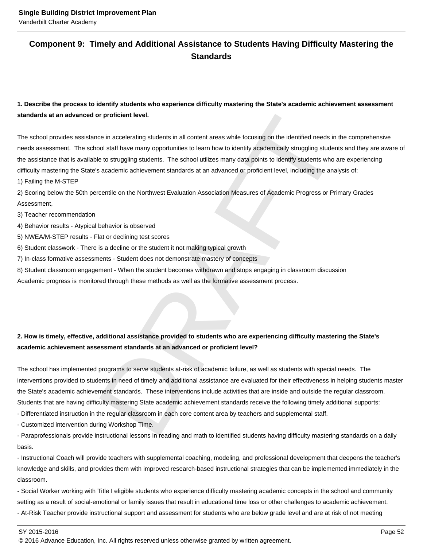# **Component 9: Timely and Additional Assistance to Students Having Difficulty Mastering the Standards**

# **1. Describe the process to identify students who experience difficulty mastering the State's academic achievement assessment standards at an advanced or proficient level.**

or proficient level.<br>
Compare and accelerating students in all content areas while focusing on the identified needs in the comproduction<br>
Solo staff have many opportunities to learn how to identify accelerationally struggl The school provides assistance in accelerating students in all content areas while focusing on the identified needs in the comprehensive needs assessment. The school staff have many opportunities to learn how to identify academically struggling students and they are aware of the assistance that is available to struggling students. The school utilizes many data points to identify students who are experiencing difficulty mastering the State's academic achievement standards at an advanced or proficient level, including the analysis of:

1) Failing the M-STEP

2) Scoring below the 50th percentile on the Northwest Evaluation Association Measures of Academic Progress or Primary Grades Assessment,

#### 3) Teacher recommendation

4) Behavior results - Atypical behavior is observed

- 5) NWEA/M-STEP results Flat or declining test scores
- 6) Student classwork There is a decline or the student it not making typical growth
- 7) In-class formative assessments Student does not demonstrate mastery of concepts
- 8) Student classroom engagement When the student becomes withdrawn and stops engaging in classroom discussion

Academic progress is monitored through these methods as well as the formative assessment process.

# **2. How is timely, effective, additional assistance provided to students who are experiencing difficulty mastering the State's academic achievement assessment standards at an advanced or proficient level?**

The school has implemented programs to serve students at-risk of academic failure, as well as students with special needs. The interventions provided to students in need of timely and additional assistance are evaluated for their effectiveness in helping students master the State's academic achievement standards. These interventions include activities that are inside and outside the regular classroom. Students that are having difficulty mastering State academic achievement standards receive the following timely additional supports:

- Differentiated instruction in the regular classroom in each core content area by teachers and supplemental staff.

- Customized intervention during Workshop Time.

- Paraprofessionals provide instructional lessons in reading and math to identified students having difficulty mastering standards on a daily basis.

- Instructional Coach will provide teachers with supplemental coaching, modeling, and professional development that deepens the teacher's knowledge and skills, and provides them with improved research-based instructional strategies that can be implemented immediately in the classroom.

- Social Worker working with Title I eligible students who experience difficulty mastering academic concepts in the school and community setting as a result of social-emotional or family issues that result in educational time loss or other challenges to academic achievement. - At-Risk Teacher provide instructional support and assessment for students who are below grade level and are at risk of not meeting

SY 2015-2016 Page 52

<sup>© 2016</sup> Advance Education, Inc. All rights reserved unless otherwise granted by written agreement.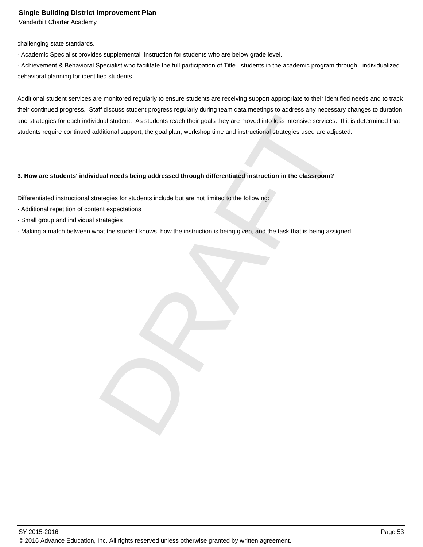Vanderbilt Charter Academy

challenging state standards.

- Academic Specialist provides supplemental instruction for students who are below grade level.

- Achievement & Behavioral Specialist who facilitate the full participation of Title I students in the academic program through individualized behavioral planning for identified students.

dual student. As students reach their goals they are moved into less intensive services. If it is determined to the goal plan, workshop time and instructional strategies used are adjusted.<br>
dual needs being addressed throu Additional student services are monitored regularly to ensure students are receiving support appropriate to their identified needs and to track their continued progress. Staff discuss student progress regularly during team data meetings to address any necessary changes to duration and strategies for each individual student. As students reach their goals they are moved into less intensive services. If it is determined that students require continued additional support, the goal plan, workshop time and instructional strategies used are adjusted.

#### **3. How are students' individual needs being addressed through differentiated instruction in the classroom?**

Differentiated instructional strategies for students include but are not limited to the following:

- Additional repetition of content expectations
- Small group and individual strategies
- Making a match between what the student knows, how the instruction is being given, and the task that is being assigned.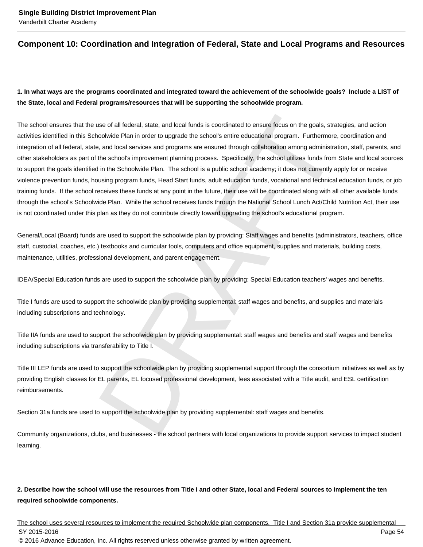# **Component 10: Coordination and Integration of Federal, State and Local Programs and Resources**

# **1. In what ways are the programs coordinated and integrated toward the achievement of the schoolwide goals? Include a LIST of the State, local and Federal programs/resources that will be supporting the schoolwide program.**

use of all federal, state, and local funds is coordinated to ensure focus on the goals, strategies, and<br>coolwide Plan in order to upgrade the school's entire educational program. Furthermore, coordinations as, and local se The school ensures that the use of all federal, state, and local funds is coordinated to ensure focus on the goals, strategies, and action activities identified in this Schoolwide Plan in order to upgrade the school's entire educational program. Furthermore, coordination and integration of all federal, state, and local services and programs are ensured through collaboration among administration, staff, parents, and other stakeholders as part of the school's improvement planning process. Specifically, the school utilizes funds from State and local sources to support the goals identified in the Schoolwide Plan. The school is a public school academy; it does not currently apply for or receive violence prevention funds, housing program funds, Head Start funds, adult education funds, vocational and technical education funds, or job training funds. If the school receives these funds at any point in the future, their use will be coordinated along with all other available funds through the school's Schoolwide Plan. While the school receives funds through the National School Lunch Act/Child Nutrition Act, their use is not coordinated under this plan as they do not contribute directly toward upgrading the school's educational program.

General/Local (Board) funds are used to support the schoolwide plan by providing: Staff wages and benefits (administrators, teachers, office staff, custodial, coaches, etc.) textbooks and curricular tools, computers and office equipment, supplies and materials, building costs, maintenance, utilities, professional development, and parent engagement.

IDEA/Special Education funds are used to support the schoolwide plan by providing: Special Education teachers' wages and benefits.

Title I funds are used to support the schoolwide plan by providing supplemental: staff wages and benefits, and supplies and materials including subscriptions and technology.

Title IIA funds are used to support the schoolwide plan by providing supplemental: staff wages and benefits and staff wages and benefits including subscriptions via transferability to Title I.

Title III LEP funds are used to support the schoolwide plan by providing supplemental support through the consortium initiatives as well as by providing English classes for EL parents, EL focused professional development, fees associated with a Title audit, and ESL certification reimbursements.

Section 31a funds are used to support the schoolwide plan by providing supplemental: staff wages and benefits.

Community organizations, clubs, and businesses - the school partners with local organizations to provide support services to impact student learning.

# **2. Describe how the school will use the resources from Title I and other State, local and Federal sources to implement the ten required schoolwide components.**

The school uses several resources to implement the required Schoolwide plan components. Title I and Section 31a provide supplemental SY 2015-2016 Page 54 © 2016 Advance Education, Inc. All rights reserved unless otherwise granted by written agreement.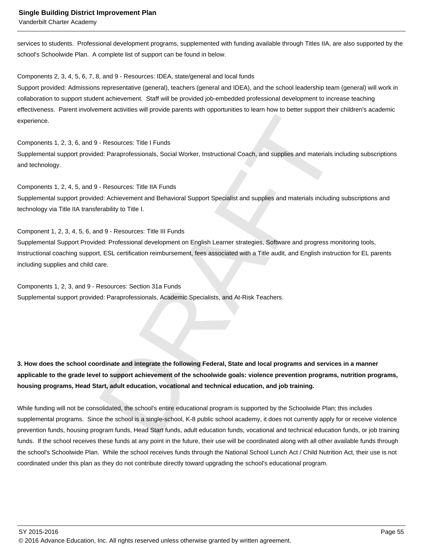Vanderbilt Charter Academy

services to students. Professional development programs, supplemented with funding available through Titles IIA, are also supported by the school's Schoolwide Plan. A complete list of support can be found in below.

Components 2, 3, 4, 5, 6, 7, 8, and 9 - Resources: IDEA, state/general and local funds

Support provided: Admissions representative (general), teachers (general and IDEA), and the school leadership team (general) will work in collaboration to support student achievement. Staff will be provided job-embedded professional development to increase teaching effectiveness. Parent involvement activities will provide parents with opportunities to learn how to better support their children's academic experience.

Components 1, 2, 3, 6, and 9 - Resources: Title I Funds Supplemental support provided: Paraprofessionals, Social Worker, Instructional Coach, and supplies and materials including subscriptions and technology.

Components 1, 2, 4, 5, and 9 - Resources: Title IIA Funds Supplemental support provided: Achievement and Behavioral Support Specialist and supplies and materials including subscriptions and technology via Title IIA transferability to Title I.

The Secureties: The I Funds<br>The Resources: The I Funds<br>The Resources: The II MA Funds<br>Schick Characteristics Social Worker, Instructional Coach, and supplies and materials including subscription<br>Schick Characters: The III Component 1, 2, 3, 4, 5, 6, and 9 - Resources: Title III Funds Supplemental Support Provided: Professional development on English Learner strategies, Software and progress monitoring tools, Instructional coaching support, ESL certification reimbursement, fees associated with a Title audit, and English instruction for EL parents including supplies and child care.

Components 1, 2, 3, and 9 - Resources: Section 31a Funds Supplemental support provided: Paraprofessionals, Academic Specialists, and At-Risk Teachers.

**3. How does the school coordinate and integrate the following Federal, State and local programs and services in a manner applicable to the grade level to support achievement of the schoolwide goals: violence prevention programs, nutrition programs, housing programs, Head Start, adult education, vocational and technical education, and job training.** 

While funding will not be consolidated, the school's entire educational program is supported by the Schoolwide Plan; this includes supplemental programs. Since the school is a single-school, K-8 public school academy, it does not currently apply for or receive violence prevention funds, housing program funds, Head Start funds, adult education funds, vocational and technical education funds, or job training funds. If the school receives these funds at any point in the future, their use will be coordinated along with all other available funds through the school's Schoolwide Plan. While the school receives funds through the National School Lunch Act / Child Nutrition Act, their use is not coordinated under this plan as they do not contribute directly toward upgrading the school's educational program.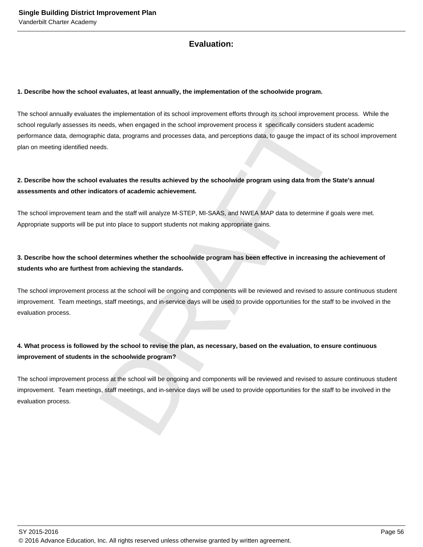# **Evaluation:**

#### **1. Describe how the school evaluates, at least annually, the implementation of the schoolwide program.**

is the implementation of its school improvement efforts through its school improvement process. Yet the model<br>needs, when engaged in the school improvement process it specifically considers student raceder<br>hice data, progr The school annually evaluates the implementation of its school improvement efforts through its school improvement process. While the school regularly assesses its needs, when engaged in the school improvement process it specifically considers student academic performance data, demographic data, programs and processes data, and perceptions data, to gauge the impact of its school improvement plan on meeting identified needs.

# **2. Describe how the school evaluates the results achieved by the schoolwide program using data from the State's annual assessments and other indicators of academic achievement.**

The school improvement team and the staff will analyze M-STEP, MI-SAAS, and NWEA MAP data to determine if goals were met. Appropriate supports will be put into place to support students not making appropriate gains.

# **3. Describe how the school determines whether the schoolwide program has been effective in increasing the achievement of students who are furthest from achieving the standards.**

The school improvement process at the school will be ongoing and components will be reviewed and revised to assure continuous student improvement. Team meetings, staff meetings, and in-service days will be used to provide opportunities for the staff to be involved in the evaluation process.

# **4. What process is followed by the school to revise the plan, as necessary, based on the evaluation, to ensure continuous improvement of students in the schoolwide program?**

The school improvement process at the school will be ongoing and components will be reviewed and revised to assure continuous student improvement. Team meetings, staff meetings, and in-service days will be used to provide opportunities for the staff to be involved in the evaluation process.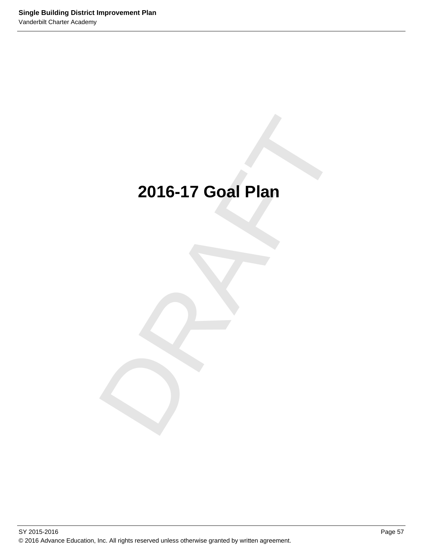# 2016-17 Goal Plan **2016-17 Goal Plan**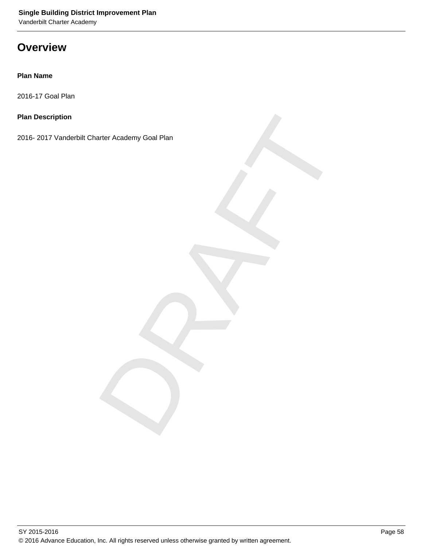# **Overview**

## **Plan Name**

2016-17 Goal Plan

## **Plan Description**

arter Academy Goal Plan 2016- 2017 Vanderbilt Charter Academy Goal Plan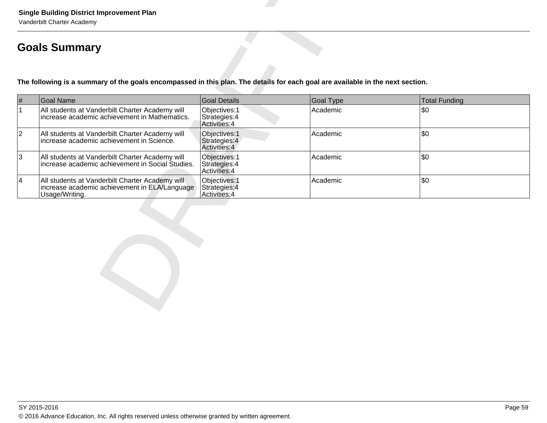|                 | <b>Single Building District Improvement Plan</b><br>Vanderbilt Charter Academy<br><b>Goals Summary</b>                         |                                                 |           |               |  |
|-----------------|--------------------------------------------------------------------------------------------------------------------------------|-------------------------------------------------|-----------|---------------|--|
|                 | The following is a summary of the goals encompassed in this plan. The details for each goal are available in the next section. |                                                 |           |               |  |
| $\#$            | <b>Goal Name</b>                                                                                                               | <b>Goal Details</b>                             | Goal Type | Total Funding |  |
| $\mathbf{1}$    | All students at Vanderbilt Charter Academy will<br>increase academic achievement in Mathematics.                               | Objectives: 1<br>Strategies: 4<br>Activities: 4 | Academic  | \$0           |  |
| $ 2\rangle$     | All students at Vanderbilt Charter Academy will<br>increase academic achievement in Science.                                   | Objectives: 1<br>Strategies: 4<br>Activities: 4 | Academic  | l\$0.         |  |
| $ 3\rangle$     | All students at Vanderbilt Charter Academy will<br>increase academic achievement in Social Studies.                            | Objectives: 1<br>Strategies: 4<br>Activities: 4 | Academic  | \$0           |  |
| $\vert 4 \vert$ | All students at Vanderbilt Charter Academy will<br>increase academic achievement in ELA/Language<br>Usage/Writing.             | Objectives: 1<br>Strategies: 4<br>Activities: 4 | Academic  | <b>\$0</b>    |  |
|                 |                                                                                                                                |                                                 |           |               |  |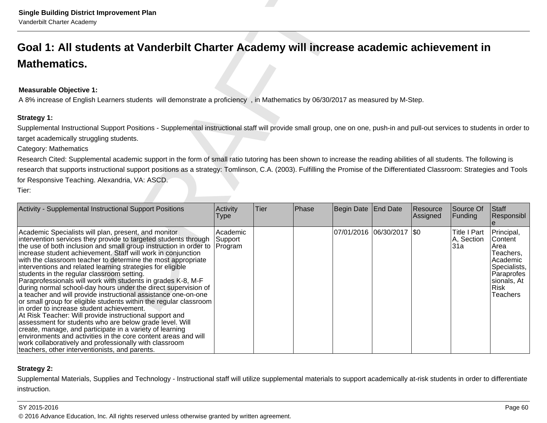## **Measurable Objective 1:**

| <b>Single Building District Improvement Plan</b><br>Vanderbilt Charter Academy                                                                                                                                                                                                                                                                                                                                                                                                                                                                                                                                                                                                                                                                                                                                                                                                                                                                                                                                                                                                                                                 |                                |      |       |                     |                             |                      |                                          |                                                                                                                                |
|--------------------------------------------------------------------------------------------------------------------------------------------------------------------------------------------------------------------------------------------------------------------------------------------------------------------------------------------------------------------------------------------------------------------------------------------------------------------------------------------------------------------------------------------------------------------------------------------------------------------------------------------------------------------------------------------------------------------------------------------------------------------------------------------------------------------------------------------------------------------------------------------------------------------------------------------------------------------------------------------------------------------------------------------------------------------------------------------------------------------------------|--------------------------------|------|-------|---------------------|-----------------------------|----------------------|------------------------------------------|--------------------------------------------------------------------------------------------------------------------------------|
| Goal 1: All students at Vanderbilt Charter Academy will increase academic achievement in                                                                                                                                                                                                                                                                                                                                                                                                                                                                                                                                                                                                                                                                                                                                                                                                                                                                                                                                                                                                                                       |                                |      |       |                     |                             |                      |                                          |                                                                                                                                |
| <b>Mathematics.</b>                                                                                                                                                                                                                                                                                                                                                                                                                                                                                                                                                                                                                                                                                                                                                                                                                                                                                                                                                                                                                                                                                                            |                                |      |       |                     |                             |                      |                                          |                                                                                                                                |
| <b>Measurable Objective 1:</b><br>A 8% increase of English Learners students will demonstrate a proficiency, in Mathematics by 06/30/2017 as measured by M-Step.                                                                                                                                                                                                                                                                                                                                                                                                                                                                                                                                                                                                                                                                                                                                                                                                                                                                                                                                                               |                                |      |       |                     |                             |                      |                                          |                                                                                                                                |
| Strategy 1:<br>Supplemental Instructional Support Positions - Supplemental instructional staff will provide small group, one on one, push-in and pull-out services to students in order to<br>target academically struggling students.<br>Category: Mathematics<br>Research Cited: Supplemental academic support in the form of small ratio tutoring has been shown to increase the reading abilities of all students. The following is<br>research that supports instructional support positions as a strategy: Tomlinson, C.A. (2003). Fulfilling the Promise of the Differentiated Classroom: Strategies and Tools<br>for Responsive Teaching. Alexandria, VA: ASCD.<br>Tier:                                                                                                                                                                                                                                                                                                                                                                                                                                               |                                |      |       |                     |                             |                      |                                          |                                                                                                                                |
| Activity - Supplemental Instructional Support Positions                                                                                                                                                                                                                                                                                                                                                                                                                                                                                                                                                                                                                                                                                                                                                                                                                                                                                                                                                                                                                                                                        | Activity<br>Type               | Tier | Phase | Begin Date End Date |                             | Resource<br>Assigned | Source Of<br>Funding                     | Staff<br>Responsibl                                                                                                            |
| Academic Specialists will plan, present, and monitor<br>intervention services they provide to targeted students through<br>the use of both inclusion and small group instruction in order to<br>increase student achievement. Staff will work in conjunction<br>with the classroom teacher to determine the most appropriate<br>interventions and related learning strategies for eligible<br>students in the regular classroom setting.<br>Paraprofessionals will work with students in grades K-8, M-F<br>during normal school-day hours under the direct supervision of<br>a teacher and will provide instructional assistance one-on-one<br>or small group for eligible students within the regular classroom<br>in order to increase student achievement.<br>At Risk Teacher: Will provide instructional support and<br>assessment for students who are below grade level. Will<br>create, manage, and participate in a variety of learning<br>environments and activities in the core content areas and will<br>work collaboratively and professionally with classroom<br>teachers, other interventionists, and parents. | Academic<br>Support<br>Program |      |       |                     | 07/01/2016  06/30/2017  \$0 |                      | <b>Title I Part</b><br>A, Section<br>31a | Principal,<br>Content<br>Area<br>Teachers,<br>Academic<br>Specialists,<br>Paraprofes<br>sionals, At<br><b>Risk</b><br>Teachers |

## **Strategy 2:**

Supplemental Materials, Supplies and Technology - Instructional staff will utilize supplemental materials to support academically at-risk students in order to differentiateinstruction.

### SY 2015-2016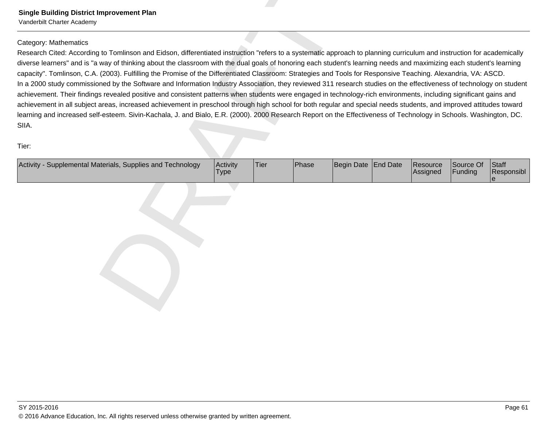Single Building District Improvement Plan<br>
Yurudial Clume Asseter<br>
Collegery Mohemutes<br>
Collegery Mohemutes<br>
Research Clube According to Tomlinson and Eidson, differentiated instruction "efers to a systematic approach to p

| Activity -<br>- Supplemental Materials, Supplies and Technology | Activity<br>'Type | <b>Tier</b> | Phase | Begin Date End Date | Resource<br><b>Assigned</b> | Source Of<br>Funding | <b>Staff</b><br>Responsibl |
|-----------------------------------------------------------------|-------------------|-------------|-------|---------------------|-----------------------------|----------------------|----------------------------|
|                                                                 |                   |             |       |                     |                             |                      |                            |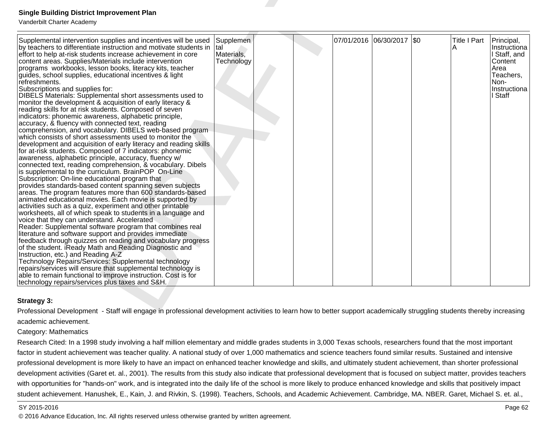| <b>Single Building District Improvement Plan</b><br>Vanderbilt Charter Academy                                                                                                                                                                                                                                                                                                                                                                                                                                                                                                                                                                                                                                                                                                                                                                                                                                                                                                                                                                                                                                                                                                                                                                                                                                                                                                                                                                                                                                                                                                                                                                                                                                                                                                                                                                                                                                                                                                                                                                                                                                                   |                                              |  |                           |                          |                                                                                                               |
|----------------------------------------------------------------------------------------------------------------------------------------------------------------------------------------------------------------------------------------------------------------------------------------------------------------------------------------------------------------------------------------------------------------------------------------------------------------------------------------------------------------------------------------------------------------------------------------------------------------------------------------------------------------------------------------------------------------------------------------------------------------------------------------------------------------------------------------------------------------------------------------------------------------------------------------------------------------------------------------------------------------------------------------------------------------------------------------------------------------------------------------------------------------------------------------------------------------------------------------------------------------------------------------------------------------------------------------------------------------------------------------------------------------------------------------------------------------------------------------------------------------------------------------------------------------------------------------------------------------------------------------------------------------------------------------------------------------------------------------------------------------------------------------------------------------------------------------------------------------------------------------------------------------------------------------------------------------------------------------------------------------------------------------------------------------------------------------------------------------------------------|----------------------------------------------|--|---------------------------|--------------------------|---------------------------------------------------------------------------------------------------------------|
| Supplemental intervention supplies and incentives will be used<br>by teachers to differentiate instruction and motivate students in<br>effort to help at-risk students increase achievement in core<br>content areas. Supplies/Materials include intervention<br>programs workbooks, lesson books, literacy kits, teacher<br>guides, school supplies, educational incentives & light<br>refreshments.<br>Subscriptions and supplies for:<br>DIBELS Materials: Supplemental short assessments used to<br>monitor the development & acquisition of early literacy &<br>reading skills for at risk students. Composed of seven<br>indicators: phonemic awareness, alphabetic principle,<br>accuracy, & fluency with connected text, reading<br>comprehension, and vocabulary. DIBELS web-based program<br>which consists of short assessments used to monitor the<br>development and acquisition of early literacy and reading skills<br>for at-risk students. Composed of 7 indicators: phonemic<br>awareness, alphabetic principle, accuracy, fluency w/<br>connected text, reading comprehension, & vocabulary. Dibels<br>is supplemental to the curriculum. BrainPOP On-Line<br>Subscription: On-line educational program that<br>provides standards-based content spanning seven subjects<br>areas. The program features more than 600 standards-based<br>animated educational movies. Each movie is supported by<br>activities such as a quiz, experiment and other printable<br>worksheets, all of which speak to students in a language and<br>voice that they can understand. Accelerated<br>Reader: Supplemental software program that combines real<br>literature and software support and provides immediate<br>feedback through quizzes on reading and vocabulary progress<br>of the student. iReady Math and Reading Diagnostic and<br>Instruction, etc.) and Reading A-Z<br>Technology Repairs/Services: Supplemental technology<br>repairs/services will ensure that supplemental technology is<br>able to remain functional to improve instruction. Cost is for<br>technology repairs/services plus taxes and S&H. | Supplemen<br>tal<br>Materials,<br>Technology |  | 07/01/2016 06/30/2017 \$0 | <b>Title I Part</b><br>Α | Principal,<br>Instructiona<br>I Staff, and<br>Content<br>Area<br>Teachers,<br>Non-<br>Instructiona<br>I Staff |
| Strategy 3:                                                                                                                                                                                                                                                                                                                                                                                                                                                                                                                                                                                                                                                                                                                                                                                                                                                                                                                                                                                                                                                                                                                                                                                                                                                                                                                                                                                                                                                                                                                                                                                                                                                                                                                                                                                                                                                                                                                                                                                                                                                                                                                      |                                              |  |                           |                          |                                                                                                               |
| Professional Development - Staff will engage in professional development activities to learn how to better support academically struggling students thereby increasing                                                                                                                                                                                                                                                                                                                                                                                                                                                                                                                                                                                                                                                                                                                                                                                                                                                                                                                                                                                                                                                                                                                                                                                                                                                                                                                                                                                                                                                                                                                                                                                                                                                                                                                                                                                                                                                                                                                                                           |                                              |  |                           |                          |                                                                                                               |
| academic achievement.                                                                                                                                                                                                                                                                                                                                                                                                                                                                                                                                                                                                                                                                                                                                                                                                                                                                                                                                                                                                                                                                                                                                                                                                                                                                                                                                                                                                                                                                                                                                                                                                                                                                                                                                                                                                                                                                                                                                                                                                                                                                                                            |                                              |  |                           |                          |                                                                                                               |
| Category: Mathematics                                                                                                                                                                                                                                                                                                                                                                                                                                                                                                                                                                                                                                                                                                                                                                                                                                                                                                                                                                                                                                                                                                                                                                                                                                                                                                                                                                                                                                                                                                                                                                                                                                                                                                                                                                                                                                                                                                                                                                                                                                                                                                            |                                              |  |                           |                          |                                                                                                               |
| Research Cited: In a 1998 study involving a half million elementary and middle grades students in 3,000 Texas schools, researchers found that the most important                                                                                                                                                                                                                                                                                                                                                                                                                                                                                                                                                                                                                                                                                                                                                                                                                                                                                                                                                                                                                                                                                                                                                                                                                                                                                                                                                                                                                                                                                                                                                                                                                                                                                                                                                                                                                                                                                                                                                                 |                                              |  |                           |                          |                                                                                                               |

## **Strategy 3:**

Research Cited: In a 1998 study involving a half million elementary and middle grades students in 3,000 Texas schools, researchers found that the most important factor in student achievement was teacher quality. A national study of over 1,000 mathematics and science teachers found similar results. Sustained and intensive professional development is more likely to have an impact on enhanced teacher knowledge and skills, and ultimately student achievement, than shorter professionaldevelopment activities (Garet et. al., 2001). The results from this study also indicate that professional development that is focused on subject matter, provides teacherswith opportunities for "hands-on" work, and is integrated into the daily life of the school is more likely to produce enhanced knowledge and skills that positively impact student achievement. Hanushek, E., Kain, J. and Rivkin, S. (1998). Teachers, Schools, and Academic Achievement. Cambridge, MA. NBER. Garet, Michael S. et. al.,

#### SY 2015-2016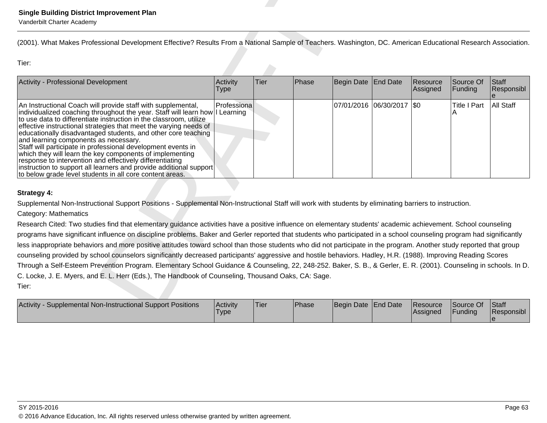| <b>Single Building District Improvement Plan</b><br>Vanderbilt Charter Academy                                                                                                                                                                                                                                                                                                                                                                                                                                                                                                                                                                                                                                                                                                                                                                                                                                                                                                                  |                         |      |       |                     |                             |                      |                                      |                            |
|-------------------------------------------------------------------------------------------------------------------------------------------------------------------------------------------------------------------------------------------------------------------------------------------------------------------------------------------------------------------------------------------------------------------------------------------------------------------------------------------------------------------------------------------------------------------------------------------------------------------------------------------------------------------------------------------------------------------------------------------------------------------------------------------------------------------------------------------------------------------------------------------------------------------------------------------------------------------------------------------------|-------------------------|------|-------|---------------------|-----------------------------|----------------------|--------------------------------------|----------------------------|
| (2001). What Makes Professional Development Effective? Results From a National Sample of Teachers. Washington, DC. American Educational Research Association.                                                                                                                                                                                                                                                                                                                                                                                                                                                                                                                                                                                                                                                                                                                                                                                                                                   |                         |      |       |                     |                             |                      |                                      |                            |
| Tier:                                                                                                                                                                                                                                                                                                                                                                                                                                                                                                                                                                                                                                                                                                                                                                                                                                                                                                                                                                                           |                         |      |       |                     |                             |                      |                                      |                            |
| Activity - Professional Development                                                                                                                                                                                                                                                                                                                                                                                                                                                                                                                                                                                                                                                                                                                                                                                                                                                                                                                                                             | Activity<br><b>Type</b> | Tier | Phase | Begin Date          | End Date                    | Resource<br>Assigned | Source Of<br>Funding                 | Staff<br><b>Responsibl</b> |
| An Instructional Coach will provide staff with supplemental,<br>individualized coaching throughout the year. Staff will learn how I Learning<br>to use data to differentiate instruction in the classroom, utilize<br>effective instructional strategies that meet the varying needs of<br>educationally disadvantaged students, and other core teaching<br>and learning components as necessary.<br>Staff will participate in professional development events in<br>which they will learn the key components of implementing<br>response to intervention and effectively differentiating<br>instruction to support all learners and provide additional support<br>to below grade level students in all core content areas.                                                                                                                                                                                                                                                                     | Professiona             |      |       |                     | 07/01/2016  06/30/2017  \$0 |                      | <b>Title I Part</b>                  | All Staff                  |
| <b>Strategy 4:</b>                                                                                                                                                                                                                                                                                                                                                                                                                                                                                                                                                                                                                                                                                                                                                                                                                                                                                                                                                                              |                         |      |       |                     |                             |                      |                                      |                            |
| Supplemental Non-Instructional Support Positions - Supplemental Non-Instructional Staff will work with students by eliminating barriers to instruction.                                                                                                                                                                                                                                                                                                                                                                                                                                                                                                                                                                                                                                                                                                                                                                                                                                         |                         |      |       |                     |                             |                      |                                      |                            |
| Category: Mathematics<br>Research Cited: Two studies find that elementary guidance activities have a positive influence on elementary students' academic achievement. School counseling<br>programs have significant influence on discipline problems. Baker and Gerler reported that students who participated in a school counseling program had significantly<br>less inappropriate behaviors and more positive attitudes toward school than those students who did not participate in the program. Another study reported that group<br>counseling provided by school counselors significantly decreased participants' aggressive and hostile behaviors. Hadley, H.R. (1988). Improving Reading Scores<br>Through a Self-Esteem Prevention Program. Elementary School Guidance & Counseling, 22, 248-252. Baker, S. B., & Gerler, E. R. (2001). Counseling in schools. In D.<br>C. Locke, J. E. Myers, and E. L. Herr (Eds.), The Handbook of Counseling, Thousand Oaks, CA: Sage.<br>Tier: |                         |      |       |                     |                             |                      |                                      |                            |
| Activity - Supplemental Non-Instructional Support Positions                                                                                                                                                                                                                                                                                                                                                                                                                                                                                                                                                                                                                                                                                                                                                                                                                                                                                                                                     | Activity                | Tier | Phase | Begin Date End Date |                             | Resource<br>A        | Source Of<br>$F_{i}$ in din $\alpha$ | Staff<br>$D$ conongibl     |

| <b>Supplemental Non-Instructional Support Positions</b><br><b>Activity</b> | Activity<br><b>Type</b> | <b>Tier</b> | <b>Phase</b> | Begin Date End Date | <b>Resource</b><br><b>Assigned</b> | Source Of<br><b>IFundina</b> | Staff<br>Responsibl |
|----------------------------------------------------------------------------|-------------------------|-------------|--------------|---------------------|------------------------------------|------------------------------|---------------------|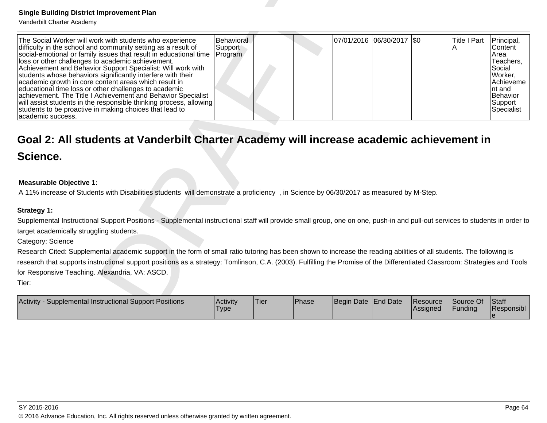| <b>Single Building District Improvement Plan</b><br>Vanderbilt Charter Academy                                                                                                                                                                                                                                                                                                                                                                                                                                                                                                                                                                                                                                            |                                  |      |       |                     |                            |                      |                          |                                                                                                                             |
|---------------------------------------------------------------------------------------------------------------------------------------------------------------------------------------------------------------------------------------------------------------------------------------------------------------------------------------------------------------------------------------------------------------------------------------------------------------------------------------------------------------------------------------------------------------------------------------------------------------------------------------------------------------------------------------------------------------------------|----------------------------------|------|-------|---------------------|----------------------------|----------------------|--------------------------|-----------------------------------------------------------------------------------------------------------------------------|
| The Social Worker will work with students who experience<br>difficulty in the school and community setting as a result of<br>social-emotional or family issues that result in educational time<br>loss or other challenges to academic achievement.<br>Achievement and Behavior Support Specialist: Will work with<br>students whose behaviors significantly interfere with their<br>academic growth in core content areas which result in<br>educational time loss or other challenges to academic<br>achievement. The Title I Achievement and Behavior Specialist<br>will assist students in the responsible thinking process, allowing<br>students to be proactive in making choices that lead to<br>academic success. | Behavioral<br>Support<br>Program |      |       |                     | 07/01/2016 06/30/2017  \$0 |                      | <b>Title I Part</b><br>Α | Principal,<br>Content<br>Area<br>Teachers,<br>Social<br>Worker,<br>Achieveme<br>nt and<br>Behavior<br>Support<br>Specialist |
| Goal 2: All students at Vanderbilt Charter Academy will increase academic achievement in                                                                                                                                                                                                                                                                                                                                                                                                                                                                                                                                                                                                                                  |                                  |      |       |                     |                            |                      |                          |                                                                                                                             |
| Science.                                                                                                                                                                                                                                                                                                                                                                                                                                                                                                                                                                                                                                                                                                                  |                                  |      |       |                     |                            |                      |                          |                                                                                                                             |
| <b>Measurable Objective 1:</b><br>A 11% increase of Students with Disabilities students will demonstrate a proficiency, in Science by 06/30/2017 as measured by M-Step.                                                                                                                                                                                                                                                                                                                                                                                                                                                                                                                                                   |                                  |      |       |                     |                            |                      |                          |                                                                                                                             |
| Strategy 1:                                                                                                                                                                                                                                                                                                                                                                                                                                                                                                                                                                                                                                                                                                               |                                  |      |       |                     |                            |                      |                          |                                                                                                                             |
| Supplemental Instructional Support Positions - Supplemental instructional staff will provide small group, one on one, push-in and pull-out services to students in order to                                                                                                                                                                                                                                                                                                                                                                                                                                                                                                                                               |                                  |      |       |                     |                            |                      |                          |                                                                                                                             |
| target academically struggling students.<br>Category: Science                                                                                                                                                                                                                                                                                                                                                                                                                                                                                                                                                                                                                                                             |                                  |      |       |                     |                            |                      |                          |                                                                                                                             |
| Research Cited: Supplemental academic support in the form of small ratio tutoring has been shown to increase the reading abilities of all students. The following is                                                                                                                                                                                                                                                                                                                                                                                                                                                                                                                                                      |                                  |      |       |                     |                            |                      |                          |                                                                                                                             |
| research that supports instructional support positions as a strategy: Tomlinson, C.A. (2003). Fulfilling the Promise of the Differentiated Classroom: Strategies and Tools                                                                                                                                                                                                                                                                                                                                                                                                                                                                                                                                                |                                  |      |       |                     |                            |                      |                          |                                                                                                                             |
| for Responsive Teaching. Alexandria, VA: ASCD.                                                                                                                                                                                                                                                                                                                                                                                                                                                                                                                                                                                                                                                                            |                                  |      |       |                     |                            |                      |                          |                                                                                                                             |
| Tier:                                                                                                                                                                                                                                                                                                                                                                                                                                                                                                                                                                                                                                                                                                                     |                                  |      |       |                     |                            |                      |                          |                                                                                                                             |
| Activity - Supplemental Instructional Support Positions                                                                                                                                                                                                                                                                                                                                                                                                                                                                                                                                                                                                                                                                   | Activity<br>Type                 | Tier | Phase | Begin Date End Date |                            | Resource<br>Assigned | Source Of<br>Funding     | Staff<br>Responsibl                                                                                                         |

## **Measurable Objective 1:**

| <b>Activity</b><br>Supplemental Instructional Support Positions | Activity<br><b>Type</b> | <b>Tier</b> | Phase | Begin Date End Date |  | <b>IResource</b><br><b>IAssigned</b> | <b>Source Of</b><br>Funding | <b>Staff</b><br>Responsibl |
|-----------------------------------------------------------------|-------------------------|-------------|-------|---------------------|--|--------------------------------------|-----------------------------|----------------------------|
|-----------------------------------------------------------------|-------------------------|-------------|-------|---------------------|--|--------------------------------------|-----------------------------|----------------------------|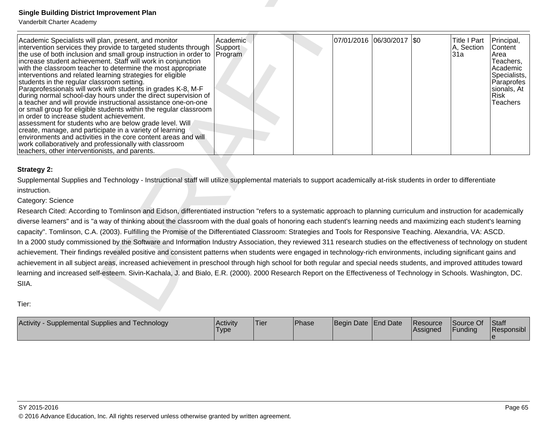| <b>Single Building District Improvement Plan</b><br>Vanderbilt Charter Academy                                                                                                                                                                                                                                                                                                                                                                                                                                                                                                                                                                                                                                                                                                                                                                                                                                                                                                                                                                                              |                     |             |       |                     |                           |          |                                          |                                                                                                                                       |
|-----------------------------------------------------------------------------------------------------------------------------------------------------------------------------------------------------------------------------------------------------------------------------------------------------------------------------------------------------------------------------------------------------------------------------------------------------------------------------------------------------------------------------------------------------------------------------------------------------------------------------------------------------------------------------------------------------------------------------------------------------------------------------------------------------------------------------------------------------------------------------------------------------------------------------------------------------------------------------------------------------------------------------------------------------------------------------|---------------------|-------------|-------|---------------------|---------------------------|----------|------------------------------------------|---------------------------------------------------------------------------------------------------------------------------------------|
| Academic Specialists will plan, present, and monitor<br>intervention services they provide to targeted students through<br>the use of both inclusion and small group instruction in order to Program<br>increase student achievement. Staff will work in conjunction<br>with the classroom teacher to determine the most appropriate<br>interventions and related learning strategies for eligible<br>students in the regular classroom setting.<br>Paraprofessionals will work with students in grades K-8, M-F<br>during normal school-day hours under the direct supervision of<br>a teacher and will provide instructional assistance one-on-one<br>or small group for eligible students within the regular classroom<br>in order to increase student achievement.<br>assessment for students who are below grade level. Will<br>create, manage, and participate in a variety of learning<br>environments and activities in the core content areas and will<br>work collaboratively and professionally with classroom<br>teachers, other interventionists, and parents. | Academic<br>Support |             |       |                     | 07/01/2016 06/30/2017 \$0 |          | <b>Title I Part</b><br>A, Section<br>31a | Principal,<br>Content<br>Area<br>Teachers,<br>Academic<br>Specialists,<br>Paraprofes<br>sionals, At<br><b>Risk</b><br><b>Teachers</b> |
| <b>Strategy 2:</b><br>Supplemental Supplies and Technology - Instructional staff will utilize supplemental materials to support academically at-risk students in order to differentiate<br>instruction.<br>Category: Science<br>Research Cited: According to Tomlinson and Eidson, differentiated instruction "refers to a systematic approach to planning curriculum and instruction for academically<br>diverse learners" and is "a way of thinking about the classroom with the dual goals of honoring each student's learning needs and maximizing each student's learning                                                                                                                                                                                                                                                                                                                                                                                                                                                                                              |                     |             |       |                     |                           |          |                                          |                                                                                                                                       |
| capacity". Tomlinson, C.A. (2003). Fulfilling the Promise of the Differentiated Classroom: Strategies and Tools for Responsive Teaching. Alexandria, VA: ASCD.<br>In a 2000 study commissioned by the Software and Information Industry Association, they reviewed 311 research studies on the effectiveness of technology on student<br>achievement. Their findings revealed positive and consistent patterns when students were engaged in technology-rich environments, including significant gains and<br>achievement in all subject areas, increased achievement in preschool through high school for both regular and special needs students, and improved attitudes toward<br>learning and increased self-esteem. Sivin-Kachala, J. and Bialo, E.R. (2000). 2000 Research Report on the Effectiveness of Technology in Schools. Washington, DC.<br>SIIA.                                                                                                                                                                                                             |                     |             |       |                     |                           |          |                                          |                                                                                                                                       |
| Tier:<br>Activity - Supplemental Supplies and Technology                                                                                                                                                                                                                                                                                                                                                                                                                                                                                                                                                                                                                                                                                                                                                                                                                                                                                                                                                                                                                    | Activity            | <b>Tier</b> | Phase | Begin Date End Date |                           | Resource | Source Of                                | <b>Staff</b>                                                                                                                          |
|                                                                                                                                                                                                                                                                                                                                                                                                                                                                                                                                                                                                                                                                                                                                                                                                                                                                                                                                                                                                                                                                             | <b>Type</b>         |             |       |                     |                           | Assigned | Funding                                  | Responsibl                                                                                                                            |

| Activity -<br>Supplemental Supplies and Technology | Activity<br>Type | <b>Tier</b> | Phase | Begin Date End Date | Resource<br><b>IAssigned</b> | Source Of<br>Funding | <b>Staff</b><br>Responsibl |
|----------------------------------------------------|------------------|-------------|-------|---------------------|------------------------------|----------------------|----------------------------|
|                                                    |                  |             |       |                     |                              |                      |                            |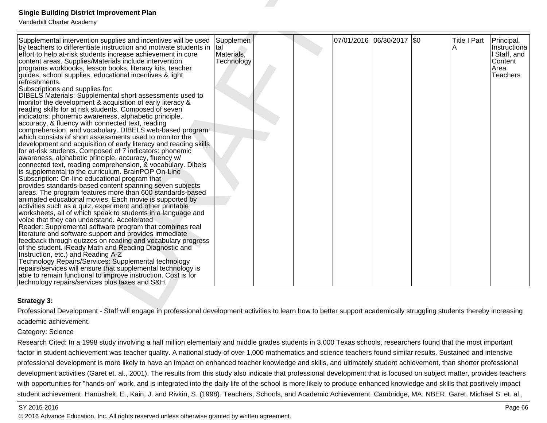| <b>Single Building District Improvement Plan</b><br>Vanderbilt Charter Academy                                                                                                                                                                                                                                                                                                                                                                                                                                                                                                                                                                                                                                                                                                                                                                                                                                                                                                                                                                                                                                                                                                                                                                                                                                                                                                                                                                                                                                                                                                                                                                                                                                                                                                                                                                                                                                                                                                                                                                                                                                                   |                                              |  |                           |                     |                                                                           |
|----------------------------------------------------------------------------------------------------------------------------------------------------------------------------------------------------------------------------------------------------------------------------------------------------------------------------------------------------------------------------------------------------------------------------------------------------------------------------------------------------------------------------------------------------------------------------------------------------------------------------------------------------------------------------------------------------------------------------------------------------------------------------------------------------------------------------------------------------------------------------------------------------------------------------------------------------------------------------------------------------------------------------------------------------------------------------------------------------------------------------------------------------------------------------------------------------------------------------------------------------------------------------------------------------------------------------------------------------------------------------------------------------------------------------------------------------------------------------------------------------------------------------------------------------------------------------------------------------------------------------------------------------------------------------------------------------------------------------------------------------------------------------------------------------------------------------------------------------------------------------------------------------------------------------------------------------------------------------------------------------------------------------------------------------------------------------------------------------------------------------------|----------------------------------------------|--|---------------------------|---------------------|---------------------------------------------------------------------------|
| Supplemental intervention supplies and incentives will be used<br>by teachers to differentiate instruction and motivate students in<br>effort to help at-risk students increase achievement in core<br>content areas. Supplies/Materials include intervention<br>programs workbooks, lesson books, literacy kits, teacher<br>guides, school supplies, educational incentives & light<br>refreshments.<br>Subscriptions and supplies for:<br>DIBELS Materials: Supplemental short assessments used to<br>monitor the development & acquisition of early literacy &<br>reading skills for at risk students. Composed of seven<br>indicators: phonemic awareness, alphabetic principle,<br>accuracy, & fluency with connected text, reading<br>comprehension, and vocabulary. DIBELS web-based program<br>which consists of short assessments used to monitor the<br>development and acquisition of early literacy and reading skills<br>for at-risk students. Composed of 7 indicators: phonemic<br>awareness, alphabetic principle, accuracy, fluency w/<br>connected text, reading comprehension, & vocabulary. Dibels<br>is supplemental to the curriculum. BrainPOP On-Line<br>Subscription: On-line educational program that<br>provides standards-based content spanning seven subjects<br>areas. The program features more than 600 standards-based<br>animated educational movies. Each movie is supported by<br>activities such as a quiz, experiment and other printable<br>worksheets, all of which speak to students in a language and<br>voice that they can understand. Accelerated<br>Reader: Supplemental software program that combines real<br>literature and software support and provides immediate<br>feedback through quizzes on reading and vocabulary progress<br>of the student. iReady Math and Reading Diagnostic and<br>Instruction, etc.) and Reading A-Z<br>Technology Repairs/Services: Supplemental technology<br>repairs/services will ensure that supplemental technology is<br>able to remain functional to improve instruction. Cost is for<br>technology repairs/services plus taxes and S&H. | Supplemen<br>tal<br>Materials,<br>Technology |  | 07/01/2016 06/30/2017 \$0 | <b>Title I Part</b> | Principal,<br>Instructiona<br>I Staff, and<br>Content<br>Area<br>Teachers |
| Strategy 3:                                                                                                                                                                                                                                                                                                                                                                                                                                                                                                                                                                                                                                                                                                                                                                                                                                                                                                                                                                                                                                                                                                                                                                                                                                                                                                                                                                                                                                                                                                                                                                                                                                                                                                                                                                                                                                                                                                                                                                                                                                                                                                                      |                                              |  |                           |                     |                                                                           |
| Professional Development - Staff will engage in professional development activities to learn how to better support academically struggling students thereby increasing                                                                                                                                                                                                                                                                                                                                                                                                                                                                                                                                                                                                                                                                                                                                                                                                                                                                                                                                                                                                                                                                                                                                                                                                                                                                                                                                                                                                                                                                                                                                                                                                                                                                                                                                                                                                                                                                                                                                                           |                                              |  |                           |                     |                                                                           |
| academic achievement.                                                                                                                                                                                                                                                                                                                                                                                                                                                                                                                                                                                                                                                                                                                                                                                                                                                                                                                                                                                                                                                                                                                                                                                                                                                                                                                                                                                                                                                                                                                                                                                                                                                                                                                                                                                                                                                                                                                                                                                                                                                                                                            |                                              |  |                           |                     |                                                                           |
| Category: Science                                                                                                                                                                                                                                                                                                                                                                                                                                                                                                                                                                                                                                                                                                                                                                                                                                                                                                                                                                                                                                                                                                                                                                                                                                                                                                                                                                                                                                                                                                                                                                                                                                                                                                                                                                                                                                                                                                                                                                                                                                                                                                                |                                              |  |                           |                     |                                                                           |
| Research Cited: In a 1998 study involving a half million elementary and middle grades students in 3,000 Texas schools, researchers found that the most important                                                                                                                                                                                                                                                                                                                                                                                                                                                                                                                                                                                                                                                                                                                                                                                                                                                                                                                                                                                                                                                                                                                                                                                                                                                                                                                                                                                                                                                                                                                                                                                                                                                                                                                                                                                                                                                                                                                                                                 |                                              |  |                           |                     |                                                                           |

## **Strategy 3:**

Research Cited: In a 1998 study involving a half million elementary and middle grades students in 3,000 Texas schools, researchers found that the most important factor in student achievement was teacher quality. A national study of over 1,000 mathematics and science teachers found similar results. Sustained and intensive professional development is more likely to have an impact on enhanced teacher knowledge and skills, and ultimately student achievement, than shorter professionaldevelopment activities (Garet et. al., 2001). The results from this study also indicate that professional development that is focused on subject matter, provides teachers with opportunities for "hands-on" work, and is integrated into the daily life of the school is more likely to produce enhanced knowledge and skills that positively impact student achievement. Hanushek, E., Kain, J. and Rivkin, S. (1998). Teachers, Schools, and Academic Achievement. Cambridge, MA. NBER. Garet, Michael S. et. al.,

#### SY 2015-2016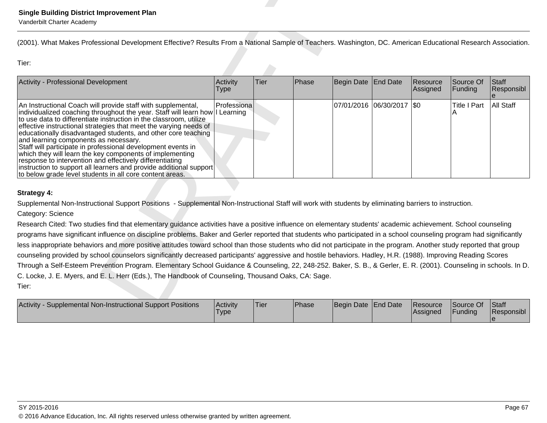| <b>Single Building District Improvement Plan</b><br>Vanderbilt Charter Academy                                                                                                                                                                                                                                                                                                                                                                                                                                                                                                                                                                                                                                              |                         |      |       |                     |                             |                      |                                      |                        |
|-----------------------------------------------------------------------------------------------------------------------------------------------------------------------------------------------------------------------------------------------------------------------------------------------------------------------------------------------------------------------------------------------------------------------------------------------------------------------------------------------------------------------------------------------------------------------------------------------------------------------------------------------------------------------------------------------------------------------------|-------------------------|------|-------|---------------------|-----------------------------|----------------------|--------------------------------------|------------------------|
| (2001). What Makes Professional Development Effective? Results From a National Sample of Teachers. Washington, DC. American Educational Research Association.                                                                                                                                                                                                                                                                                                                                                                                                                                                                                                                                                               |                         |      |       |                     |                             |                      |                                      |                        |
| Tier:                                                                                                                                                                                                                                                                                                                                                                                                                                                                                                                                                                                                                                                                                                                       |                         |      |       |                     |                             |                      |                                      |                        |
| Activity - Professional Development                                                                                                                                                                                                                                                                                                                                                                                                                                                                                                                                                                                                                                                                                         | Activity<br><b>Type</b> | Tier | Phase | Begin Date          | End Date                    | Resource<br>Assigned | Source Of<br>Funding                 | Staff<br>Responsibl    |
| An Instructional Coach will provide staff with supplemental,<br>individualized coaching throughout the year. Staff will learn how I Learning<br>to use data to differentiate instruction in the classroom, utilize<br>effective instructional strategies that meet the varying needs of<br>educationally disadvantaged students, and other core teaching<br>and learning components as necessary.<br>Staff will participate in professional development events in<br>which they will learn the key components of implementing<br>response to intervention and effectively differentiating<br>instruction to support all learners and provide additional support<br>to below grade level students in all core content areas. | Professiona             |      |       |                     | 07/01/2016  06/30/2017  \$0 |                      | <b>Title I Part</b>                  | All Staff              |
| <b>Strategy 4:</b>                                                                                                                                                                                                                                                                                                                                                                                                                                                                                                                                                                                                                                                                                                          |                         |      |       |                     |                             |                      |                                      |                        |
| Supplemental Non-Instructional Support Positions - Supplemental Non-Instructional Staff will work with students by eliminating barriers to instruction.                                                                                                                                                                                                                                                                                                                                                                                                                                                                                                                                                                     |                         |      |       |                     |                             |                      |                                      |                        |
| Category: Science                                                                                                                                                                                                                                                                                                                                                                                                                                                                                                                                                                                                                                                                                                           |                         |      |       |                     |                             |                      |                                      |                        |
| Research Cited: Two studies find that elementary guidance activities have a positive influence on elementary students' academic achievement. School counseling<br>programs have significant influence on discipline problems. Baker and Gerler reported that students who participated in a school counseling program had significantly<br>less inappropriate behaviors and more positive attitudes toward school than those students who did not participate in the program. Another study reported that group<br>counseling provided by school counselors significantly decreased participants' aggressive and hostile behaviors. Hadley, H.R. (1988). Improving Reading Scores                                           |                         |      |       |                     |                             |                      |                                      |                        |
| Through a Self-Esteem Prevention Program. Elementary School Guidance & Counseling, 22, 248-252. Baker, S. B., & Gerler, E. R. (2001). Counseling in schools. In D.<br>C. Locke, J. E. Myers, and E. L. Herr (Eds.), The Handbook of Counseling, Thousand Oaks, CA: Sage.                                                                                                                                                                                                                                                                                                                                                                                                                                                    |                         |      |       |                     |                             |                      |                                      |                        |
| Tier:                                                                                                                                                                                                                                                                                                                                                                                                                                                                                                                                                                                                                                                                                                                       |                         |      |       |                     |                             |                      |                                      |                        |
| Activity - Supplemental Non-Instructional Support Positions                                                                                                                                                                                                                                                                                                                                                                                                                                                                                                                                                                                                                                                                 | Activity                | Tier | Phase | Begin Date End Date |                             | Resource<br>A        | Source Of<br>$F_{i}$ in din $\alpha$ | Staff<br>$D$ conongibl |

| Supplemental Non-Instructional Support Positions<br><b>Activity</b> | Activity<br><b>Type</b> | 'Tier | Phase | Begin Date End Date | Resource<br>Assigned | Source Of<br>Funding | <b>Staff</b><br>Responsibl |
|---------------------------------------------------------------------|-------------------------|-------|-------|---------------------|----------------------|----------------------|----------------------------|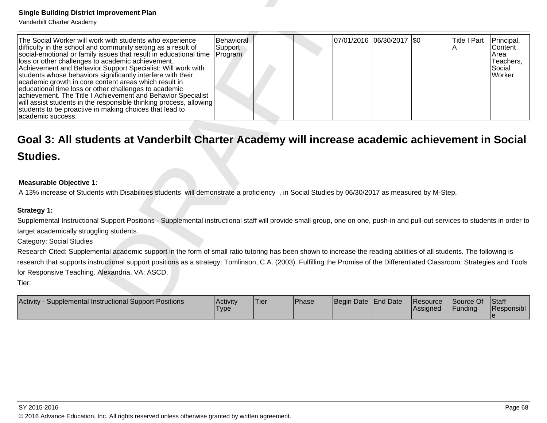| <b>Single Building District Improvement Plan</b>                                                                                                                                                                                                                                                                                                                                                                                                                                                                                                                                                                                                                                                                          |                                  |      |       |                           |                      |                      |                                                                |
|---------------------------------------------------------------------------------------------------------------------------------------------------------------------------------------------------------------------------------------------------------------------------------------------------------------------------------------------------------------------------------------------------------------------------------------------------------------------------------------------------------------------------------------------------------------------------------------------------------------------------------------------------------------------------------------------------------------------------|----------------------------------|------|-------|---------------------------|----------------------|----------------------|----------------------------------------------------------------|
| Vanderbilt Charter Academy                                                                                                                                                                                                                                                                                                                                                                                                                                                                                                                                                                                                                                                                                                |                                  |      |       |                           |                      |                      |                                                                |
| The Social Worker will work with students who experience<br>difficulty in the school and community setting as a result of<br>social-emotional or family issues that result in educational time<br>loss or other challenges to academic achievement.<br>Achievement and Behavior Support Specialist: Will work with<br>students whose behaviors significantly interfere with their<br>academic growth in core content areas which result in<br>educational time loss or other challenges to academic<br>achievement. The Title I Achievement and Behavior Specialist<br>will assist students in the responsible thinking process, allowing<br>students to be proactive in making choices that lead to<br>academic success. | Behavioral<br>Support<br>Program |      |       | 07/01/2016 06/30/2017 \$0 |                      | <b>Title I Part</b>  | Principal,<br>Content<br>Area<br>Teachers,<br>Social<br>Worker |
| Goal 3: All students at Vanderbilt Charter Academy will increase academic achievement in Social<br><b>Studies.</b>                                                                                                                                                                                                                                                                                                                                                                                                                                                                                                                                                                                                        |                                  |      |       |                           |                      |                      |                                                                |
| <b>Measurable Objective 1:</b><br>A 13% increase of Students with Disabilities students will demonstrate a proficiency, in Social Studies by 06/30/2017 as measured by M-Step.                                                                                                                                                                                                                                                                                                                                                                                                                                                                                                                                            |                                  |      |       |                           |                      |                      |                                                                |
|                                                                                                                                                                                                                                                                                                                                                                                                                                                                                                                                                                                                                                                                                                                           |                                  |      |       |                           |                      |                      |                                                                |
| <b>Strategy 1:</b><br>Supplemental Instructional Support Positions - Supplemental instructional staff will provide small group, one on one, push-in and pull-out services to students in order to<br>target academically struggling students.<br><b>Category: Social Studies</b><br>Research Cited: Supplemental academic support in the form of small ratio tutoring has been shown to increase the reading abilities of all students. The following is<br>research that supports instructional support positions as a strategy: Tomlinson, C.A. (2003). Fulfilling the Promise of the Differentiated Classroom: Strategies and Tools                                                                                    |                                  |      |       |                           |                      |                      |                                                                |
| for Responsive Teaching. Alexandria, VA: ASCD.                                                                                                                                                                                                                                                                                                                                                                                                                                                                                                                                                                                                                                                                            |                                  |      |       |                           |                      |                      |                                                                |
| Tier:                                                                                                                                                                                                                                                                                                                                                                                                                                                                                                                                                                                                                                                                                                                     |                                  |      |       |                           |                      |                      |                                                                |
| Activity - Supplemental Instructional Support Positions                                                                                                                                                                                                                                                                                                                                                                                                                                                                                                                                                                                                                                                                   | Activity<br> Type                | Tier | Phase | Begin Date End Date       | Resource<br>Assigned | Source Of<br>Funding | <b>Staff</b><br>Responsibl                                     |

## **Measurable Objective 1:**

| Activity<br>Supplemental Instructional Support Positions | Activity<br>'Type | <b>Tier</b> | Phase | Begin Date End Date |  | <b>Resource</b><br><b>Assigned</b> | Source Of<br>Funding | <b>Staff</b><br>Responsibl |
|----------------------------------------------------------|-------------------|-------------|-------|---------------------|--|------------------------------------|----------------------|----------------------------|
|----------------------------------------------------------|-------------------|-------------|-------|---------------------|--|------------------------------------|----------------------|----------------------------|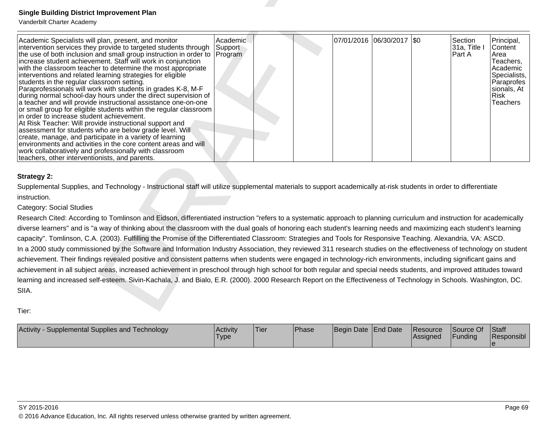| <b>Single Building District Improvement Plan</b>                                                                                                                                                                                                                                                                                                                                                                                                                                                                                                                                                                                                                                                                                                                                                                                                                                                                                                                                                                                                                                                                                                                                                                                                                                                                                                                                                                                                                   |                         |      |       |                     |                            |                      |                                   |                                                                                                                                |
|--------------------------------------------------------------------------------------------------------------------------------------------------------------------------------------------------------------------------------------------------------------------------------------------------------------------------------------------------------------------------------------------------------------------------------------------------------------------------------------------------------------------------------------------------------------------------------------------------------------------------------------------------------------------------------------------------------------------------------------------------------------------------------------------------------------------------------------------------------------------------------------------------------------------------------------------------------------------------------------------------------------------------------------------------------------------------------------------------------------------------------------------------------------------------------------------------------------------------------------------------------------------------------------------------------------------------------------------------------------------------------------------------------------------------------------------------------------------|-------------------------|------|-------|---------------------|----------------------------|----------------------|-----------------------------------|--------------------------------------------------------------------------------------------------------------------------------|
| Vanderbilt Charter Academy<br>Academic Specialists will plan, present, and monitor<br>intervention services they provide to targeted students through<br>the use of both inclusion and small group instruction in order to Program<br>increase student achievement. Staff will work in conjunction<br>with the classroom teacher to determine the most appropriate<br>interventions and related learning strategies for eligible<br>students in the regular classroom setting.<br>Paraprofessionals will work with students in grades K-8, M-F<br>during normal school-day hours under the direct supervision of<br>a teacher and will provide instructional assistance one-on-one<br>or small group for eligible students within the regular classroom<br>in order to increase student achievement.<br>At Risk Teacher: Will provide instructional support and<br>assessment for students who are below grade level. Will<br>create, manage, and participate in a variety of learning<br>environments and activities in the core content areas and will<br>work collaboratively and professionally with classroom<br>teachers, other interventionists, and parents.                                                                                                                                                                                                                                                                                               | Academic.<br>Support    |      |       |                     | 07/01/2016 06/30/2017  \$0 |                      | Section<br>31a, Title I<br>Part A | Principal,<br>Content<br>Area<br>Teachers,<br>Academic<br>Specialists.<br>Paraprofes<br>sionals, At<br>Risk<br><b>Teachers</b> |
| <b>Strategy 2:</b><br>Supplemental Supplies, and Technology - Instructional staff will utilize supplemental materials to support academically at-risk students in order to differentiate<br>instruction.<br>Category: Social Studies<br>Research Cited: According to Tomlinson and Eidson, differentiated instruction "refers to a systematic approach to planning curriculum and instruction for academically<br>diverse learners" and is "a way of thinking about the classroom with the dual goals of honoring each student's learning needs and maximizing each student's learning<br>capacity". Tomlinson, C.A. (2003). Fulfilling the Promise of the Differentiated Classroom: Strategies and Tools for Responsive Teaching. Alexandria, VA: ASCD.<br>In a 2000 study commissioned by the Software and Information Industry Association, they reviewed 311 research studies on the effectiveness of technology on student<br>achievement. Their findings revealed positive and consistent patterns when students were engaged in technology-rich environments, including significant gains and<br>achievement in all subject areas, increased achievement in preschool through high school for both regular and special needs students, and improved attitudes toward<br>learning and increased self-esteem. Sivin-Kachala, J. and Bialo, E.R. (2000). 2000 Research Report on the Effectiveness of Technology in Schools. Washington, DC.<br>SIIA.<br>Tier: |                         |      |       |                     |                            |                      |                                   |                                                                                                                                |
| Activity - Supplemental Supplies and Technology                                                                                                                                                                                                                                                                                                                                                                                                                                                                                                                                                                                                                                                                                                                                                                                                                                                                                                                                                                                                                                                                                                                                                                                                                                                                                                                                                                                                                    | Activity<br><b>Type</b> | Tier | Phase | Begin Date End Date |                            | Resource<br>Assigned | Source Of<br>Funding              | Staff<br>Responsibl<br>$\theta$                                                                                                |

| Activity - Supplemental Supplies and Technology | Activity<br>Type | 'Tier | <b>Phase</b> | Begin Date End Date | Resource<br><b>Assigned</b> | Source Of<br>Funding | <b>Staff</b><br>Responsibl |
|-------------------------------------------------|------------------|-------|--------------|---------------------|-----------------------------|----------------------|----------------------------|
|                                                 |                  |       |              |                     |                             |                      |                            |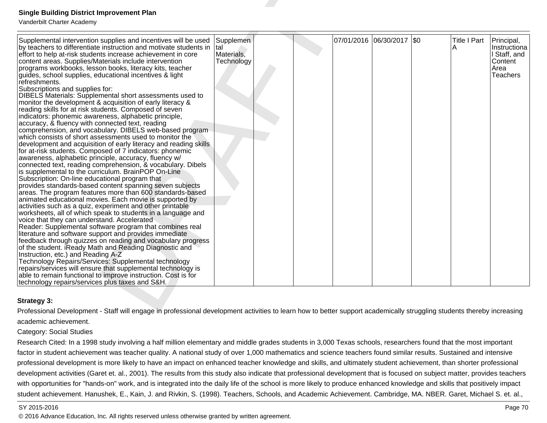| <b>Single Building District Improvement Plan</b><br>Vanderbilt Charter Academy                                                                                                                                                                                                                                                                                                                                                                                                                                                                                                                                                                                                                                                                                                                                                                                                                                                                                                                                                                                                                                                                                                                                                                                                                                                                                                                                                                                                                                                                                                                                                                                                                                                                                                                                                                                                                                                                                                                                                                                                                                                   |                                              |  |                           |                     |                                                                           |
|----------------------------------------------------------------------------------------------------------------------------------------------------------------------------------------------------------------------------------------------------------------------------------------------------------------------------------------------------------------------------------------------------------------------------------------------------------------------------------------------------------------------------------------------------------------------------------------------------------------------------------------------------------------------------------------------------------------------------------------------------------------------------------------------------------------------------------------------------------------------------------------------------------------------------------------------------------------------------------------------------------------------------------------------------------------------------------------------------------------------------------------------------------------------------------------------------------------------------------------------------------------------------------------------------------------------------------------------------------------------------------------------------------------------------------------------------------------------------------------------------------------------------------------------------------------------------------------------------------------------------------------------------------------------------------------------------------------------------------------------------------------------------------------------------------------------------------------------------------------------------------------------------------------------------------------------------------------------------------------------------------------------------------------------------------------------------------------------------------------------------------|----------------------------------------------|--|---------------------------|---------------------|---------------------------------------------------------------------------|
| Supplemental intervention supplies and incentives will be used<br>by teachers to differentiate instruction and motivate students in<br>effort to help at-risk students increase achievement in core<br>content areas. Supplies/Materials include intervention<br>programs workbooks, lesson books, literacy kits, teacher<br>guides, school supplies, educational incentives & light<br>refreshments.<br>Subscriptions and supplies for:<br>DIBELS Materials: Supplemental short assessments used to<br>monitor the development & acquisition of early literacy &<br>reading skills for at risk students. Composed of seven<br>indicators: phonemic awareness, alphabetic principle,<br>accuracy, & fluency with connected text, reading<br>comprehension, and vocabulary. DIBELS web-based program<br>which consists of short assessments used to monitor the<br>development and acquisition of early literacy and reading skills<br>for at-risk students. Composed of 7 indicators: phonemic<br>awareness, alphabetic principle, accuracy, fluency w/<br>connected text, reading comprehension, & vocabulary. Dibels<br>is supplemental to the curriculum. BrainPOP On-Line<br>Subscription: On-line educational program that<br>provides standards-based content spanning seven subjects<br>areas. The program features more than 600 standards-based<br>animated educational movies. Each movie is supported by<br>activities such as a quiz, experiment and other printable<br>worksheets, all of which speak to students in a language and<br>voice that they can understand. Accelerated<br>Reader: Supplemental software program that combines real<br>literature and software support and provides immediate<br>feedback through quizzes on reading and vocabulary progress<br>of the student. iReady Math and Reading Diagnostic and<br>Instruction, etc.) and Reading A-Z<br>Technology Repairs/Services: Supplemental technology<br>repairs/services will ensure that supplemental technology is<br>able to remain functional to improve instruction. Cost is for<br>technology repairs/services plus taxes and S&H. | Supplemen<br>tal<br>Materials,<br>Technology |  | 07/01/2016 06/30/2017 \$0 | <b>Title I Part</b> | Principal,<br>Instructiona<br>I Staff, and<br>Content<br>Area<br>Teachers |
| <b>Strategy 3:</b>                                                                                                                                                                                                                                                                                                                                                                                                                                                                                                                                                                                                                                                                                                                                                                                                                                                                                                                                                                                                                                                                                                                                                                                                                                                                                                                                                                                                                                                                                                                                                                                                                                                                                                                                                                                                                                                                                                                                                                                                                                                                                                               |                                              |  |                           |                     |                                                                           |
| Professional Development - Staff will engage in professional development activities to learn how to better support academically struggling students thereby increasing                                                                                                                                                                                                                                                                                                                                                                                                                                                                                                                                                                                                                                                                                                                                                                                                                                                                                                                                                                                                                                                                                                                                                                                                                                                                                                                                                                                                                                                                                                                                                                                                                                                                                                                                                                                                                                                                                                                                                           |                                              |  |                           |                     |                                                                           |
| academic achievement.                                                                                                                                                                                                                                                                                                                                                                                                                                                                                                                                                                                                                                                                                                                                                                                                                                                                                                                                                                                                                                                                                                                                                                                                                                                                                                                                                                                                                                                                                                                                                                                                                                                                                                                                                                                                                                                                                                                                                                                                                                                                                                            |                                              |  |                           |                     |                                                                           |
| <b>Category: Social Studies</b>                                                                                                                                                                                                                                                                                                                                                                                                                                                                                                                                                                                                                                                                                                                                                                                                                                                                                                                                                                                                                                                                                                                                                                                                                                                                                                                                                                                                                                                                                                                                                                                                                                                                                                                                                                                                                                                                                                                                                                                                                                                                                                  |                                              |  |                           |                     |                                                                           |
| Research Cited: In a 1998 study involving a half million elementary and middle grades students in 3,000 Texas schools, researchers found that the most important                                                                                                                                                                                                                                                                                                                                                                                                                                                                                                                                                                                                                                                                                                                                                                                                                                                                                                                                                                                                                                                                                                                                                                                                                                                                                                                                                                                                                                                                                                                                                                                                                                                                                                                                                                                                                                                                                                                                                                 |                                              |  |                           |                     |                                                                           |

## **Strategy 3:**

Research Cited: In a 1998 study involving a half million elementary and middle grades students in 3,000 Texas schools, researchers found that the most important factor in student achievement was teacher quality. A national study of over 1,000 mathematics and science teachers found similar results. Sustained and intensive professional development is more likely to have an impact on enhanced teacher knowledge and skills, and ultimately student achievement, than shorter professionaldevelopment activities (Garet et. al., 2001). The results from this study also indicate that professional development that is focused on subject matter, provides teacherswith opportunities for "hands-on" work, and is integrated into the daily life of the school is more likely to produce enhanced knowledge and skills that positively impact student achievement. Hanushek, E., Kain, J. and Rivkin, S. (1998). Teachers, Schools, and Academic Achievement. Cambridge, MA. NBER. Garet, Michael S. et. al.,

### SY 2015-2016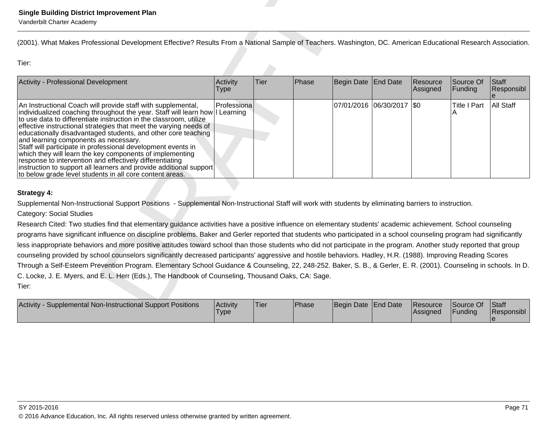| <b>Single Building District Improvement Plan</b><br>Vanderbilt Charter Academy                                                                                                                                                                                                                                                                                                                                                                                                                                                                                                                                                                                                                                                                                                                                                                          |                         |      |       |                     |                             |                      |                                      |                        |
|---------------------------------------------------------------------------------------------------------------------------------------------------------------------------------------------------------------------------------------------------------------------------------------------------------------------------------------------------------------------------------------------------------------------------------------------------------------------------------------------------------------------------------------------------------------------------------------------------------------------------------------------------------------------------------------------------------------------------------------------------------------------------------------------------------------------------------------------------------|-------------------------|------|-------|---------------------|-----------------------------|----------------------|--------------------------------------|------------------------|
| (2001). What Makes Professional Development Effective? Results From a National Sample of Teachers. Washington, DC. American Educational Research Association.                                                                                                                                                                                                                                                                                                                                                                                                                                                                                                                                                                                                                                                                                           |                         |      |       |                     |                             |                      |                                      |                        |
| Tier:                                                                                                                                                                                                                                                                                                                                                                                                                                                                                                                                                                                                                                                                                                                                                                                                                                                   |                         |      |       |                     |                             |                      |                                      |                        |
| Activity - Professional Development                                                                                                                                                                                                                                                                                                                                                                                                                                                                                                                                                                                                                                                                                                                                                                                                                     | Activity<br><b>Type</b> | Tier | Phase | Begin Date          | End Date                    | Resource<br>Assigned | Source Of<br>Funding                 | Staff<br>Responsibl    |
| An Instructional Coach will provide staff with supplemental,<br>individualized coaching throughout the year. Staff will learn how I Learning<br>to use data to differentiate instruction in the classroom, utilize<br>effective instructional strategies that meet the varying needs of<br>educationally disadvantaged students, and other core teaching<br>and learning components as necessary.<br>Staff will participate in professional development events in<br>which they will learn the key components of implementing<br>response to intervention and effectively differentiating<br>instruction to support all learners and provide additional support<br>to below grade level students in all core content areas.                                                                                                                             | Professiona             |      |       |                     | 07/01/2016  06/30/2017  \$0 |                      | <b>Title I Part</b>                  | All Staff              |
| <b>Strategy 4:</b>                                                                                                                                                                                                                                                                                                                                                                                                                                                                                                                                                                                                                                                                                                                                                                                                                                      |                         |      |       |                     |                             |                      |                                      |                        |
| Supplemental Non-Instructional Support Positions - Supplemental Non-Instructional Staff will work with students by eliminating barriers to instruction.                                                                                                                                                                                                                                                                                                                                                                                                                                                                                                                                                                                                                                                                                                 |                         |      |       |                     |                             |                      |                                      |                        |
| <b>Category: Social Studies</b>                                                                                                                                                                                                                                                                                                                                                                                                                                                                                                                                                                                                                                                                                                                                                                                                                         |                         |      |       |                     |                             |                      |                                      |                        |
| Research Cited: Two studies find that elementary guidance activities have a positive influence on elementary students' academic achievement. School counseling<br>programs have significant influence on discipline problems. Baker and Gerler reported that students who participated in a school counseling program had significantly<br>less inappropriate behaviors and more positive attitudes toward school than those students who did not participate in the program. Another study reported that group<br>counseling provided by school counselors significantly decreased participants' aggressive and hostile behaviors. Hadley, H.R. (1988). Improving Reading Scores<br>Through a Self-Esteem Prevention Program. Elementary School Guidance & Counseling, 22, 248-252. Baker, S. B., & Gerler, E. R. (2001). Counseling in schools. In D. |                         |      |       |                     |                             |                      |                                      |                        |
| C. Locke, J. E. Myers, and E. L. Herr (Eds.), The Handbook of Counseling, Thousand Oaks, CA: Sage.<br>Tier:                                                                                                                                                                                                                                                                                                                                                                                                                                                                                                                                                                                                                                                                                                                                             |                         |      |       |                     |                             |                      |                                      |                        |
| Activity - Supplemental Non-Instructional Support Positions                                                                                                                                                                                                                                                                                                                                                                                                                                                                                                                                                                                                                                                                                                                                                                                             | Activity                | Tier | Phase | Begin Date End Date |                             | Resource<br>A        | Source Of<br>$F_{i}$ in din $\alpha$ | Staff<br>$D$ conongibl |

| Activity<br><b>Supplemental Non-Instructional Support Positions</b> | Activity<br>I ype | 'Tier | <b>Phase</b> | Begin Date End Date | Resource<br> Assigned | Source Of<br>Funding | Staff<br>Responsibl |
|---------------------------------------------------------------------|-------------------|-------|--------------|---------------------|-----------------------|----------------------|---------------------|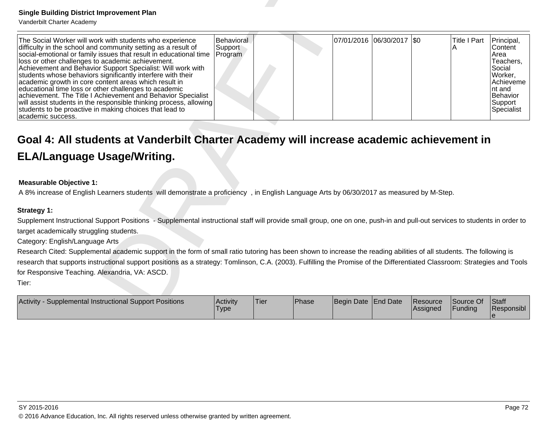| <b>Single Building District Improvement Plan</b><br>Vanderbilt Charter Academy                                                                                                                                                                                                                                                                                                                                                                                                                                                                                                                                                                                                                                            |                                  |      |       |            |                           |                      |                          |                                                                                                                             |
|---------------------------------------------------------------------------------------------------------------------------------------------------------------------------------------------------------------------------------------------------------------------------------------------------------------------------------------------------------------------------------------------------------------------------------------------------------------------------------------------------------------------------------------------------------------------------------------------------------------------------------------------------------------------------------------------------------------------------|----------------------------------|------|-------|------------|---------------------------|----------------------|--------------------------|-----------------------------------------------------------------------------------------------------------------------------|
| The Social Worker will work with students who experience<br>difficulty in the school and community setting as a result of<br>social-emotional or family issues that result in educational time<br>loss or other challenges to academic achievement.<br>Achievement and Behavior Support Specialist: Will work with<br>students whose behaviors significantly interfere with their<br>academic growth in core content areas which result in<br>educational time loss or other challenges to academic<br>achievement. The Title I Achievement and Behavior Specialist<br>will assist students in the responsible thinking process, allowing<br>students to be proactive in making choices that lead to<br>academic success. | Behavioral<br>Support<br>Program |      |       |            | 07/01/2016 06/30/2017 \$0 |                      | <b>Title I Part</b><br>Α | Principal,<br>Content<br>Area<br>Teachers,<br>Social<br>Worker,<br>Achieveme<br>nt and<br>Behavior<br>Support<br>Specialist |
| Goal 4: All students at Vanderbilt Charter Academy will increase academic achievement in<br><b>ELA/Language Usage/Writing.</b><br><b>Measurable Objective 1:</b><br>A 8% increase of English Learners students will demonstrate a proficiency, in English Language Arts by 06/30/2017 as measured by M-Step.                                                                                                                                                                                                                                                                                                                                                                                                              |                                  |      |       |            |                           |                      |                          |                                                                                                                             |
|                                                                                                                                                                                                                                                                                                                                                                                                                                                                                                                                                                                                                                                                                                                           |                                  |      |       |            |                           |                      |                          |                                                                                                                             |
| <b>Strategy 1:</b><br>Supplement Instructional Support Positions - Supplemental instructional staff will provide small group, one on one, push-in and pull-out services to students in order to<br>target academically struggling students.<br>Category: English/Language Arts                                                                                                                                                                                                                                                                                                                                                                                                                                            |                                  |      |       |            |                           |                      |                          |                                                                                                                             |
| Research Cited: Supplemental academic support in the form of small ratio tutoring has been shown to increase the reading abilities of all students. The following is<br>research that supports instructional support positions as a strategy: Tomlinson, C.A. (2003). Fulfilling the Promise of the Differentiated Classroom: Strategies and Tools<br>for Responsive Teaching. Alexandria, VA: ASCD.                                                                                                                                                                                                                                                                                                                      |                                  |      |       |            |                           |                      |                          |                                                                                                                             |
| Tier:                                                                                                                                                                                                                                                                                                                                                                                                                                                                                                                                                                                                                                                                                                                     |                                  |      |       |            |                           |                      |                          |                                                                                                                             |
| Activity - Supplemental Instructional Support Positions                                                                                                                                                                                                                                                                                                                                                                                                                                                                                                                                                                                                                                                                   | Activity<br> Type                | Tier | Phase | Begin Date | End Date                  | Resource<br>Assigned | Source Of<br>Funding     | Staff<br>Responsibl                                                                                                         |

## **Measurable Objective 1:**

| <b>Activity</b><br>Supplemental Instructional Support Positions | Activity<br><b>Type</b> | <b>Tier</b> | Phase | Begin Date End Date |  | <b>IResource</b><br><b>IAssigned</b> | <b>Source Of</b><br>Funding | <b>Staff</b><br>Responsibl |
|-----------------------------------------------------------------|-------------------------|-------------|-------|---------------------|--|--------------------------------------|-----------------------------|----------------------------|
|-----------------------------------------------------------------|-------------------------|-------------|-------|---------------------|--|--------------------------------------|-----------------------------|----------------------------|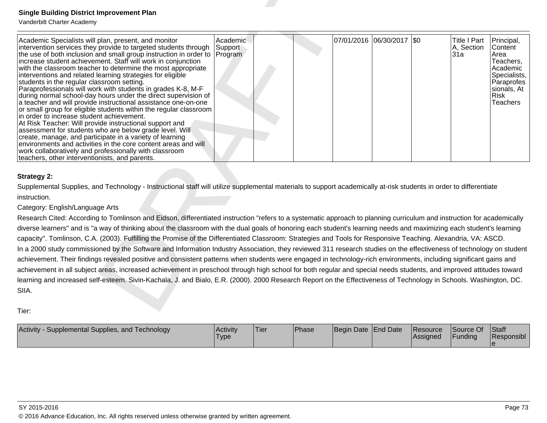| <b>Single Building District Improvement Plan</b>                                                                                                                                                                                                                                                                                                                                                                                                                                                                                                                                                                                                                                                                                                                                                                                                                                                                                                                                                                                                                                                                                                                                                                                                                                                                                                                                                                                                                          |                         |      |       |                     |                           |                      |                                   |                                                                                                                                |
|---------------------------------------------------------------------------------------------------------------------------------------------------------------------------------------------------------------------------------------------------------------------------------------------------------------------------------------------------------------------------------------------------------------------------------------------------------------------------------------------------------------------------------------------------------------------------------------------------------------------------------------------------------------------------------------------------------------------------------------------------------------------------------------------------------------------------------------------------------------------------------------------------------------------------------------------------------------------------------------------------------------------------------------------------------------------------------------------------------------------------------------------------------------------------------------------------------------------------------------------------------------------------------------------------------------------------------------------------------------------------------------------------------------------------------------------------------------------------|-------------------------|------|-------|---------------------|---------------------------|----------------------|-----------------------------------|--------------------------------------------------------------------------------------------------------------------------------|
| Vanderbilt Charter Academy<br>Academic Specialists will plan, present, and monitor<br>intervention services they provide to targeted students through<br>the use of both inclusion and small group instruction in order to Program<br>increase student achievement. Staff will work in conjunction<br>with the classroom teacher to determine the most appropriate<br>interventions and related learning strategies for eligible<br>students in the regular classroom setting.<br>Paraprofessionals will work with students in grades K-8, M-F<br>during normal school-day hours under the direct supervision of<br>a teacher and will provide instructional assistance one-on-one<br>or small group for eligible students within the regular classroom<br>in order to increase student achievement.<br>At Risk Teacher: Will provide instructional support and<br>assessment for students who are below grade level. Will<br>create, manage, and participate in a variety of learning<br>environments and activities in the core content areas and will<br>work collaboratively and professionally with classroom<br>teachers, other interventionists, and parents.                                                                                                                                                                                                                                                                                                      | Academic.<br>Support    |      |       |                     | 07/01/2016 06/30/2017 \$0 |                      | Title I Part<br>A, Section<br>31a | Principal,<br>Content<br>Area<br>Teachers,<br>Academic<br>Specialists.<br>Paraprofes<br>sionals, At<br>Risk<br><b>Teachers</b> |
| <b>Strategy 2:</b><br>Supplemental Supplies, and Technology - Instructional staff will utilize supplemental materials to support academically at-risk students in order to differentiate<br>instruction.<br>Category: English/Language Arts<br>Research Cited: According to Tomlinson and Eidson, differentiated instruction "refers to a systematic approach to planning curriculum and instruction for academically<br>diverse learners" and is "a way of thinking about the classroom with the dual goals of honoring each student's learning needs and maximizing each student's learning<br>capacity". Tomlinson, C.A. (2003). Fulfilling the Promise of the Differentiated Classroom: Strategies and Tools for Responsive Teaching. Alexandria, VA: ASCD.<br>In a 2000 study commissioned by the Software and Information Industry Association, they reviewed 311 research studies on the effectiveness of technology on student<br>achievement. Their findings revealed positive and consistent patterns when students were engaged in technology-rich environments, including significant gains and<br>achievement in all subject areas, increased achievement in preschool through high school for both regular and special needs students, and improved attitudes toward<br>learning and increased self-esteem. Sivin-Kachala, J. and Bialo, E.R. (2000). 2000 Research Report on the Effectiveness of Technology in Schools. Washington, DC.<br>SIIA.<br>Tier: |                         |      |       |                     |                           |                      |                                   |                                                                                                                                |
| Activity - Supplemental Supplies, and Technology                                                                                                                                                                                                                                                                                                                                                                                                                                                                                                                                                                                                                                                                                                                                                                                                                                                                                                                                                                                                                                                                                                                                                                                                                                                                                                                                                                                                                          | Activity<br><b>Type</b> | Tier | Phase | Begin Date End Date |                           | Resource<br>Assigned | Source Of<br>Funding              | Staff<br>Responsibl<br>$\theta$                                                                                                |

| Activity - Supplemental Supplies, and Technology | Activity<br>I ype | 'Tier | <b>Phase</b> | Begin Date End Date | Resource<br> Assigned | Source Of<br>Funding | <b>Staff</b><br>Responsibl |
|--------------------------------------------------|-------------------|-------|--------------|---------------------|-----------------------|----------------------|----------------------------|
|                                                  |                   |       |              |                     |                       |                      |                            |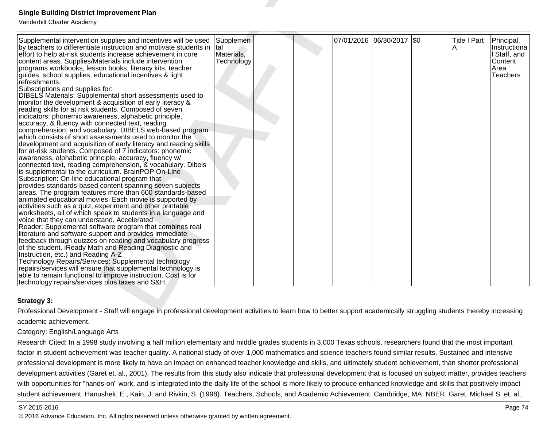| <b>Single Building District Improvement Plan</b><br>Vanderbilt Charter Academy                                                                                                                                                                                                                                                                                                                                                                                                                                                                                                                                                                                                                                                                                                                                                                                                                                                                                                                                                                                                                                                                                                                                                                                                                                                                                                                                                                                                                                                                                                                                                                                                                                                                                                                                                                                                                                                                                                                                                                                                                                                   |                                              |  |                           |                     |                                                                           |
|----------------------------------------------------------------------------------------------------------------------------------------------------------------------------------------------------------------------------------------------------------------------------------------------------------------------------------------------------------------------------------------------------------------------------------------------------------------------------------------------------------------------------------------------------------------------------------------------------------------------------------------------------------------------------------------------------------------------------------------------------------------------------------------------------------------------------------------------------------------------------------------------------------------------------------------------------------------------------------------------------------------------------------------------------------------------------------------------------------------------------------------------------------------------------------------------------------------------------------------------------------------------------------------------------------------------------------------------------------------------------------------------------------------------------------------------------------------------------------------------------------------------------------------------------------------------------------------------------------------------------------------------------------------------------------------------------------------------------------------------------------------------------------------------------------------------------------------------------------------------------------------------------------------------------------------------------------------------------------------------------------------------------------------------------------------------------------------------------------------------------------|----------------------------------------------|--|---------------------------|---------------------|---------------------------------------------------------------------------|
| Supplemental intervention supplies and incentives will be used<br>by teachers to differentiate instruction and motivate students in<br>effort to help at-risk students increase achievement in core<br>content areas. Supplies/Materials include intervention<br>programs workbooks, lesson books, literacy kits, teacher<br>guides, school supplies, educational incentives & light<br>refreshments.<br>Subscriptions and supplies for:<br>DIBELS Materials: Supplemental short assessments used to<br>monitor the development & acquisition of early literacy &<br>reading skills for at risk students. Composed of seven<br>indicators: phonemic awareness, alphabetic principle,<br>accuracy, & fluency with connected text, reading<br>comprehension, and vocabulary. DIBELS web-based program<br>which consists of short assessments used to monitor the<br>development and acquisition of early literacy and reading skills<br>for at-risk students. Composed of 7 indicators: phonemic<br>awareness, alphabetic principle, accuracy, fluency w/<br>connected text, reading comprehension, & vocabulary. Dibels<br>is supplemental to the curriculum. BrainPOP On-Line<br>Subscription: On-line educational program that<br>provides standards-based content spanning seven subjects<br>areas. The program features more than 600 standards-based<br>animated educational movies. Each movie is supported by<br>activities such as a quiz, experiment and other printable<br>worksheets, all of which speak to students in a language and<br>voice that they can understand. Accelerated<br>Reader: Supplemental software program that combines real<br>literature and software support and provides immediate<br>feedback through quizzes on reading and vocabulary progress<br>of the student. iReady Math and Reading Diagnostic and<br>Instruction, etc.) and Reading A-Z<br>Technology Repairs/Services: Supplemental technology<br>repairs/services will ensure that supplemental technology is<br>able to remain functional to improve instruction. Cost is for<br>technology repairs/services plus taxes and S&H. | Supplemen<br>tal<br>Materials,<br>Technology |  | 07/01/2016 06/30/2017 \$0 | <b>Title I Part</b> | Principal,<br>Instructiona<br>I Staff, and<br>Content<br>Area<br>Teachers |
| <b>Strategy 3:</b>                                                                                                                                                                                                                                                                                                                                                                                                                                                                                                                                                                                                                                                                                                                                                                                                                                                                                                                                                                                                                                                                                                                                                                                                                                                                                                                                                                                                                                                                                                                                                                                                                                                                                                                                                                                                                                                                                                                                                                                                                                                                                                               |                                              |  |                           |                     |                                                                           |
| Professional Development - Staff will engage in professional development activities to learn how to better support academically struggling students thereby increasing                                                                                                                                                                                                                                                                                                                                                                                                                                                                                                                                                                                                                                                                                                                                                                                                                                                                                                                                                                                                                                                                                                                                                                                                                                                                                                                                                                                                                                                                                                                                                                                                                                                                                                                                                                                                                                                                                                                                                           |                                              |  |                           |                     |                                                                           |
| academic achievement.                                                                                                                                                                                                                                                                                                                                                                                                                                                                                                                                                                                                                                                                                                                                                                                                                                                                                                                                                                                                                                                                                                                                                                                                                                                                                                                                                                                                                                                                                                                                                                                                                                                                                                                                                                                                                                                                                                                                                                                                                                                                                                            |                                              |  |                           |                     |                                                                           |
| Category: English/Language Arts                                                                                                                                                                                                                                                                                                                                                                                                                                                                                                                                                                                                                                                                                                                                                                                                                                                                                                                                                                                                                                                                                                                                                                                                                                                                                                                                                                                                                                                                                                                                                                                                                                                                                                                                                                                                                                                                                                                                                                                                                                                                                                  |                                              |  |                           |                     |                                                                           |
| Research Cited: In a 1998 study involving a half million elementary and middle grades students in 3,000 Texas schools, researchers found that the most important                                                                                                                                                                                                                                                                                                                                                                                                                                                                                                                                                                                                                                                                                                                                                                                                                                                                                                                                                                                                                                                                                                                                                                                                                                                                                                                                                                                                                                                                                                                                                                                                                                                                                                                                                                                                                                                                                                                                                                 |                                              |  |                           |                     |                                                                           |

## **Strategy 3:**

Research Cited: In a 1998 study involving a half million elementary and middle grades students in 3,000 Texas schools, researchers found that the most important factor in student achievement was teacher quality. A national study of over 1,000 mathematics and science teachers found similar results. Sustained and intensive professional development is more likely to have an impact on enhanced teacher knowledge and skills, and ultimately student achievement, than shorter professionaldevelopment activities (Garet et. al., 2001). The results from this study also indicate that professional development that is focused on subject matter, provides teacherswith opportunities for "hands-on" work, and is integrated into the daily life of the school is more likely to produce enhanced knowledge and skills that positively impact student achievement. Hanushek, E., Kain, J. and Rivkin, S. (1998). Teachers, Schools, and Academic Achievement. Cambridge, MA. NBER. Garet, Michael S. et. al.,

### SY 2015-2016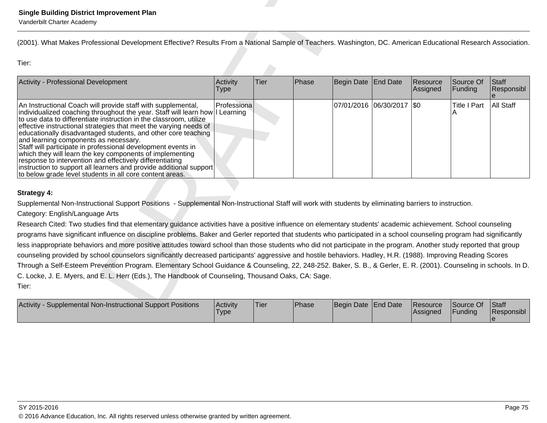| <b>Single Building District Improvement Plan</b><br>Vanderbilt Charter Academy                                                                                                                                                                                                                                                                                                                                                                                                                                                                                                                                                                                                                                      |                         |             |       |                     |                           |                      |                                 |                        |
|---------------------------------------------------------------------------------------------------------------------------------------------------------------------------------------------------------------------------------------------------------------------------------------------------------------------------------------------------------------------------------------------------------------------------------------------------------------------------------------------------------------------------------------------------------------------------------------------------------------------------------------------------------------------------------------------------------------------|-------------------------|-------------|-------|---------------------|---------------------------|----------------------|---------------------------------|------------------------|
| (2001). What Makes Professional Development Effective? Results From a National Sample of Teachers. Washington, DC. American Educational Research Association.                                                                                                                                                                                                                                                                                                                                                                                                                                                                                                                                                       |                         |             |       |                     |                           |                      |                                 |                        |
| Tier:                                                                                                                                                                                                                                                                                                                                                                                                                                                                                                                                                                                                                                                                                                               |                         |             |       |                     |                           |                      |                                 |                        |
| Activity - Professional Development                                                                                                                                                                                                                                                                                                                                                                                                                                                                                                                                                                                                                                                                                 | Activity<br><b>Type</b> | Tier        | Phase | Begin Date          | End Date                  | Resource<br>Assigned | Source Of<br>Funding            | Staff<br>Responsibl    |
| An Instructional Coach will provide staff with supplemental,<br>individualized coaching throughout the year. Staff will learn how   <br>to use data to differentiate instruction in the classroom, utilize<br>effective instructional strategies that meet the varying needs of<br>educationally disadvantaged students, and other core teaching<br>and learning components as necessary.<br>Staff will participate in professional development events in<br>which they will learn the key components of implementing<br>response to intervention and effectively differentiating<br>instruction to support all learners and provide additional support<br>to below grade level students in all core content areas. | Professiona<br>Learning |             |       |                     | 07/01/2016 06/30/2017 \$0 |                      | <b>Title I Part</b>             | <b>All Staff</b>       |
| <b>Strategy 4:</b>                                                                                                                                                                                                                                                                                                                                                                                                                                                                                                                                                                                                                                                                                                  |                         |             |       |                     |                           |                      |                                 |                        |
| Supplemental Non-Instructional Support Positions - Supplemental Non-Instructional Staff will work with students by eliminating barriers to instruction.                                                                                                                                                                                                                                                                                                                                                                                                                                                                                                                                                             |                         |             |       |                     |                           |                      |                                 |                        |
| Category: English/Language Arts                                                                                                                                                                                                                                                                                                                                                                                                                                                                                                                                                                                                                                                                                     |                         |             |       |                     |                           |                      |                                 |                        |
| Research Cited: Two studies find that elementary guidance activities have a positive influence on elementary students' academic achievement. School counseling                                                                                                                                                                                                                                                                                                                                                                                                                                                                                                                                                      |                         |             |       |                     |                           |                      |                                 |                        |
| programs have significant influence on discipline problems. Baker and Gerler reported that students who participated in a school counseling program had significantly                                                                                                                                                                                                                                                                                                                                                                                                                                                                                                                                               |                         |             |       |                     |                           |                      |                                 |                        |
| less inappropriate behaviors and more positive attitudes toward school than those students who did not participate in the program. Another study reported that group                                                                                                                                                                                                                                                                                                                                                                                                                                                                                                                                                |                         |             |       |                     |                           |                      |                                 |                        |
| counseling provided by school counselors significantly decreased participants' aggressive and hostile behaviors. Hadley, H.R. (1988). Improving Reading Scores                                                                                                                                                                                                                                                                                                                                                                                                                                                                                                                                                      |                         |             |       |                     |                           |                      |                                 |                        |
| Through a Self-Esteem Prevention Program. Elementary School Guidance & Counseling, 22, 248-252. Baker, S. B., & Gerler, E. R. (2001). Counseling in schools. In D.                                                                                                                                                                                                                                                                                                                                                                                                                                                                                                                                                  |                         |             |       |                     |                           |                      |                                 |                        |
| C. Locke, J. E. Myers, and E. L. Herr (Eds.), The Handbook of Counseling, Thousand Oaks, CA: Sage.                                                                                                                                                                                                                                                                                                                                                                                                                                                                                                                                                                                                                  |                         |             |       |                     |                           |                      |                                 |                        |
| Tier:                                                                                                                                                                                                                                                                                                                                                                                                                                                                                                                                                                                                                                                                                                               |                         |             |       |                     |                           |                      |                                 |                        |
| Activity - Supplemental Non-Instructional Support Positions                                                                                                                                                                                                                                                                                                                                                                                                                                                                                                                                                                                                                                                         | Activity                | <b>Tier</b> | Phase | Begin Date End Date |                           | Resource<br>A        | Source Of<br>F <sub>under</sub> | Staff<br>$D$ conongibl |

| Supplemental Non-Instructional Support Positions<br><b>Activity</b> | Activity<br><b>Type</b> | 'Tier | Phase | Begin Date End Date | Resource<br>Assigned | Source Of<br>Funding | <b>Staff</b><br>Responsibl |
|---------------------------------------------------------------------|-------------------------|-------|-------|---------------------|----------------------|----------------------|----------------------------|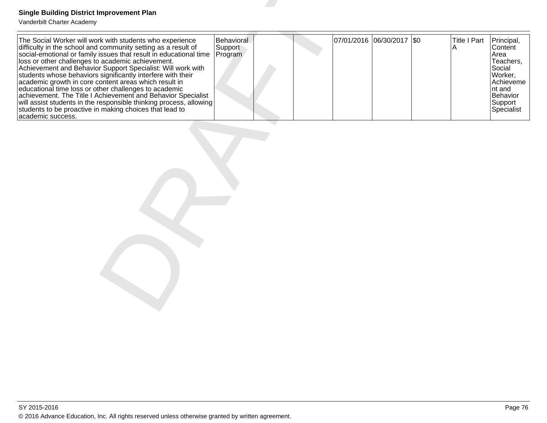| <b>Single Building District Improvement Plan</b><br>Vanderbilt Charter Academy                                                                                                                                                                                                                                                                                                                                                                                                                                                                                                                                                                                                                                            |                                  |  |                           |                          |                                                                                                                             |
|---------------------------------------------------------------------------------------------------------------------------------------------------------------------------------------------------------------------------------------------------------------------------------------------------------------------------------------------------------------------------------------------------------------------------------------------------------------------------------------------------------------------------------------------------------------------------------------------------------------------------------------------------------------------------------------------------------------------------|----------------------------------|--|---------------------------|--------------------------|-----------------------------------------------------------------------------------------------------------------------------|
| The Social Worker will work with students who experience<br>difficulty in the school and community setting as a result of<br>social-emotional or family issues that result in educational time<br>loss or other challenges to academic achievement.<br>Achievement and Behavior Support Specialist: Will work with<br>students whose behaviors significantly interfere with their<br>academic growth in core content areas which result in<br>educational time loss or other challenges to academic<br>achievement. The Title I Achievement and Behavior Specialist<br>will assist students in the responsible thinking process, allowing<br>students to be proactive in making choices that lead to<br>academic success. | Behavioral<br>Support<br>Program |  | 07/01/2016 06/30/2017 \$0 | <b>Title I Part</b><br>A | Principal,<br>Content<br>Area<br>Teachers,<br>Social<br>Worker,<br>Achieveme<br>nt and<br>Behavior<br>Support<br>Specialist |
|                                                                                                                                                                                                                                                                                                                                                                                                                                                                                                                                                                                                                                                                                                                           |                                  |  |                           |                          |                                                                                                                             |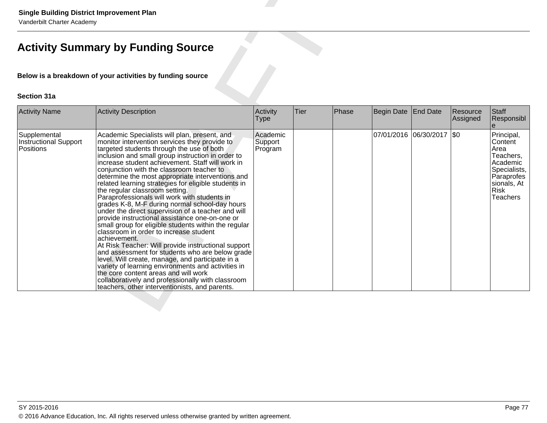|                                                           | <b>Single Building District Improvement Plan</b><br>Vanderbilt Charter Academy                                                                                                                                                                                                                                                                                                                                                                                                                                                                                                                                                                                                                                                                                                                                                                                                                                                                                                                                                                                                                                                                |                                |             |       |                     |                           |                      |                                                                                                                                |  |  |  |
|-----------------------------------------------------------|-----------------------------------------------------------------------------------------------------------------------------------------------------------------------------------------------------------------------------------------------------------------------------------------------------------------------------------------------------------------------------------------------------------------------------------------------------------------------------------------------------------------------------------------------------------------------------------------------------------------------------------------------------------------------------------------------------------------------------------------------------------------------------------------------------------------------------------------------------------------------------------------------------------------------------------------------------------------------------------------------------------------------------------------------------------------------------------------------------------------------------------------------|--------------------------------|-------------|-------|---------------------|---------------------------|----------------------|--------------------------------------------------------------------------------------------------------------------------------|--|--|--|
|                                                           | <b>Activity Summary by Funding Source</b>                                                                                                                                                                                                                                                                                                                                                                                                                                                                                                                                                                                                                                                                                                                                                                                                                                                                                                                                                                                                                                                                                                     |                                |             |       |                     |                           |                      |                                                                                                                                |  |  |  |
| Below is a breakdown of your activities by funding source |                                                                                                                                                                                                                                                                                                                                                                                                                                                                                                                                                                                                                                                                                                                                                                                                                                                                                                                                                                                                                                                                                                                                               |                                |             |       |                     |                           |                      |                                                                                                                                |  |  |  |
| <b>Section 31a</b>                                        |                                                                                                                                                                                                                                                                                                                                                                                                                                                                                                                                                                                                                                                                                                                                                                                                                                                                                                                                                                                                                                                                                                                                               |                                |             |       |                     |                           |                      |                                                                                                                                |  |  |  |
| <b>Activity Name</b>                                      | Activity Description                                                                                                                                                                                                                                                                                                                                                                                                                                                                                                                                                                                                                                                                                                                                                                                                                                                                                                                                                                                                                                                                                                                          | Activity<br>Type               | <b>Tier</b> | Phase | Begin Date End Date |                           | Resource<br>Assigned | Staff<br>Responsibl                                                                                                            |  |  |  |
| Supplemental<br><b>Instructional Support</b><br>Positions | Academic Specialists will plan, present, and<br>monitor intervention services they provide to<br>targeted students through the use of both<br>inclusion and small group instruction in order to<br>increase student achievement. Staff will work in<br>conjunction with the classroom teacher to<br>determine the most appropriate interventions and<br>related learning strategies for eligible students in<br>the regular classroom setting.<br>Paraprofessionals will work with students in<br>grades K-8, M-F during normal school-day hours<br>under the direct supervision of a teacher and will<br>provide instructional assistance one-on-one or<br>small group for eligible students within the regular<br>classroom in order to increase student<br>achievement.<br>At Risk Teacher: Will provide instructional support<br>and assessment for students who are below grade<br>level. Will create, manage, and participate in a<br>variety of learning environments and activities in<br>the core content areas and will work<br>collaboratively and professionally with classroom<br>teachers, other interventionists, and parents. | Academic<br>Support<br>Program |             |       |                     | 07/01/2016 06/30/2017 \$0 |                      | Principal,<br>Content<br>Area<br>Teachers,<br>Academic<br>Specialists,<br>Paraprofes<br>sionals, At<br>Risk<br><b>Teachers</b> |  |  |  |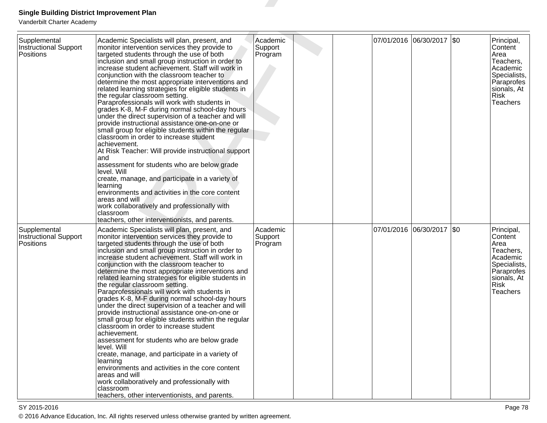| <b>Single Building District Improvement Plan</b><br>Vanderbilt Charter Academy |                                                                                                                                                                                                                                                                                                                                                                                                                                                                                                                                                                                                                                                                                                                                                                                                                                                                                                                                                                                                                                                                                                                                                           |                                |  |                       |         |                                                                                                                                       |
|--------------------------------------------------------------------------------|-----------------------------------------------------------------------------------------------------------------------------------------------------------------------------------------------------------------------------------------------------------------------------------------------------------------------------------------------------------------------------------------------------------------------------------------------------------------------------------------------------------------------------------------------------------------------------------------------------------------------------------------------------------------------------------------------------------------------------------------------------------------------------------------------------------------------------------------------------------------------------------------------------------------------------------------------------------------------------------------------------------------------------------------------------------------------------------------------------------------------------------------------------------|--------------------------------|--|-----------------------|---------|---------------------------------------------------------------------------------------------------------------------------------------|
| Supplemental<br><b>Instructional Support</b><br>Positions                      | Academic Specialists will plan, present, and<br>monitor intervention services they provide to<br>targeted students through the use of both<br>inclusion and small group instruction in order to<br>increase student achievement. Staff will work in<br>conjunction with the classroom teacher to<br>determine the most appropriate interventions and<br>related learning strategies for eligible students in<br>the regular classroom setting.<br>Paraprofessionals will work with students in<br>grades K-8, M-F during normal school-day hours<br>under the direct supervision of a teacher and will<br>provide instructional assistance one-on-one or<br>small group for eligible students within the regular<br>classroom in order to increase student<br>achievement.<br>At Risk Teacher: Will provide instructional support<br>and<br>assessment for students who are below grade<br>level. Will<br>create, manage, and participate in a variety of<br>learning<br>environments and activities in the core content<br>areas and will<br>work collaboratively and professionally with<br>classroom<br>teachers, other interventionists, and parents. | Academic<br>Support<br>Program |  | 07/01/2016 06/30/2017 | $ $ \$0 | Principal,<br>Content<br>Area<br>Teachers,<br>Academic<br>Specialists,<br>Paraprofes<br>sionals, At<br><b>Risk</b><br><b>Teachers</b> |
| Supplemental<br><b>Instructional Support</b><br>Positions                      | Academic Specialists will plan, present, and<br>monitor intervention services they provide to<br>targeted students through the use of both<br>inclusion and small group instruction in order to<br>increase student achievement. Staff will work in<br>conjunction with the classroom teacher to<br>determine the most appropriate interventions and<br>related learning strategies for eligible students in<br>the regular classroom setting.<br>Paraprofessionals will work with students in<br>grades K-8, M-F during normal school-day hours<br>under the direct supervision of a teacher and will<br>provide instructional assistance one-on-one or<br>small group for eligible students within the regular<br>classroom in order to increase student<br>achievement.<br>assessment for students who are below grade<br>level. Will<br>create, manage, and participate in a variety of<br>learning<br>environments and activities in the core content<br>areas and will<br>work collaboratively and professionally with<br>classroom<br>teachers, other interventionists, and parents.                                                               | Academic<br>Support<br>Program |  | 07/01/2016 06/30/2017 | $ $ \$0 | Principal,<br>Content<br>Area<br>Teachers,<br>Academic<br>Specialists,<br>Paraprofes<br>sionals, At<br><b>Risk</b><br><b>Teachers</b> |

en and the set of the set of the set of the set of the set of the set of the set of the set of the set of the  $P$ age  $78$ © 2016 Advance Education, Inc. All rights reserved unless otherwise granted by written agreement.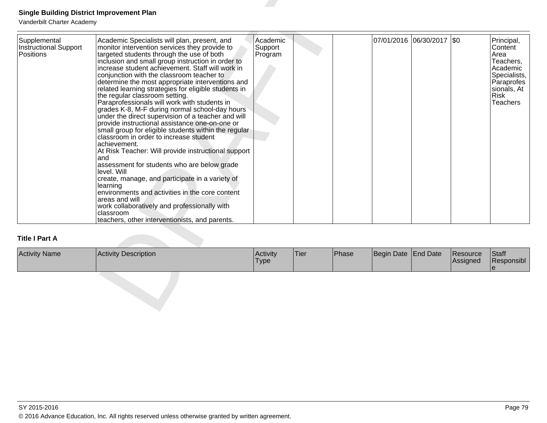| Supplemental<br>Instructional Support<br>Positions | Academic Specialists will plan, present, and<br>monitor intervention services they provide to<br>targeted students through the use of both<br>inclusion and small group instruction in order to<br>increase student achievement. Staff will work in<br>conjunction with the classroom teacher to<br>determine the most appropriate interventions and<br>related learning strategies for eligible students in<br>the regular classroom setting.<br>Paraprofessionals will work with students in<br>grades K-8, M-F during normal school-day hours<br>under the direct supervision of a teacher and will<br>provide instructional assistance one-on-one or<br>small group for eligible students within the regular<br>classroom in order to increase student<br>achievement.<br>At Risk Teacher: Will provide instructional support<br>and<br>assessment for students who are below grade<br>llevel. Will<br>create, manage, and participate in a variety of<br>learning<br>environments and activities in the core content<br>areas and will<br>work collaboratively and professionally with<br>classroom<br>teachers, other interventionists, and parents. | Academic<br>Support<br>Program |      |       |            | 07/01/2016 06/30/2017 \$0 |                      | Principal,<br>Content<br>Area<br>Teachers,<br>Academic<br>Specialists,<br><b>Paraprofes</b><br>sionals, At<br><b>Risk</b><br><b>Teachers</b> |
|----------------------------------------------------|------------------------------------------------------------------------------------------------------------------------------------------------------------------------------------------------------------------------------------------------------------------------------------------------------------------------------------------------------------------------------------------------------------------------------------------------------------------------------------------------------------------------------------------------------------------------------------------------------------------------------------------------------------------------------------------------------------------------------------------------------------------------------------------------------------------------------------------------------------------------------------------------------------------------------------------------------------------------------------------------------------------------------------------------------------------------------------------------------------------------------------------------------------|--------------------------------|------|-------|------------|---------------------------|----------------------|----------------------------------------------------------------------------------------------------------------------------------------------|
| <b>Title I Part A</b>                              |                                                                                                                                                                                                                                                                                                                                                                                                                                                                                                                                                                                                                                                                                                                                                                                                                                                                                                                                                                                                                                                                                                                                                            |                                |      |       |            |                           |                      |                                                                                                                                              |
| <b>Activity Name</b>                               | Activity Description                                                                                                                                                                                                                                                                                                                                                                                                                                                                                                                                                                                                                                                                                                                                                                                                                                                                                                                                                                                                                                                                                                                                       | Activity<br><b>Type</b>        | Tier | Phase | Begin Date | End Date                  | Resource<br>Assigned | Staff<br>Responsibl                                                                                                                          |

| <b>Activity Name</b> | <b>Activity Description</b> | <b>Activity</b><br>'Type | 'Tier | <sup>1</sup> Phase | Begin Date End Date | <b>IResource</b><br><b>Assigned</b> | Staff<br><b>Responsibl</b> |
|----------------------|-----------------------------|--------------------------|-------|--------------------|---------------------|-------------------------------------|----------------------------|
|                      |                             |                          |       |                    |                     |                                     |                            |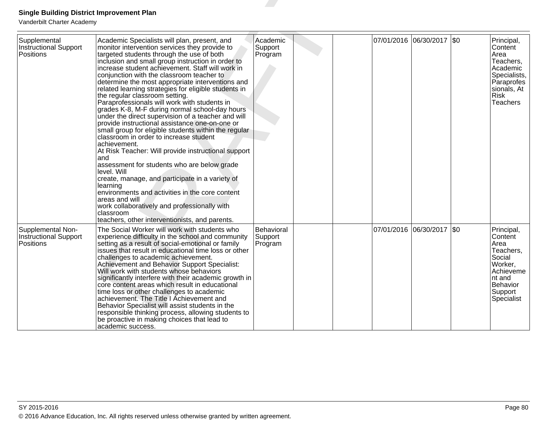| <b>Single Building District Improvement Plan</b><br>Vanderbilt Charter Academy |                                                                                                                                                                                                                                                                                                                                                                                                                                                                                                                                                                                                                                                                                                                                                                                                                                                                                                                                                                                                                                                                                                                                                           |                                  |  |                            |                       |         |                                                                                                                                |
|--------------------------------------------------------------------------------|-----------------------------------------------------------------------------------------------------------------------------------------------------------------------------------------------------------------------------------------------------------------------------------------------------------------------------------------------------------------------------------------------------------------------------------------------------------------------------------------------------------------------------------------------------------------------------------------------------------------------------------------------------------------------------------------------------------------------------------------------------------------------------------------------------------------------------------------------------------------------------------------------------------------------------------------------------------------------------------------------------------------------------------------------------------------------------------------------------------------------------------------------------------|----------------------------------|--|----------------------------|-----------------------|---------|--------------------------------------------------------------------------------------------------------------------------------|
| Supplemental<br>Instructional Support<br>Positions                             | Academic Specialists will plan, present, and<br>monitor intervention services they provide to<br>targeted students through the use of both<br>inclusion and small group instruction in order to<br>increase student achievement. Staff will work in<br>conjunction with the classroom teacher to<br>determine the most appropriate interventions and<br>related learning strategies for eligible students in<br>the regular classroom setting.<br>Paraprofessionals will work with students in<br>grades K-8, M-F during normal school-day hours<br>under the direct supervision of a teacher and will<br>provide instructional assistance one-on-one or<br>small group for eligible students within the regular<br>classroom in order to increase student<br>achievement.<br>At Risk Teacher: Will provide instructional support<br>and<br>assessment for students who are below grade<br>level. Will<br>create, manage, and participate in a variety of<br>learning<br>environments and activities in the core content<br>areas and will<br>work collaboratively and professionally with<br>classroom<br>teachers, other interventionists, and parents. | Academic<br>Support<br>Program   |  | 07/01/2016 06/30/2017  \$0 |                       |         | Principal,<br>Content<br>Area<br>Teachers,<br>Academic<br>Specialists,<br>Paraprofes<br>sionals, At<br><b>Risk</b><br>Teachers |
| Supplemental Non-<br><b>Instructional Support</b><br><b>Positions</b>          | The Social Worker will work with students who<br>experience difficulty in the school and community<br>setting as a result of social-emotional or family<br>issues that result in educational time loss or other<br>challenges to academic achievement.<br>Achievement and Behavior Support Specialist:<br>Will work with students whose behaviors<br>significantly interfere with their academic growth in<br>core content areas which result in educational<br>time loss or other challenges to academic<br>achievement. The Title I Achievement and<br>Behavior Specialist will assist students in the<br>responsible thinking process, allowing students to<br>be proactive in making choices that lead to<br>academic success.                                                                                                                                                                                                                                                                                                                                                                                                                        | Behavioral<br>Support<br>Program |  |                            | 07/01/2016 06/30/2017 | $ $ \$0 | Principal,<br>Content<br>Area<br>Teachers,<br>Social<br>Worker,<br>Achieveme<br>nt and<br>Behavior<br>Support<br>Specialist    |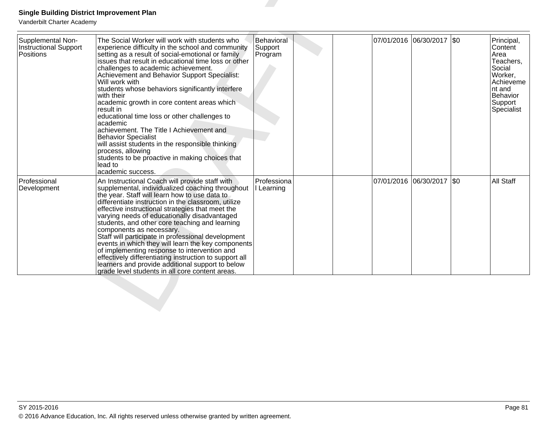| Supplemental Non-<br>Instructional Support<br>Positions | The Social Worker will work with students who<br>experience difficulty in the school and community<br>setting as a result of social-emotional or family<br>issues that result in educational time loss or other<br>challenges to academic achievement.<br>Achievement and Behavior Support Specialist:<br>Will work with<br>students whose behaviors significantly interfere<br>with their<br>academic growth in core content areas which<br>result in<br>educational time loss or other challenges to<br>academic<br>achievement. The Title I Achievement and<br><b>Behavior Specialist</b><br>will assist students in the responsible thinking<br>process, allowing<br>students to be proactive in making choices that<br>lead to            | Behavioral<br>Support<br>Program |                       | 07/01/2016 06/30/2017 \$0 |         | Principal,<br>Content<br>Area<br>Teachers,<br>Social<br>Worker,<br>Achieveme<br>Int and<br>Behavior<br>Support<br>Specialist |
|---------------------------------------------------------|------------------------------------------------------------------------------------------------------------------------------------------------------------------------------------------------------------------------------------------------------------------------------------------------------------------------------------------------------------------------------------------------------------------------------------------------------------------------------------------------------------------------------------------------------------------------------------------------------------------------------------------------------------------------------------------------------------------------------------------------|----------------------------------|-----------------------|---------------------------|---------|------------------------------------------------------------------------------------------------------------------------------|
| Professional<br>Development                             | academic success.<br>An Instructional Coach will provide staff with<br>supplemental, individualized coaching throughout<br>the year. Staff will learn how to use data to<br>differentiate instruction in the classroom, utilize<br>effective instructional strategies that meet the<br>varying needs of educationally disadvantaged<br>students, and other core teaching and learning<br>components as necessary.<br>Staff will participate in professional development<br>events in which they will learn the key components<br>of implementing response to intervention and<br>effectively differentiating instruction to support all<br>learners and provide additional support to below<br>grade level students in all core content areas. | Professiona<br>I Learning        | 07/01/2016 06/30/2017 |                           | $ $ \$0 | All Staff                                                                                                                    |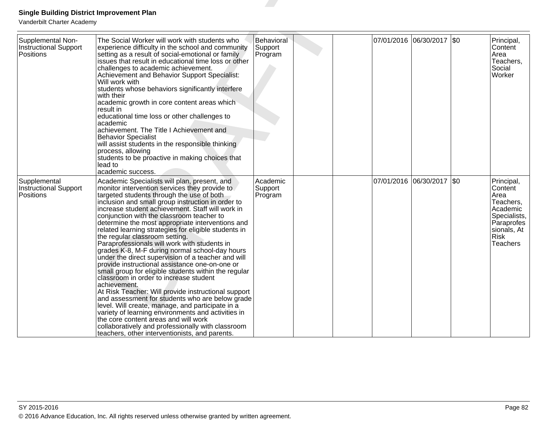| <b>Single Building District Improvement Plan</b><br>Vanderbilt Charter Academy |                                                                                                                                                                                                                                                                                                                                                                                                                                                                                                                                                                                                                                                                                                                                                                                                                                                                                                                                                                                                                                                                                                                                               |                                  |  |            |                           |         |                                                                                                                                       |
|--------------------------------------------------------------------------------|-----------------------------------------------------------------------------------------------------------------------------------------------------------------------------------------------------------------------------------------------------------------------------------------------------------------------------------------------------------------------------------------------------------------------------------------------------------------------------------------------------------------------------------------------------------------------------------------------------------------------------------------------------------------------------------------------------------------------------------------------------------------------------------------------------------------------------------------------------------------------------------------------------------------------------------------------------------------------------------------------------------------------------------------------------------------------------------------------------------------------------------------------|----------------------------------|--|------------|---------------------------|---------|---------------------------------------------------------------------------------------------------------------------------------------|
| Supplemental Non-<br>Instructional Support<br><b>Positions</b>                 | The Social Worker will work with students who<br>experience difficulty in the school and community<br>setting as a result of social-emotional or family<br>issues that result in educational time loss or other<br>challenges to academic achievement.<br>Achievement and Behavior Support Specialist:<br>Will work with<br>students whose behaviors significantly interfere<br>with their<br>academic growth in core content areas which<br>result in<br>educational time loss or other challenges to<br>academic<br>achievement. The Title I Achievement and<br><b>Behavior Specialist</b><br>will assist students in the responsible thinking<br>process, allowing<br>students to be proactive in making choices that<br>lead to<br>academic success.                                                                                                                                                                                                                                                                                                                                                                                      | Behavioral<br>Support<br>Program |  |            | 07/01/2016 06/30/2017 \$0 |         | Principal,<br>Content<br>Area<br>Teachers,<br>Social<br>Worker                                                                        |
| Supplemental<br>Instructional Support<br>Positions                             | Academic Specialists will plan, present, and<br>monitor intervention services they provide to<br>targeted students through the use of both<br>inclusion and small group instruction in order to<br>increase student achievement. Staff will work in<br>conjunction with the classroom teacher to<br>determine the most appropriate interventions and<br>related learning strategies for eligible students in<br>the regular classroom setting.<br>Paraprofessionals will work with students in<br>grades K-8, M-F during normal school-day hours<br>under the direct supervision of a teacher and will<br>provide instructional assistance one-on-one or<br>small group for eligible students within the regular<br>classroom in order to increase student<br>achievement.<br>At Risk Teacher: Will provide instructional support<br>and assessment for students who are below grade<br>level. Will create, manage, and participate in a<br>variety of learning environments and activities in<br>the core content areas and will work<br>collaboratively and professionally with classroom<br>teachers, other interventionists, and parents. | Academic<br>Support<br>Program   |  | 07/01/2016 | 06/30/2017                | $ $ \$0 | Principal,<br>Content<br>Area<br>Teachers,<br>Academic<br>Specialists,<br>Paraprofes<br>sionals, At<br><b>Risk</b><br><b>Teachers</b> |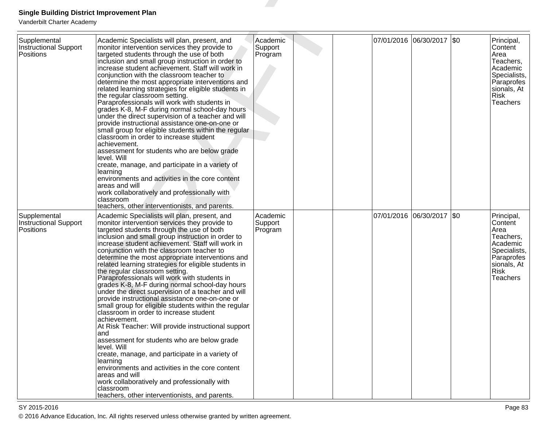| <b>Single Building District Improvement Plan</b><br>Vanderbilt Charter Academy |                                                                                                                                                                                                                                                                                                                                                                                                                                                                                                                                                                                                                                                                                                                                                                                                                                                                                                                                                                                                                                                                                                                                                           |                                |  |            |                           |                                                                                                                                 |
|--------------------------------------------------------------------------------|-----------------------------------------------------------------------------------------------------------------------------------------------------------------------------------------------------------------------------------------------------------------------------------------------------------------------------------------------------------------------------------------------------------------------------------------------------------------------------------------------------------------------------------------------------------------------------------------------------------------------------------------------------------------------------------------------------------------------------------------------------------------------------------------------------------------------------------------------------------------------------------------------------------------------------------------------------------------------------------------------------------------------------------------------------------------------------------------------------------------------------------------------------------|--------------------------------|--|------------|---------------------------|---------------------------------------------------------------------------------------------------------------------------------|
| Supplemental<br><b>Instructional Support</b><br>Positions                      | Academic Specialists will plan, present, and<br>monitor intervention services they provide to<br>targeted students through the use of both<br>inclusion and small group instruction in order to<br>increase student achievement. Staff will work in<br>conjunction with the classroom teacher to<br>determine the most appropriate interventions and<br>related learning strategies for eligible students in<br>the regular classroom setting.<br>Paraprofessionals will work with students in<br>grades K-8, M-F during normal school-day hours<br>under the direct supervision of a teacher and will<br>provide instructional assistance one-on-one or<br>small group for eligible students within the regular<br>classroom in order to increase student<br>achievement.<br>assessment for students who are below grade<br>level. Will<br>create, manage, and participate in a variety of<br>learning<br>environments and activities in the core content<br>areas and will<br>work collaboratively and professionally with<br>classroom<br>teachers, other interventionists, and parents.                                                               | Academic<br>Support<br>Program |  | 07/01/2016 | 06/30/2017   \$0          | Principal,<br>Content<br>Area<br>Teachers,<br>Academic<br>Specialists,<br>Paraprofes<br>siionals, At<br>Risk<br><b>Teachers</b> |
| Supplemental<br><b>Instructional Support</b><br>Positions                      | Academic Specialists will plan, present, and<br>monitor intervention services they provide to<br>targeted students through the use of both<br>inclusion and small group instruction in order to<br>increase student achievement. Staff will work in<br>conjunction with the classroom teacher to<br>determine the most appropriate interventions and<br>related learning strategies for eligible students in<br>the regular classroom setting.<br>Paraprofessionals will work with students in<br>grades K-8, M-F during normal school-day hours<br>under the direct supervision of a teacher and will<br>provide instructional assistance one-on-one or<br>small group for eligible students within the regular<br>classroom in order to increase student<br>achievement.<br>At Risk Teacher: Will provide instructional support<br>and<br>assessment for students who are below grade<br>level. Will<br>create, manage, and participate in a variety of<br>learning<br>environments and activities in the core content<br>areas and will<br>work collaboratively and professionally with<br>classroom<br>teachers, other interventionists, and parents. | Academic<br>Support<br>Program |  |            | 07/01/2016 06/30/2017 \$0 | Principal,<br>Content<br>Area<br>Teachers,<br>Academic<br>Specialists,<br>Paraprofes<br>sionals, At<br>Risk<br><b>Teachers</b>  |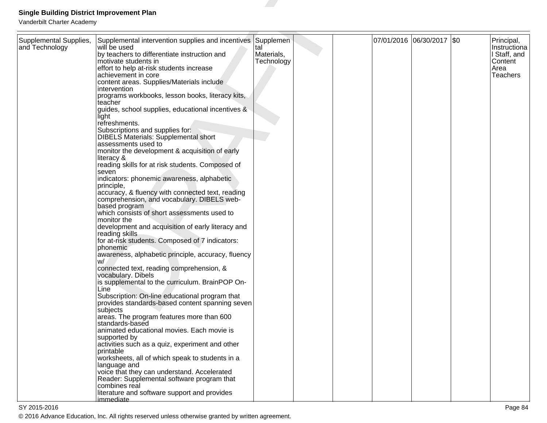| <b>Single Building District Improvement Plan</b>                                                                                                                                                                                                                                                                                                                                                                                                                                                                                                                                                                                                                                                                                                                                                                                                                                                                                                                                                                                                                                                                                                                                                                                                                                                                                                                                                                                                                                                                                                                                                                                                                                     |                                 |                                                             |  |  |                                                                           |
|--------------------------------------------------------------------------------------------------------------------------------------------------------------------------------------------------------------------------------------------------------------------------------------------------------------------------------------------------------------------------------------------------------------------------------------------------------------------------------------------------------------------------------------------------------------------------------------------------------------------------------------------------------------------------------------------------------------------------------------------------------------------------------------------------------------------------------------------------------------------------------------------------------------------------------------------------------------------------------------------------------------------------------------------------------------------------------------------------------------------------------------------------------------------------------------------------------------------------------------------------------------------------------------------------------------------------------------------------------------------------------------------------------------------------------------------------------------------------------------------------------------------------------------------------------------------------------------------------------------------------------------------------------------------------------------|---------------------------------|-------------------------------------------------------------|--|--|---------------------------------------------------------------------------|
|                                                                                                                                                                                                                                                                                                                                                                                                                                                                                                                                                                                                                                                                                                                                                                                                                                                                                                                                                                                                                                                                                                                                                                                                                                                                                                                                                                                                                                                                                                                                                                                                                                                                                      |                                 |                                                             |  |  |                                                                           |
| will be used<br>by teachers to differentiate instruction and<br>motivate students in<br>effort to help at-risk students increase<br>achievement in core<br>content areas. Supplies/Materials include<br>intervention<br>programs workbooks, lesson books, literacy kits,<br>teacher<br>guides, school supplies, educational incentives &<br>liaht<br>refreshments.<br>Subscriptions and supplies for:<br><b>DIBELS Materials: Supplemental short</b><br>assessments used to<br>monitor the development & acquisition of early<br>literacy &<br>reading skills for at risk students. Composed of<br>seven<br>indicators: phonemic awareness, alphabetic<br>principle,<br>accuracy, & fluency with connected text, reading<br>comprehension, and vocabulary. DIBELS web-<br>based program<br>which consists of short assessments used to<br>monitor the<br>development and acquisition of early literacy and<br>reading skills<br>for at-risk students. Composed of 7 indicators:<br>phonemic<br>awareness, alphabetic principle, accuracy, fluency<br>W/<br>connected text, reading comprehension, &<br>vocabulary. Dibels<br>is supplemental to the curriculum. BrainPOP On-<br>Line<br>Subscription: On-line educational program that<br>provides standards-based content spanning seven<br>subjects<br>areas. The program features more than 600<br>standards-based<br>animated educational movies. Each movie is<br>supported by<br>activities such as a quiz, experiment and other<br>printable<br>worksheets, all of which speak to students in a<br>language and<br>voice that they can understand. Accelerated<br>Reader: Supplemental software program that<br>combines real | tal<br>Materials,<br>Technology |                                                             |  |  | Principal,<br>Instructiona<br>I Staff, and<br>Content<br>Area<br>Teachers |
|                                                                                                                                                                                                                                                                                                                                                                                                                                                                                                                                                                                                                                                                                                                                                                                                                                                                                                                                                                                                                                                                                                                                                                                                                                                                                                                                                                                                                                                                                                                                                                                                                                                                                      |                                 | Supplemental intervention supplies and incentives Supplemen |  |  | 07/01/2016 06/30/2017 \$0                                                 |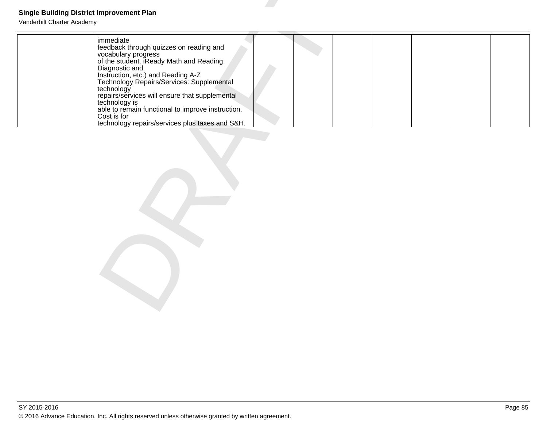| <b>Single Building District Improvement Plan</b><br>Vanderbilt Charter Academy |                                                                                                                                                                                                                                                                                                                                                                                                                                     |
|--------------------------------------------------------------------------------|-------------------------------------------------------------------------------------------------------------------------------------------------------------------------------------------------------------------------------------------------------------------------------------------------------------------------------------------------------------------------------------------------------------------------------------|
|                                                                                | immediate<br>feedback through quizzes on reading and<br>vocabulary progress<br>of the student. iReady Math and Reading<br>Diagnostic and<br>Instruction, etc.) and Reading A-Z<br>Technology Repairs/Services: Supplemental<br>technology<br>repairs/services will ensure that supplemental<br>technology is<br>able to remain functional to improve instruction.<br>Cost is for<br>technology repairs/services plus taxes and S&H. |
|                                                                                |                                                                                                                                                                                                                                                                                                                                                                                                                                     |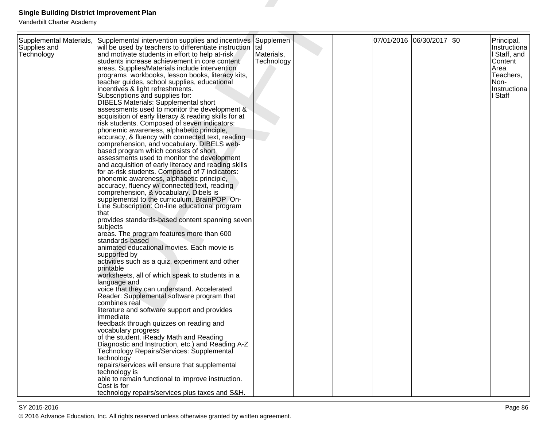| <b>Single Building District Improvement Plan</b> |                                                                                                            |                   |  |                       |         |                            |
|--------------------------------------------------|------------------------------------------------------------------------------------------------------------|-------------------|--|-----------------------|---------|----------------------------|
| Vanderbilt Charter Academy                       |                                                                                                            |                   |  |                       |         |                            |
|                                                  |                                                                                                            |                   |  |                       |         |                            |
| Supplemental Materials,<br>Supplies and          | Supplemental intervention supplies and incentives<br>will be used by teachers to differentiate instruction | Supplemen<br>Ital |  | 07/01/2016 06/30/2017 | $ $ \$0 | Principal,<br>Instructiona |
| Technology                                       | and motivate students in effort to help at-risk                                                            | Materials,        |  |                       |         | I Staff, and               |
|                                                  | students increase achievement in core content                                                              | Technology        |  |                       |         | Content                    |
|                                                  | areas. Supplies/Materials include intervention                                                             |                   |  |                       |         | Area                       |
|                                                  | programs workbooks, lesson books, literacy kits,                                                           |                   |  |                       |         | Teachers,<br>Non-          |
|                                                  | teacher guides, school supplies, educational<br>incentives & light refreshments.                           |                   |  |                       |         | Instructiona               |
|                                                  | Subscriptions and supplies for:                                                                            |                   |  |                       |         | I Staff                    |
|                                                  | <b>DIBELS Materials: Supplemental short</b>                                                                |                   |  |                       |         |                            |
|                                                  | assessments used to monitor the development &                                                              |                   |  |                       |         |                            |
|                                                  | acquisition of early literacy & reading skills for at                                                      |                   |  |                       |         |                            |
|                                                  | risk students. Composed of seven indicators:                                                               |                   |  |                       |         |                            |
|                                                  | phonemic awareness, alphabetic principle,                                                                  |                   |  |                       |         |                            |
|                                                  | accuracy, & fluency with connected text, reading<br>comprehension, and vocabulary. DIBELS web-             |                   |  |                       |         |                            |
|                                                  | based program which consists of short                                                                      |                   |  |                       |         |                            |
|                                                  | assessments used to monitor the development                                                                |                   |  |                       |         |                            |
|                                                  | and acquisition of early literacy and reading skills                                                       |                   |  |                       |         |                            |
|                                                  | for at-risk students. Composed of 7 indicators:                                                            |                   |  |                       |         |                            |
|                                                  | phonemic awareness, alphabetic principle,                                                                  |                   |  |                       |         |                            |
|                                                  | accuracy, fluency w/ connected text, reading                                                               |                   |  |                       |         |                            |
|                                                  | comprehension, & vocabulary. Dibels is<br>supplemental to the curriculum. BrainPOP On-                     |                   |  |                       |         |                            |
|                                                  | Line Subscription: On-line educational program                                                             |                   |  |                       |         |                            |
|                                                  | that                                                                                                       |                   |  |                       |         |                            |
|                                                  | provides standards-based content spanning seven                                                            |                   |  |                       |         |                            |
|                                                  | subjects                                                                                                   |                   |  |                       |         |                            |
|                                                  | areas. The program features more than 600                                                                  |                   |  |                       |         |                            |
|                                                  | standards-based                                                                                            |                   |  |                       |         |                            |
|                                                  | animated educational movies. Each movie is<br>supported by                                                 |                   |  |                       |         |                            |
|                                                  | activities such as a quiz, experiment and other                                                            |                   |  |                       |         |                            |
|                                                  | printable                                                                                                  |                   |  |                       |         |                            |
|                                                  | worksheets, all of which speak to students in a                                                            |                   |  |                       |         |                            |
|                                                  | language and                                                                                               |                   |  |                       |         |                            |
|                                                  | voice that they can understand. Accelerated                                                                |                   |  |                       |         |                            |
|                                                  | Reader: Supplemental software program that<br>combines real                                                |                   |  |                       |         |                            |
|                                                  | literature and software support and provides                                                               |                   |  |                       |         |                            |
|                                                  | immediate                                                                                                  |                   |  |                       |         |                            |
|                                                  | feedback through quizzes on reading and                                                                    |                   |  |                       |         |                            |
|                                                  | vocabulary progress                                                                                        |                   |  |                       |         |                            |
|                                                  | of the student. iReady Math and Reading                                                                    |                   |  |                       |         |                            |
|                                                  | Diagnostic and Instruction, etc.) and Reading A-Z                                                          |                   |  |                       |         |                            |
|                                                  | Technology Repairs/Services: Supplemental                                                                  |                   |  |                       |         |                            |
|                                                  | technology<br>repairs/services will ensure that supplemental                                               |                   |  |                       |         |                            |
|                                                  | technology is                                                                                              |                   |  |                       |         |                            |
|                                                  | able to remain functional to improve instruction.                                                          |                   |  |                       |         |                            |
|                                                  | Cost is for                                                                                                |                   |  |                       |         |                            |
|                                                  | technology repairs/services plus taxes and S&H.                                                            |                   |  |                       |         |                            |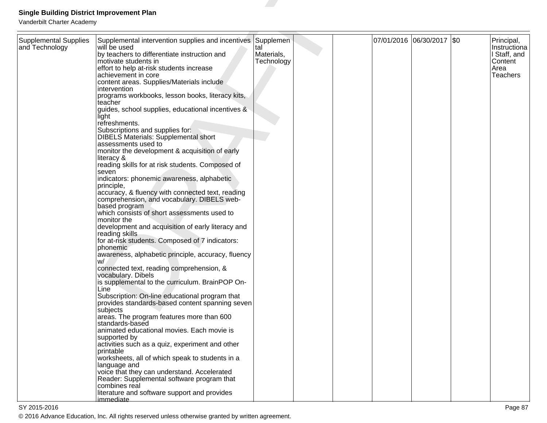| <b>Single Building District Improvement Plan</b>                             |                                                                                                                                                                                                                                                                                                                                                                                                                                                                                                                                                 |                                 |  |                           |                                                                           |
|------------------------------------------------------------------------------|-------------------------------------------------------------------------------------------------------------------------------------------------------------------------------------------------------------------------------------------------------------------------------------------------------------------------------------------------------------------------------------------------------------------------------------------------------------------------------------------------------------------------------------------------|---------------------------------|--|---------------------------|---------------------------------------------------------------------------|
| Vanderbilt Charter Academy<br><b>Supplemental Supplies</b><br>and Technology | Supplemental intervention supplies and incentives Supplemen<br>will be used<br>by teachers to differentiate instruction and<br>motivate students in<br>effort to help at-risk students increase<br>achievement in core<br>content areas. Supplies/Materials include<br>intervention<br>programs workbooks, lesson books, literacy kits,<br>teacher                                                                                                                                                                                              | tal<br>Materials,<br>Technology |  | 07/01/2016 06/30/2017 \$0 | Principal,<br>Instructiona<br>I Staff, and<br>Content<br>Area<br>Teachers |
|                                                                              | guides, school supplies, educational incentives &<br>liaht<br>refreshments.<br>Subscriptions and supplies for:<br><b>DIBELS Materials: Supplemental short</b><br>assessments used to<br>monitor the development & acquisition of early<br>literacy &<br>reading skills for at risk students. Composed of<br>seven<br>indicators: phonemic awareness, alphabetic<br>principle,<br>accuracy, & fluency with connected text, reading<br>comprehension, and vocabulary. DIBELS web-<br>based program<br>which consists of short assessments used to |                                 |  |                           |                                                                           |
|                                                                              | monitor the<br>development and acquisition of early literacy and<br>reading skills<br>for at-risk students. Composed of 7 indicators:<br>phonemic<br>awareness, alphabetic principle, accuracy, fluency<br>W/<br>connected text, reading comprehension, &<br>vocabulary. Dibels<br>is supplemental to the curriculum. BrainPOP On-<br>Line<br>Subscription: On-line educational program that                                                                                                                                                    |                                 |  |                           |                                                                           |
|                                                                              | provides standards-based content spanning seven<br>subjects<br>areas. The program features more than 600<br>standards-based<br>animated educational movies. Each movie is<br>supported by<br>activities such as a quiz, experiment and other<br>printable<br>worksheets, all of which speak to students in a<br>language and<br>voice that they can understand. Accelerated<br>Reader: Supplemental software program that<br>combines real<br>literature and software support and provides                                                      |                                 |  |                           |                                                                           |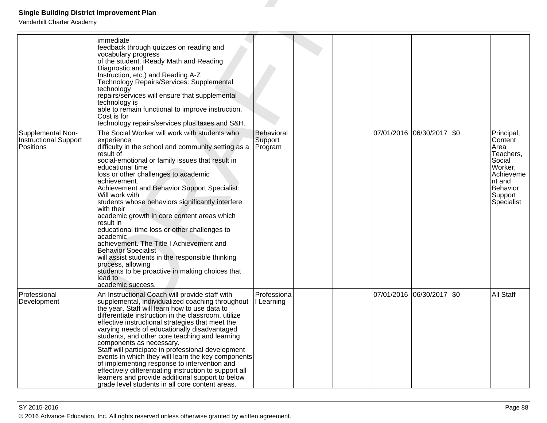| <b>Single Building District Improvement Plan</b>        |                                                                                                                                                                                                                                                                                                                                                                                                                                                                                                                                                                                                                                                                                                                                                                   |                                  |  |                           |                                                                                                                              |
|---------------------------------------------------------|-------------------------------------------------------------------------------------------------------------------------------------------------------------------------------------------------------------------------------------------------------------------------------------------------------------------------------------------------------------------------------------------------------------------------------------------------------------------------------------------------------------------------------------------------------------------------------------------------------------------------------------------------------------------------------------------------------------------------------------------------------------------|----------------------------------|--|---------------------------|------------------------------------------------------------------------------------------------------------------------------|
| Vanderbilt Charter Academy                              |                                                                                                                                                                                                                                                                                                                                                                                                                                                                                                                                                                                                                                                                                                                                                                   |                                  |  |                           |                                                                                                                              |
|                                                         | immediate<br>feedback through quizzes on reading and<br>vocabulary progress<br>of the student. iReady Math and Reading<br>Diagnostic and<br>Instruction, etc.) and Reading A-Z<br>Technology Repairs/Services: Supplemental<br>technology<br>repairs/services will ensure that supplemental<br>technology is<br>able to remain functional to improve instruction.<br>Cost is for<br>technology repairs/services plus taxes and S&H.                                                                                                                                                                                                                                                                                                                               |                                  |  |                           |                                                                                                                              |
| Supplemental Non-<br>Instructional Support<br>Positions | The Social Worker will work with students who<br>experience<br>difficulty in the school and community setting as a<br>result of<br>social-emotional or family issues that result in<br>educational time<br>loss or other challenges to academic<br>achievement.<br>Achievement and Behavior Support Specialist:<br>Will work with<br>students whose behaviors significantly interfere<br>with their<br>academic growth in core content areas which<br>result in<br>educational time loss or other challenges to<br>academic<br>achievement. The Title I Achievement and<br><b>Behavior Specialist</b><br>will assist students in the responsible thinking<br>process, allowing<br>students to be proactive in making choices that<br>lead to<br>academic success. | Behavioral<br>Support<br>Program |  | 07/01/2016 06/30/2017 \$0 | Principal,<br>Content<br>Area<br>Teachers,<br>Social<br>Worker,<br>Achieveme<br>Int and<br>Behavior<br>Support<br>Specialist |
| Professional<br>Development                             | An Instructional Coach will provide staff with<br>supplemental, individualized coaching throughout<br>the year. Staff will learn how to use data to<br>differentiate instruction in the classroom, utilize<br>effective instructional strategies that meet the<br>varying needs of educationally disadvantaged<br>students, and other core teaching and learning<br>components as necessary.<br>Staff will participate in professional development<br>events in which they will learn the key components<br>of implementing response to intervention and<br>effectively differentiating instruction to support all<br>learners and provide additional support to below<br>grade level students in all core content areas.                                         | Professiona<br>  Learning        |  | 07/01/2016 06/30/2017 \$0 | <b>All Staff</b>                                                                                                             |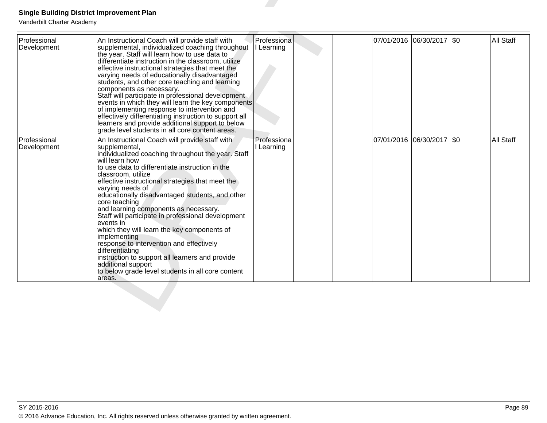| Professional<br>Development | An Instructional Coach will provide staff with<br>supplemental, individualized coaching throughout<br>the year. Staff will learn how to use data to<br>differentiate instruction in the classroom, utilize<br>effective instructional strategies that meet the<br>varying needs of educationally disadvantaged<br>students, and other core teaching and learning<br>components as necessary.<br>Staff will participate in professional development<br>events in which they will learn the key components<br>of implementing response to intervention and<br>effectively differentiating instruction to support all<br>learners and provide additional support to below<br>grade level students in all core content areas.                       | Professiona<br>I Learning | 07/01/2016 06/30/2017 \$0   | <b>All Staff</b> |
|-----------------------------|-------------------------------------------------------------------------------------------------------------------------------------------------------------------------------------------------------------------------------------------------------------------------------------------------------------------------------------------------------------------------------------------------------------------------------------------------------------------------------------------------------------------------------------------------------------------------------------------------------------------------------------------------------------------------------------------------------------------------------------------------|---------------------------|-----------------------------|------------------|
| Professional<br>Development | An Instructional Coach will provide staff with<br>supplemental,<br>individualized coaching throughout the year. Staff<br>will learn how<br>to use data to differentiate instruction in the<br>classroom, utilize<br>effective instructional strategies that meet the<br>varying needs of<br>educationally disadvantaged students, and other<br>core teaching<br>and learning components as necessary.<br>Staff will participate in professional development<br>levents in<br>which they will learn the key components of<br>implementing<br>response to intervention and effectively<br>differentiating<br>instruction to support all learners and provide<br>additional support<br>to below grade level students in all core content<br>areas. | Professiona<br>Learning   | 07/01/2016  06/30/2017  \$0 | All Staff        |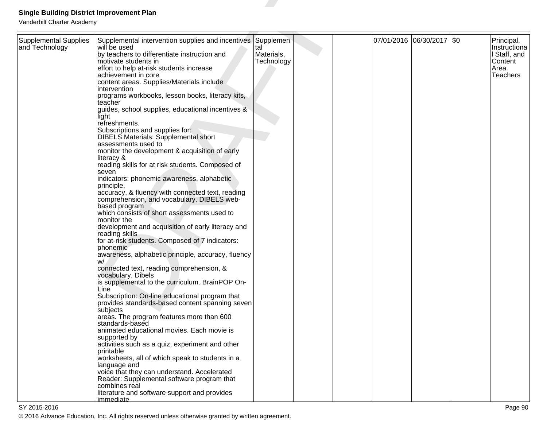| <b>Single Building District Improvement Plan</b>                             |                                                                                                                                                                                                                                                                                                                                                                                                                                                                                                                                                 |                                 |  |                           |                                                                           |
|------------------------------------------------------------------------------|-------------------------------------------------------------------------------------------------------------------------------------------------------------------------------------------------------------------------------------------------------------------------------------------------------------------------------------------------------------------------------------------------------------------------------------------------------------------------------------------------------------------------------------------------|---------------------------------|--|---------------------------|---------------------------------------------------------------------------|
| Vanderbilt Charter Academy<br><b>Supplemental Supplies</b><br>and Technology | Supplemental intervention supplies and incentives Supplemen<br>will be used<br>by teachers to differentiate instruction and<br>motivate students in<br>effort to help at-risk students increase<br>achievement in core<br>content areas. Supplies/Materials include<br>intervention<br>programs workbooks, lesson books, literacy kits,<br>teacher                                                                                                                                                                                              | tal<br>Materials,<br>Technology |  | 07/01/2016 06/30/2017 \$0 | Principal,<br>Instructiona<br>I Staff, and<br>Content<br>Area<br>Teachers |
|                                                                              | guides, school supplies, educational incentives &<br>liaht<br>refreshments.<br>Subscriptions and supplies for:<br><b>DIBELS Materials: Supplemental short</b><br>assessments used to<br>monitor the development & acquisition of early<br>literacy &<br>reading skills for at risk students. Composed of<br>seven<br>indicators: phonemic awareness, alphabetic<br>principle,<br>accuracy, & fluency with connected text, reading<br>comprehension, and vocabulary. DIBELS web-<br>based program<br>which consists of short assessments used to |                                 |  |                           |                                                                           |
|                                                                              | monitor the<br>development and acquisition of early literacy and<br>reading skills<br>for at-risk students. Composed of 7 indicators:<br>phonemic<br>awareness, alphabetic principle, accuracy, fluency<br>W/<br>connected text, reading comprehension, &<br>vocabulary. Dibels<br>is supplemental to the curriculum. BrainPOP On-<br>Line<br>Subscription: On-line educational program that                                                                                                                                                    |                                 |  |                           |                                                                           |
|                                                                              | provides standards-based content spanning seven<br>subjects<br>areas. The program features more than 600<br>standards-based<br>animated educational movies. Each movie is<br>supported by<br>activities such as a quiz, experiment and other<br>printable<br>worksheets, all of which speak to students in a<br>language and<br>voice that they can understand. Accelerated<br>Reader: Supplemental software program that<br>combines real<br>literature and software support and provides                                                      |                                 |  |                           |                                                                           |